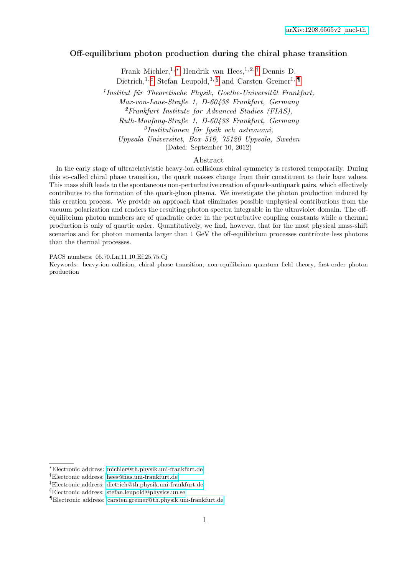# Off-equilibrium photon production during the chiral phase transition

Frank Michler, 1,  $*$  Hendrik van Hees, <sup>1, 2, [†](#page-0-1)</sup> Dennis D. Dietrich,<sup>1,[‡](#page-0-2)</sup> Stefan Leupold,<sup>3, [§](#page-0-3)</sup> and Carsten Greiner<sup>1,</sup>

 $<sup>1</sup>$ Institut für Theoretische Physik, Goethe-Universität Frankfurt,</sup> Max-von-Laue-Straße 1, D-60438 Frankfurt, Germany  ${}^{2}$ Frankfurt Institute for Advanced Studies (FIAS), Ruth-Moufang-Straße 1, D-60438 Frankfurt, Germany  ${}^{3}$ Institutionen för fysik och astronomi, Uppsala Universitet, Box 516, 75120 Uppsala, Sweden (Dated: September 10, 2012)

#### Abstract

In the early stage of ultrarelativistic heavy-ion collisions chiral symmetry is restored temporarily. During this so-called chiral phase transition, the quark masses change from their constituent to their bare values. This mass shift leads to the spontaneous non-perturbative creation of quark-antiquark pairs, which effectively contributes to the formation of the quark-gluon plasma. We investigate the photon production induced by this creation process. We provide an approach that eliminates possible unphysical contributions from the vacuum polarization and renders the resulting photon spectra integrable in the ultraviolet domain. The offequilibrium photon numbers are of quadratic order in the perturbative coupling constants while a thermal production is only of quartic order. Quantitatively, we find, however, that for the most physical mass-shift scenarios and for photon momenta larger than 1 GeV the off-equilibrium processes contribute less photons than the thermal processes.

PACS numbers: 05.70.Ln,11.10.Ef,25.75.Cj

Keywords: heavy-ion collision, chiral phase transition, non-equilibrium quantum field theory, first-order photon production

<span id="page-0-0"></span><sup>∗</sup>Electronic address: [michler@th.physik.uni-frankfurt.de](mailto:michler@th.physik.uni-frankfurt.de)

<span id="page-0-1"></span><sup>†</sup>Electronic address: [hees@fias.uni-frankfurt.de](mailto:hees@fias.uni-frankfurt.de)

<span id="page-0-2"></span><sup>‡</sup>Electronic address: [dietrich@th.physik.uni-frankfurt.de](mailto:dietrich@th.physik.uni-frankfurt.de)

<span id="page-0-3"></span><sup>§</sup>Electronic address: [stefan.leupold@physics.uu.se](mailto:stefan.leupold@physics.uu.se)

<span id="page-0-4"></span><sup>¶</sup>Electronic address: [carsten.greiner@th.physik.uni-frankfurt.de](mailto:carsten.greiner@th.physik.uni-frankfurt.de)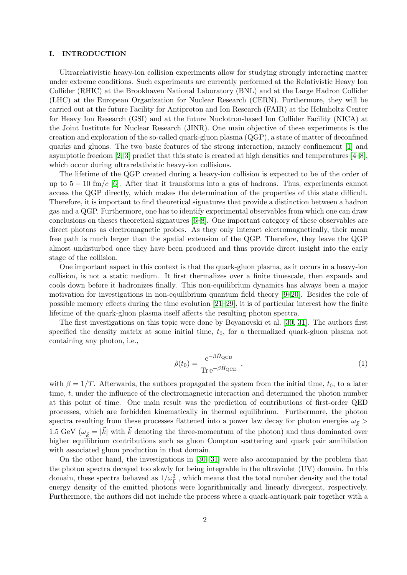## I. INTRODUCTION

Ultrarelativistic heavy-ion collision experiments allow for studying strongly interacting matter under extreme conditions. Such experiments are currently performed at the Relativistic Heavy Ion Collider (RHIC) at the Brookhaven National Laboratory (BNL) and at the Large Hadron Collider (LHC) at the European Organization for Nuclear Research (CERN). Furthermore, they will be carried out at the future Facility for Antiproton and Ion Research (FAIR) at the Helmholtz Center for Heavy Ion Research (GSI) and at the future Nuclotron-based Ion Collider Facility (NICA) at the Joint Institute for Nuclear Research (JINR). One main objective of these experiments is the creation and exploration of the so-called quark-gluon plasma (QGP), a state of matter of deconfined quarks and gluons. The two basic features of the strong interaction, namely confinement [\[1\]](#page-67-0) and asymptotic freedom [\[2,](#page-67-1) [3\]](#page-67-2) predict that this state is created at high densities and temperatures [\[4–](#page-67-3)[8\]](#page-67-4), which occur during ultrarelativistic heavy-ion collisions.

The lifetime of the QGP created during a heavy-ion collision is expected to be of the order of up to  $5 - 10$  fm/c [\[6\]](#page-67-5). After that it transforms into a gas of hadrons. Thus, experiments cannot access the QGP directly, which makes the determination of the properties of this state difficult. Therefore, it is important to find theoretical signatures that provide a distinction between a hadron gas and a QGP. Furthermore, one has to identify experimental observables from which one can draw conclusions on theses theoretical signatures [\[6–](#page-67-5)[8\]](#page-67-4). One important category of these observables are direct photons as electromagnetic probes. As they only interact electromagnetically, their mean free path is much larger than the spatial extension of the QGP. Therefore, they leave the QGP almost undisturbed once they have been produced and thus provide direct insight into the early stage of the collision.

One important aspect in this context is that the quark-gluon plasma, as it occurs in a heavy-ion collision, is not a static medium. It first thermalizes over a finite timescale, then expands and cools down before it hadronizes finally. This non-equilibrium dynamics has always been a major motivation for investigations in non-equilibrium quantum field theory  $[9-20]$  $[9-20]$ . Besides the role of possible memory effects during the time evolution [\[21–](#page-68-1)[29\]](#page-68-2), it is of particular interest how the finite lifetime of the quark-gluon plasma itself affects the resulting photon spectra.

The first investigations on this topic were done by Boyanovski et al. [\[30,](#page-68-3) [31\]](#page-68-4). The authors first specified the density matrix at some initial time,  $t_0$ , for a thermalized quark-gluon plasma not containing any photon, i.e.,

<span id="page-1-0"></span>
$$
\hat{\rho}(t_0) = \frac{e^{-\beta \hat{H}_{\text{QCD}}}}{\text{Tr} \, e^{-\beta \hat{H}_{\text{QCD}}}} \,, \tag{1}
$$

with  $\beta = 1/T$ . Afterwards, the authors propagated the system from the initial time,  $t_0$ , to a later time, t, under the influence of the electromagnetic interaction and determined the photon number at this point of time. One main result was the prediction of contributions of first-order QED processes, which are forbidden kinematically in thermal equilibrium. Furthermore, the photon spectra resulting from these processes flattened into a power law decay for photon energies  $\omega_{\vec{k}} >$ 1.5 GeV  $(\omega_{\vec{k}} = |\vec{k}|)$  with  $\vec{k}$  denoting the three-momentum of the photon) and thus dominated over higher equilibrium contributions such as gluon Compton scattering and quark pair annihilation with associated gluon production in that domain.

On the other hand, the investigations in [\[30,](#page-68-3) [31\]](#page-68-4) were also accompanied by the problem that the photon spectra decayed too slowly for being integrable in the ultraviolet (UV) domain. In this domain, these spectra behaved as  $1/\omega_{\vec{k}}^3$ , which means that the total number density and the total energy density of the emitted photons were logarithmically and linearly divergent, respectively. Furthermore, the authors did not include the process where a quark-antiquark pair together with a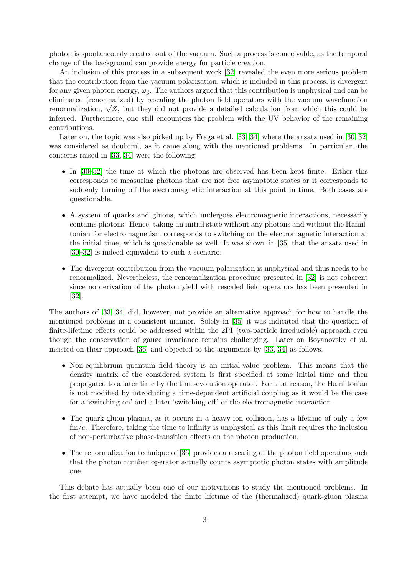photon is spontaneously created out of the vacuum. Such a process is conceivable, as the temporal change of the background can provide energy for particle creation.

An inclusion of this process in a subsequent work [\[32\]](#page-68-5) revealed the even more serious problem that the contribution from the vacuum polarization, which is included in this process, is divergent for any given photon energy,  $\omega_{\vec{k}}$ . The authors argued that this contribution is unphysical and can be eliminated (renormalized) by rescaling the photon field operators with the vacuum wavefunction enormalization,  $\sqrt{Z}$ , but they did not provide a detailed calculation from which this could be<br>renormalization,  $\sqrt{Z}$ , but they did not provide a detailed calculation from which this could be inferred. Furthermore, one still encounters the problem with the UV behavior of the remaining contributions.

Later on, the topic was also picked up by Fraga et al. [\[33,](#page-68-6) [34\]](#page-68-7) where the ansatz used in [\[30–](#page-68-3)[32\]](#page-68-5) was considered as doubtful, as it came along with the mentioned problems. In particular, the concerns raised in [\[33,](#page-68-6) [34\]](#page-68-7) were the following:

- In [\[30–](#page-68-3)[32\]](#page-68-5) the time at which the photons are observed has been kept finite. Either this corresponds to measuring photons that are not free asymptotic states or it corresponds to suddenly turning off the electromagnetic interaction at this point in time. Both cases are questionable.
- A system of quarks and gluons, which undergoes electromagnetic interactions, necessarily contains photons. Hence, taking an initial state without any photons and without the Hamiltonian for electromagnetism corresponds to switching on the electromagnetic interaction at the initial time, which is questionable as well. It was shown in [\[35\]](#page-68-8) that the ansatz used in [\[30](#page-68-3)[–32\]](#page-68-5) is indeed equivalent to such a scenario.
- The divergent contribution from the vacuum polarization is unphysical and thus needs to be renormalized. Nevertheless, the renormalization procedure presented in [\[32\]](#page-68-5) is not coherent since no derivation of the photon yield with rescaled field operators has been presented in [\[32\]](#page-68-5).

The authors of [\[33,](#page-68-6) [34\]](#page-68-7) did, however, not provide an alternative approach for how to handle the mentioned problems in a consistent manner. Solely in [\[35\]](#page-68-8) it was indicated that the question of finite-lifetime effects could be addressed within the 2PI (two-particle irreducible) approach even though the conservation of gauge invariance remains challenging. Later on Boyanovsky et al. insisted on their approach [\[36\]](#page-68-9) and objected to the arguments by [\[33,](#page-68-6) [34\]](#page-68-7) as follows.

- Non-equilibrium quantum field theory is an initial-value problem. This means that the density matrix of the considered system is first specified at some initial time and then propagated to a later time by the time-evolution operator. For that reason, the Hamiltonian is not modified by introducing a time-dependent artificial coupling as it would be the case for a 'switching on' and a later 'switching off' of the electromagnetic interaction.
- The quark-gluon plasma, as it occurs in a heavy-ion collision, has a lifetime of only a few  $\text{fm}/c$ . Therefore, taking the time to infinity is unphysical as this limit requires the inclusion of non-perturbative phase-transition effects on the photon production.
- The renormalization technique of [\[36\]](#page-68-9) provides a rescaling of the photon field operators such that the photon number operator actually counts asymptotic photon states with amplitude one.

This debate has actually been one of our motivations to study the mentioned problems. In the first attempt, we have modeled the finite lifetime of the (thermalized) quark-gluon plasma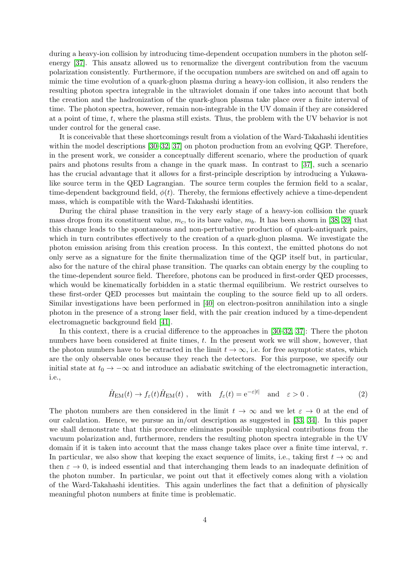during a heavy-ion collision by introducing time-dependent occupation numbers in the photon selfenergy [\[37\]](#page-68-10). This ansatz allowed us to renormalize the divergent contribution from the vacuum polarization consistently. Furthermore, if the occupation numbers are switched on and off again to mimic the time evolution of a quark-gluon plasma during a heavy-ion collision, it also renders the resulting photon spectra integrable in the ultraviolet domain if one takes into account that both the creation and the hadronization of the quark-gluon plasma take place over a finite interval of time. The photon spectra, however, remain non-integrable in the UV domain if they are considered at a point of time, t, where the plasma still exists. Thus, the problem with the UV behavior is not under control for the general case.

It is conceivable that these shortcomings result from a violation of the Ward-Takahashi identities within the model descriptions [\[30](#page-68-3)[–32,](#page-68-5) [37\]](#page-68-10) on photon production from an evolving QGP. Therefore, in the present work, we consider a conceptually different scenario, where the production of quark pairs and photons results from a change in the quark mass. In contrast to [\[37\]](#page-68-10), such a scenario has the crucial advantage that it allows for a first-principle description by introducing a Yukawalike source term in the QED Lagrangian. The source term couples the fermion field to a scalar, time-dependent background field,  $\phi(t)$ . Thereby, the fermions effectively achieve a time-dependent mass, which is compatible with the Ward-Takahashi identities.

During the chiral phase transition in the very early stage of a heavy-ion collision the quark mass drops from its constituent value,  $m_c$ , to its bare value,  $m_b$ . It has been shown in [\[38,](#page-68-11) [39\]](#page-68-12) that this change leads to the spontaneous and non-perturbative production of quark-antiquark pairs, which in turn contributes effectively to the creation of a quark-gluon plasma. We investigate the photon emission arising from this creation process. In this context, the emitted photons do not only serve as a signature for the finite thermalization time of the QGP itself but, in particular, also for the nature of the chiral phase transition. The quarks can obtain energy by the coupling to the time-dependent source field. Therefore, photons can be produced in first-order QED processes, which would be kinematically forbidden in a static thermal equilibrium. We restrict ourselves to these first-order QED processes but maintain the coupling to the source field up to all orders. Similar investigations have been performed in [\[40\]](#page-68-13) on electron-positron annihilation into a single photon in the presence of a strong laser field, with the pair creation induced by a time-dependent electromagnetic background field [\[41\]](#page-68-14).

In this context, there is a crucial difference to the approaches in [\[30–](#page-68-3)[32,](#page-68-5) [37\]](#page-68-10): There the photon numbers have been considered at finite times, t. In the present work we will show, however, that the photon numbers have to be extracted in the limit  $t \to \infty$ , i.e. for free asymptotic states, which are the only observable ones because they reach the detectors. For this purpose, we specify our initial state at  $t_0 \to -\infty$  and introduce an adiabatic switching of the electromagnetic interaction, i.e.,

$$
\hat{H}_{\text{EM}}(t) \to f_{\varepsilon}(t)\hat{H}_{\text{EM}}(t) , \quad \text{with} \quad f_{\varepsilon}(t) = e^{-\varepsilon|t|} \quad \text{and} \quad \varepsilon > 0 . \tag{2}
$$

The photon numbers are then considered in the limit  $t \to \infty$  and we let  $\varepsilon \to 0$  at the end of our calculation. Hence, we pursue an in/out description as suggested in [\[33,](#page-68-6) [34\]](#page-68-7). In this paper we shall demonstrate that this procedure eliminates possible unphysical contributions from the vacuum polarization and, furthermore, renders the resulting photon spectra integrable in the UV domain if it is taken into account that the mass change takes place over a finite time interval,  $\tau$ . In particular, we also show that keeping the exact sequence of limits, i.e., taking first  $t \to \infty$  and then  $\varepsilon \to 0$ , is indeed essential and that interchanging them leads to an inadequate definition of the photon number. In particular, we point out that it effectively comes along with a violation of the Ward-Takahashi identities. This again underlines the fact that a definition of physically meaningful photon numbers at finite time is problematic.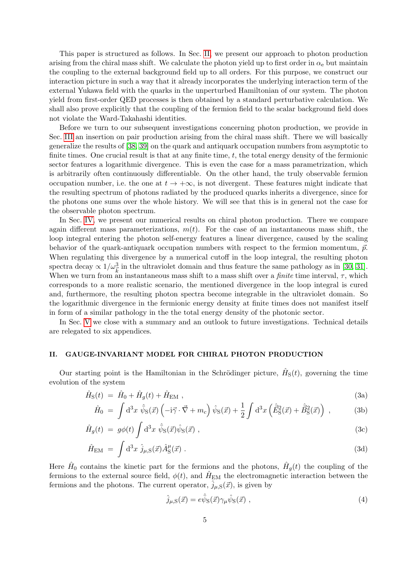This paper is structured as follows. In Sec. [II,](#page-4-0) we present our approach to photon production arising from the chiral mass shift. We calculate the photon yield up to first order in  $\alpha_e$  but maintain the coupling to the external background field up to all orders. For this purpose, we construct our interaction picture in such a way that it already incorporates the underlying interaction term of the external Yukawa field with the quarks in the unperturbed Hamiltonian of our system. The photon yield from first-order QED processes is then obtained by a standard perturbative calculation. We shall also prove explicitly that the coupling of the fermion field to the scalar background field does not violate the Ward-Takahashi identities.

Before we turn to our subsequent investigations concerning photon production, we provide in Sec. [III](#page-13-0) an insertion on pair production arising from the chiral mass shift. There we will basically generalize the results of [\[38,](#page-68-11) [39\]](#page-68-12) on the quark and antiquark occupation numbers from asymptotic to finite times. One crucial result is that at any finite time,  $t$ , the total energy density of the fermionic sector features a logarithmic divergence. This is even the case for a mass parametrization, which is arbitrarily often continuously differentiable. On the other hand, the truly observable fermion occupation number, i.e. the one at  $t \to +\infty$ , is not divergent. These features might indicate that the resulting spectrum of photons radiated by the produced quarks inherits a divergence, since for the photons one sums over the whole history. We will see that this is in general not the case for the observable photon spectrum.

In Sec. [IV,](#page-27-0) we present our numerical results on chiral photon production. There we compare again different mass parameterizations,  $m(t)$ . For the case of an instantaneous mass shift, the loop integral entering the photon self-energy features a linear divergence, caused by the scaling behavior of the quark-antiquark occupation numbers with respect to the fermion momentum,  $\vec{p}$ . When regulating this divergence by a numerical cutoff in the loop integral, the resulting photon spectra decay  $\propto 1/\omega_k^3$  in the ultraviolet domain and thus feature the same pathology as in [\[30,](#page-68-3) [31\]](#page-68-4). When we turn from an instantaneous mass shift to a mass shift over a *finite* time interval,  $\tau$ , which corresponds to a more realistic scenario, the mentioned divergence in the loop integral is cured and, furthermore, the resulting photon spectra become integrable in the ultraviolet domain. So the logarithmic divergence in the fermionic energy density at finite times does not manifest itself in form of a similar pathology in the the total energy density of the photonic sector.

In Sec. [V](#page-47-0) we close with a summary and an outlook to future investigations. Technical details are relegated to six appendices.

# <span id="page-4-0"></span>II. GAUGE-INVARIANT MODEL FOR CHIRAL PHOTON PRODUCTION

Our starting point is the Hamiltonian in the Schrödinger picture,  $\hat{H}_{S}(t)$ , governing the time evolution of the system

$$
\hat{H}_{\rm S}(t) = \hat{H}_0 + \hat{H}_g(t) + \hat{H}_{\rm EM} \tag{3a}
$$

$$
\hat{H}_0 = \int d^3x \,\hat{\bar{\psi}}_S(\vec{x}) \left( -i\vec{\gamma} \cdot \vec{\nabla} + m_c \right) \hat{\psi}_S(\vec{x}) + \frac{1}{2} \int d^3x \left( \hat{\vec{E}}_S^2(\vec{x}) + \hat{\vec{B}}_S^2(\vec{x}) \right) , \tag{3b}
$$

$$
\hat{H}_g(t) = g\phi(t) \int d^3x \ \hat{\bar{\psi}}_S(\vec{x}) \hat{\psi}_S(\vec{x}) , \qquad (3c)
$$

$$
\hat{H}_{\text{EM}} = \int d^3x \; \hat{j}_{\mu,\text{S}}(\vec{x}) \hat{A}^{\mu}_{\text{S}}(\vec{x}) \; . \tag{3d}
$$

Here  $\hat{H}_0$  contains the kinetic part for the fermions and the photons,  $\hat{H}_g(t)$  the coupling of the fermions to the external source field,  $\phi(t)$ , and  $\hat{H}_{EM}$  the electromagnetic interaction between the fermions and the photons. The current operator,  $\hat{j}_{\mu,S}(\vec{x})$ , is given by

<span id="page-4-1"></span>
$$
\hat{j}_{\mu,\mathrm{S}}(\vec{x}) = e\hat{\bar{\psi}}_{\mathrm{S}}(\vec{x})\gamma_{\mu}\hat{\psi}_{\mathrm{S}}(\vec{x})\tag{4}
$$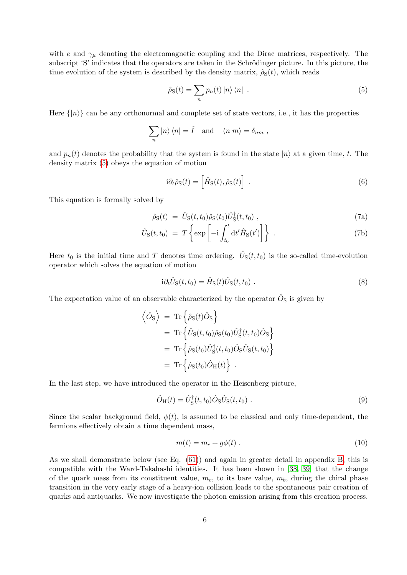with e and  $\gamma_{\mu}$  denoting the electromagnetic coupling and the Dirac matrices, respectively. The subscript 'S' indicates that the operators are taken in the Schrödinger picture. In this picture, the time evolution of the system is described by the density matrix,  $\hat{\rho}_S(t)$ , which reads

<span id="page-5-0"></span>
$$
\hat{\rho}_{\rm S}(t) = \sum_{n} p_n(t) |n\rangle \langle n| \qquad (5)
$$

Here  $\{|n\rangle\}$  can be any orthonormal and complete set of state vectors, i.e., it has the properties

$$
\sum_{n}|n\rangle\langle n|=\hat{I} \text{ and } \langle n|m\rangle=\delta_{nm} ,
$$

and  $p_n(t)$  denotes the probability that the system is found in the state  $|n\rangle$  at a given time, t. The density matrix [\(5\)](#page-5-0) obeys the equation of motion

$$
i\partial_t \hat{\rho}_S(t) = \left[\hat{H}_S(t), \hat{\rho}_S(t)\right] \ . \tag{6}
$$

This equation is formally solved by

$$
\hat{\rho}_{S}(t) = \hat{U}_{S}(t, t_{0})\hat{\rho}_{S}(t_{0})\hat{U}_{S}^{\dagger}(t, t_{0}), \qquad (7a)
$$

$$
\hat{U}_{\rm S}(t,t_0) = T \left\{ \exp \left[ -i \int_{t_0}^t dt' \hat{H}_{\rm S}(t') \right] \right\} \ . \tag{7b}
$$

Here  $t_0$  is the initial time and T denotes time ordering.  $\hat{U}_S(t,t_0)$  is the so-called time-evolution operator which solves the equation of motion

$$
i\partial_t \hat{U}_S(t, t_0) = \hat{H}_S(t)\hat{U}_S(t, t_0) . \tag{8}
$$

The expectation value of an observable characterized by the operator  $\hat{O}_{S}$  is given by

<span id="page-5-1"></span>
$$
\begin{aligned}\n\left\langle \hat{O}_{\rm S} \right\rangle &= \operatorname{Tr} \left\{ \hat{\rho}_{\rm S}(t) \hat{O}_{\rm S} \right\} \\
&= \operatorname{Tr} \left\{ \hat{U}_{\rm S}(t, t_0) \hat{\rho}_{\rm S}(t_0) \hat{U}_{\rm S}^\dagger(t, t_0) \hat{O}_{\rm S} \right\} \\
&= \operatorname{Tr} \left\{ \hat{\rho}_{\rm S}(t_0) \hat{U}_{\rm S}^\dagger(t, t_0) \hat{O}_{\rm S} \hat{U}_{\rm S}(t, t_0) \right\} \\
&= \operatorname{Tr} \left\{ \hat{\rho}_{\rm S}(t_0) \hat{O}_{\rm H}(t) \right\} .\n\end{aligned}
$$

In the last step, we have introduced the operator in the Heisenberg picture,

$$
\hat{O}_{\mathrm{H}}(t) = \hat{U}_{\mathrm{S}}^{\dagger}(t, t_0) \hat{O}_{\mathrm{S}} \hat{U}_{\mathrm{S}}(t, t_0) \tag{9}
$$

Since the scalar background field,  $\phi(t)$ , is assumed to be classical and only time-dependent, the fermions effectively obtain a time dependent mass,

<span id="page-5-2"></span>
$$
m(t) = m_c + g\phi(t) . \tag{10}
$$

As we shall demonstrate below (see Eq. [\(61\)](#page-12-0)) and again in greater detail in appendix [B,](#page-54-0) this is compatible with the Ward-Takahashi identities. It has been shown in [\[38,](#page-68-11) [39\]](#page-68-12) that the change of the quark mass from its constituent value,  $m_c$ , to its bare value,  $m_b$ , during the chiral phase transition in the very early stage of a heavy-ion collision leads to the spontaneous pair creation of quarks and antiquarks. We now investigate the photon emission arising from this creation process.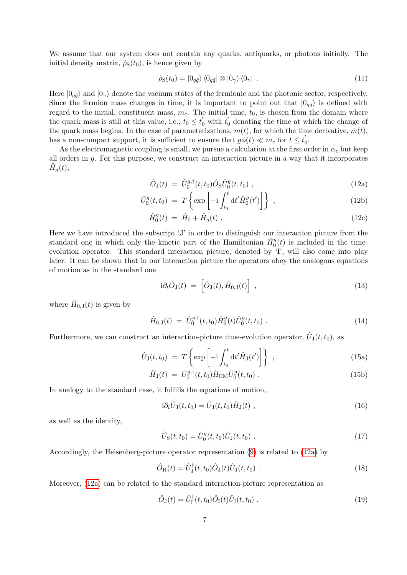We assume that our system does not contain any quarks, antiquarks, or photons initially. The initial density matrix,  $\hat{\rho}_{S}(t_0)$ , is hence given by

<span id="page-6-2"></span>
$$
\hat{\rho}_{\rm S}(t_0) = |0_{q\bar{q}}\rangle \langle 0_{q\bar{q}}| \otimes |0_{\gamma}\rangle \langle 0_{\gamma}| \tag{11}
$$

Here  $|0_{q\bar{q}}\rangle$  and  $|0_{\gamma}\rangle$  denote the vacuum states of the fermionic and the photonic sector, respectively. Since the fermion mass changes in time, it is important to point out that  $|0_{q\bar{q}}\rangle$  is defined with regard to the initial, constituent mass,  $m_c$ . The initial time,  $t_0$ , is chosen from the domain where the quark mass is still at this value, i.e.,  $t_0 \le t'_0$  with  $t'_0$  denoting the time at which the change of the quark mass begins. In the case of parameterizations,  $m(t)$ , for which the time derivative,  $\dot{m}(t)$ , has a non-compact support, it is sufficient to ensure that  $g\phi(t) \ll m_c$  for  $t \leq t_0$  $\frac{1}{0}$ .

As the electromagnetic coupling is small, we pursue a calculation at the first order in  $\alpha_e$  but keep all orders in g. For this purpose, we construct an interaction picture in a way that it incorporates  $\hat{H}_g(t)$ ,

<span id="page-6-0"></span>
$$
\hat{O}_J(t) = \hat{U}_0^{g,\dagger}(t,t_0)\hat{O}_S\hat{U}_0^g(t,t_0) , \qquad (12a)
$$

$$
\hat{U}_0^g(t, t_0) = T \left\{ \exp \left[ -i \int_{t_0}^t dt' \hat{H}_0^g(t') \right] \right\} , \qquad (12b)
$$

$$
\hat{H}_0^g(t) = \hat{H}_0 + \hat{H}_g(t) . \tag{12c}
$$

Here we have introduced the subscript 'J' in order to distinguish our interaction picture from the standard one in which only the kinetic part of the Hamiltonian  $\hat{H}_0^g(t)$  is included in the timeevolution operator. This standard interaction picture, denoted by 'I', will also come into play later. It can be shown that in our interaction picture the operators obey the analogous equations of motion as in the standard one

$$
i\partial_t \hat{O}_J(t) = \left[ \hat{O}_J(t), \hat{H}_{0,J}(t) \right], \qquad (13)
$$

where  $\hat{H}_{0,J}(t)$  is given by

$$
\hat{H}_{0,1}(t) = \hat{U}_0^{g,\dagger}(t,t_0) \hat{H}_0^g(t) \hat{U}_0^g(t,t_0) . \tag{14}
$$

Furthermore, we can construct an interaction-picture time-evolution operator,  $\hat{U}_{\text{J}}(t,t_0)$ , as

$$
\hat{U}_{\mathbf{J}}(t,t_0) = T \left\{ \exp \left[ -\mathrm{i} \int_{t_0}^t \mathrm{d}t' \hat{H}_{\mathbf{J}}(t') \right] \right\} , \qquad (15a)
$$

$$
\hat{H}_{\rm J}(t) = \hat{U}_0^{g,\dagger}(t,t_0) \hat{H}_{\rm EM} \hat{U}_0^g(t,t_0) \; . \tag{15b}
$$

In analogy to the standard case, it fulfills the equations of motion,

$$
i\partial_t \hat{U}_J(t,t_0) = \hat{U}_J(t,t_0) \hat{H}_J(t) , \qquad (16)
$$

as well as the identity,

$$
\hat{U}_{\rm S}(t,t_0) = \hat{U}_0^g(t,t_0)\hat{U}_J(t,t_0) \tag{17}
$$

Accordingly, the Heisenberg-picture operator representation [\(9\)](#page-5-1) is related to [\(12a\)](#page-6-0) by

$$
\hat{O}_{\rm H}(t) = \hat{U}_{\rm J}^{\dagger}(t, t_0) \hat{O}_{\rm J}(t) \hat{U}_{\rm J}(t, t_0) \tag{18}
$$

Moreover, [\(12a\)](#page-6-0) can be related to the standard interaction-picture representation as

<span id="page-6-1"></span>
$$
\hat{O}_J(t) = \hat{U}_I^{\dagger}(t, t_0) \hat{O}_I(t) \hat{U}_I(t, t_0) . \tag{19}
$$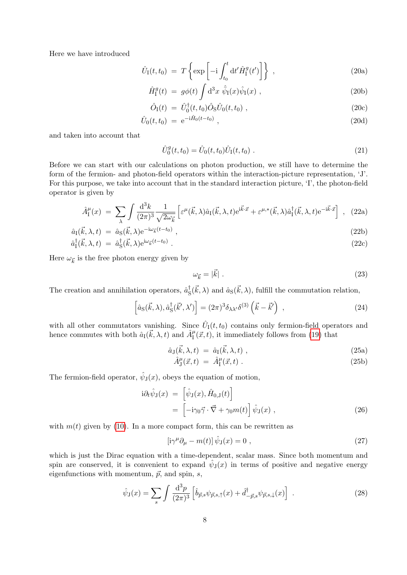Here we have introduced

$$
\hat{U}_{\rm I}(t,t_0) = T \left\{ \exp \left[ -i \int_{t_0}^t dt' \hat{H}_{\rm I}^g(t') \right] \right\} , \qquad (20a)
$$

$$
\hat{H}_{\rm I}^g(t) = g\phi(t) \int d^3x \,\hat{\bar{\psi}}_{\rm I}(x)\hat{\psi}_{\rm I}(x) , \qquad (20b)
$$

$$
\hat{O}_{\rm I}(t) = \hat{U}_0^{\dagger}(t, t_0) \hat{O}_{\rm S} \hat{U}_0(t, t_0) , \qquad (20c)
$$

$$
\hat{U}_0(t, t_0) = e^{-i\hat{H}_0(t - t_0)}, \qquad (20d)
$$

and taken into account that

$$
\hat{U}_0^g(t, t_0) = \hat{U}_0(t, t_0)\hat{U}_I(t, t_0) \tag{21}
$$

Before we can start with our calculations on photon production, we still have to determine the form of the fermion- and photon-field operators within the interaction-picture representation, 'J'. For this purpose, we take into account that in the standard interaction picture, 'I', the photon-field operator is given by

<span id="page-7-1"></span>
$$
\hat{A}_{\rm I}^{\mu}(x) = \sum_{\lambda} \int \frac{\mathrm{d}^3 k}{(2\pi)^3} \frac{1}{\sqrt{2\omega_{\vec{k}}}} \left[ \varepsilon^{\mu}(\vec{k}, \lambda) \hat{a}_{\rm I}(\vec{k}, \lambda, t) e^{i\vec{k}\cdot\vec{x}} + \varepsilon^{\mu,*}(\vec{k}, \lambda) \hat{a}_{\rm I}^{\dagger}(\vec{k}, \lambda, t) e^{-i\vec{k}\cdot\vec{x}} \right] , \tag{22a}
$$

$$
\hat{a}_{\rm I}(\vec{k},\lambda,t) = \hat{a}_{\rm S}(\vec{k},\lambda)e^{-i\omega_{\vec{k}}(t-t_0)},\qquad(22b)
$$

$$
\hat{a}_1^{\dagger}(\vec{k}, \lambda, t) = \hat{a}_S^{\dagger}(\vec{k}, \lambda) e^{i\omega_{\vec{k}}(t - t_0)} \tag{22c}
$$

Here  $\omega_{\vec{k}}$  is the free photon energy given by

<span id="page-7-5"></span><span id="page-7-3"></span>
$$
\omega_{\vec{k}} = |\vec{k}| \tag{23}
$$

The creation and annihilation operators,  $\hat{a}_{\rm s}^{\dagger}$  $\frac{1}{\text{S}}(\vec{k},\lambda)$  and  $\hat{a}_{\text{S}}(\vec{k},\lambda)$ , fulfill the commutation relation,

$$
\left[\hat{a}_{\rm S}(\vec{k},\lambda),\hat{a}_{\rm S}^{\dagger}(\vec{k}',\lambda')\right] = (2\pi)^3 \delta_{\lambda\lambda'}\delta^{(3)}\left(\vec{k}-\vec{k}'\right) \;, \tag{24}
$$

with all other commutators vanishing. Since  $\hat{U}_I(t,t_0)$  contains only fermion-field operators and hence commutes with both  $\hat{a}_{I}(\vec{k},\lambda,t)$  and  $\hat{A}_{I}^{\mu}(\vec{x},t)$ , it immediately follows from [\(19\)](#page-6-1) that

<span id="page-7-2"></span>
$$
\hat{a}_{\mathbf{J}}(\vec{k}, \lambda, t) = \hat{a}_{\mathbf{I}}(\vec{k}, \lambda, t) , \qquad (25a)
$$

$$
\hat{A}_{\mathrm{J}}^{\mu}(\vec{x},t) = \hat{A}_{\mathrm{I}}^{\mu}(\vec{x},t) \tag{25b}
$$

The fermion-field operator,  $\hat{\psi}_J(x)$ , obeys the equation of motion,

$$
\begin{split} \mathbf{i}\partial_{t}\hat{\psi}_{\mathbf{J}}(x) &= \left[\hat{\psi}_{\mathbf{J}}(x),\hat{H}_{0,\mathbf{J}}(t)\right] \\ &= \left[-\mathbf{i}\gamma_{0}\vec{\gamma}\cdot\vec{\nabla}+\gamma_{0}m(t)\right]\hat{\psi}_{\mathbf{J}}(x) \;, \end{split} \tag{26}
$$

with  $m(t)$  given by [\(10\)](#page-5-2). In a more compact form, this can be rewritten as

<span id="page-7-0"></span>
$$
\left[i\gamma^{\mu}\partial_{\mu} - m(t)\right]\hat{\psi}_{\mathcal{J}}(x) = 0 \tag{27}
$$

which is just the Dirac equation with a time-dependent, scalar mass. Since both momentum and spin are conserved, it is convenient to expand  $\hat{\psi}_J(x)$  in terms of positive and negative energy eigenfunctions with momentum,  $\vec{p}$ , and spin, s,

<span id="page-7-4"></span>
$$
\hat{\psi}_{\mathcal{J}}(x) = \sum_{s} \int \frac{\mathrm{d}^3 p}{(2\pi)^3} \left[ \hat{b}_{\vec{p},s} \psi_{\vec{p},s,\uparrow}(x) + \hat{d}_{-\vec{p},s}^{\dagger} \psi_{\vec{p},s,\downarrow}(x) \right] \ . \tag{28}
$$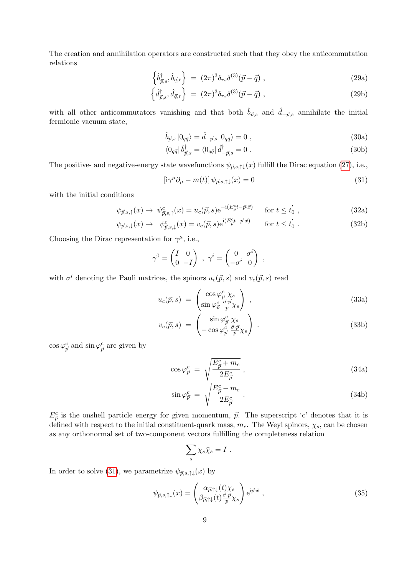<span id="page-8-2"></span>The creation and annihilation operators are constructed such that they obey the anticommutation relations

$$
\left\{\hat{b}^{\dagger}_{\vec{p},s},\hat{b}_{\vec{q},r}\right\} = (2\pi)^3 \delta_{rs} \delta^{(3)}(\vec{p}-\vec{q})\,,\tag{29a}
$$

$$
\left\{\hat{d}^{\dagger}_{\vec{p},s},\hat{d}_{\vec{q},r}\right\} = (2\pi)^3 \delta_{rs} \delta^{(3)}(\vec{p}-\vec{q})\,,\tag{29b}
$$

with all other anticommutators vanishing and that both  $\hat{b}_{\vec{p},s}$  and  $\hat{d}_{-\vec{p},s}$  annihilate the initial fermionic vacuum state,

$$
\hat{b}_{\vec{p},s} |0_{q\bar{q}}\rangle = \hat{d}_{-\vec{p},s} |0_{q\bar{q}}\rangle = 0 , \qquad (30a)
$$

$$
\langle 0_{q\bar{q}} | \hat{b}^{\dagger}_{\vec{p},s} = \langle 0_{q\bar{q}} | \hat{d}^{\dagger}_{-\vec{p},s} = 0 \; . \tag{30b}
$$

The positive- and negative-energy state wavefunctions  $\psi_{\vec{p},s,\uparrow\downarrow}(x)$  fulfill the Dirac equation [\(27\)](#page-7-0), i.e.,

<span id="page-8-0"></span>
$$
\left[i\gamma^{\mu}\partial_{\mu} - m(t)\right]\psi_{\vec{p},s,\uparrow\downarrow}(x) = 0\tag{31}
$$

with the initial conditions

$$
\psi_{\vec{p},s,\uparrow}(x) \to \psi_{\vec{p},s,\uparrow}^c(x) = u_c(\vec{p},s) e^{-i(E_{\vec{p}}^c t - \vec{p}\cdot\vec{x})} \quad \text{for } t \le t_0', \tag{32a}
$$

$$
\psi_{\vec{p},s,\downarrow}(x) \to \psi_{\vec{p},s,\downarrow}^c(x) = v_c(\vec{p},s) e^{i(E_{\vec{p}}^c t + \vec{p}\cdot\vec{x})} \qquad \text{for } t \le t_0' \; . \tag{32b}
$$

Choosing the Dirac representation for  $\gamma^{\mu}$ , i.e.,

$$
\gamma^0 = \begin{pmatrix} I & 0 \\ 0 & -I \end{pmatrix} , \ \gamma^i = \begin{pmatrix} 0 & \sigma^i \\ -\sigma^i & 0 \end{pmatrix} ,
$$

with  $\sigma^i$  denoting the Pauli matrices, the spinors  $u_c(\vec{p}, s)$  and  $v_c(\vec{p}, s)$  read

$$
u_c(\vec{p}, s) = \begin{pmatrix} \cos \varphi_{\vec{p}}^c \chi_s \\ \sin \varphi_{\vec{p}}^c \frac{\vec{\sigma} \cdot \vec{p}}{p} \chi_s \end{pmatrix} , \qquad (33a)
$$

<span id="page-8-3"></span>
$$
v_c(\vec{p}, s) = \begin{pmatrix} \sin \varphi_{\vec{p}}^c \chi_s \\ -\cos \varphi_{\vec{p}}^c \frac{\vec{\sigma} \cdot \vec{p}}{p} \chi_s \end{pmatrix} . \tag{33b}
$$

 $\cos \varphi_{\vec{p}}^c$  and  $\sin \varphi_{\vec{p}}^c$  are given by

$$
\cos \varphi_{\vec{p}}^c = \sqrt{\frac{E_{\vec{p}}^c + m_c}{2E_{\vec{p}}^c}} \,, \tag{34a}
$$

$$
\sin \varphi_{\vec{p}}^c = \sqrt{\frac{E_{\vec{p}}^c - m_c}{2E_{\vec{p}}^c}}.
$$
\n(34b)

 $E_{\vec{p}}^c$  is the onshell particle energy for given momentum,  $\vec{p}$ . The superscript 'c' denotes that it is defined with respect to the initial constituent-quark mass,  $m_c$ . The Weyl spinors,  $\chi_s$ , can be chosen as any orthonormal set of two-component vectors fulfilling the completeness relation

$$
\sum_s \chi_s \bar{\chi}_s = I \; .
$$

In order to solve [\(31\)](#page-8-0), we parametrize  $\psi_{\vec{p},s,\uparrow\downarrow}(x)$  by

<span id="page-8-1"></span>
$$
\psi_{\vec{p},s,\uparrow\downarrow}(x) = \begin{pmatrix} \alpha_{\vec{p},\uparrow\downarrow}(t)\chi_s \\ \beta_{\vec{p},\uparrow\downarrow}(t)\frac{\vec{\sigma}\cdot\vec{p}}{p}\chi_s \end{pmatrix} e^{i\vec{p}\cdot\vec{x}} , \qquad (35)
$$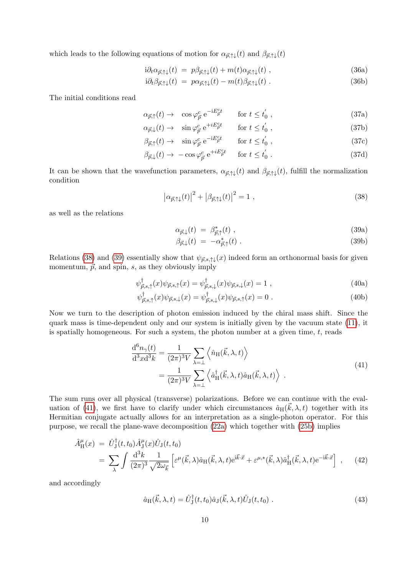which leads to the following equations of motion for  $\alpha_{\vec{p},\uparrow\downarrow}(t)$  and  $\beta_{\vec{p},\uparrow\downarrow}(t)$ 

<span id="page-9-6"></span>
$$
i\partial_t \alpha_{\vec{p},\uparrow\downarrow}(t) = p\beta_{\vec{p},\uparrow\downarrow}(t) + m(t)\alpha_{\vec{p},\uparrow\downarrow}(t) , \qquad (36a)
$$

<span id="page-9-5"></span>
$$
i\partial_t \beta_{\vec{p},\uparrow\downarrow}(t) = p\alpha_{\vec{p},\uparrow\downarrow}(t) - m(t)\beta_{\vec{p},\uparrow\downarrow}(t) . \qquad (36b)
$$

The initial conditions read

$$
\alpha_{\vec{p},\uparrow}(t) \to \cos \varphi_{\vec{p}}^c e^{-iE_{\vec{p}}^c t} \qquad \text{for } t \le t_0', \qquad (37a)
$$

$$
\alpha_{\vec{p}, \downarrow}(t) \to \quad \sin \varphi_{\vec{p}}^c \,\mathrm{e}^{+iE_{\vec{p}}^c t} \qquad \text{for } t \le t_0', \tag{37b}
$$

$$
\beta_{\vec{p},\uparrow}(t) \to \quad \sin \varphi_{\vec{p}}^c \,\, e^{-iE_{\vec{p}}^c t} \qquad \text{for } t \le t_0', \tag{37c}
$$

$$
\beta_{\vec{p}, \downarrow}(t) \to -\cos\varphi_{\vec{p}}^c e^{+iE_{\vec{p}}^c t} \quad \text{for } t \le t_0' \,. \tag{37d}
$$

It can be shown that the wavefunction parameters,  $\alpha_{\vec{p},\uparrow\downarrow}(t)$  and  $\beta_{\vec{p},\uparrow\downarrow}(t)$ , fulfill the normalization condition

<span id="page-9-1"></span><span id="page-9-0"></span>
$$
\left|\alpha_{\vec{p},\uparrow\downarrow}(t)\right|^2 + \left|\beta_{\vec{p},\uparrow\downarrow}(t)\right|^2 = 1\tag{38}
$$

as well as the relations

$$
\alpha_{\vec{p},\downarrow}(t) = \beta_{\vec{p},\uparrow}^*(t) , \qquad (39a)
$$

$$
\beta_{\vec{p}, \downarrow}(t) = -\alpha_{\vec{p}, \uparrow}^*(t) \tag{39b}
$$

Relations [\(38\)](#page-9-0) and [\(39\)](#page-9-1) essentially show that  $\psi_{\vec{p},s,\uparrow\downarrow}(x)$  indeed form an orthonormal basis for given momentum,  $\vec{p}$ , and spin, s, as they obviously imply

$$
\psi_{\vec{p},s,\uparrow}^{\dagger}(x)\psi_{\vec{p},s,\uparrow}(x) = \psi_{\vec{p},s,\downarrow}^{\dagger}(x)\psi_{\vec{p},s,\downarrow}(x) = 1 \tag{40a}
$$

$$
\psi_{\vec{p},s,\uparrow}^{\dagger}(x)\psi_{\vec{p},s,\downarrow}(x) = \psi_{\vec{p},s,\downarrow}^{\dagger}(x)\psi_{\vec{p},s,\uparrow}(x) = 0.
$$
\n(40b)

Now we turn to the description of photon emission induced by the chiral mass shift. Since the quark mass is time-dependent only and our system is initially given by the vacuum state [\(11\)](#page-6-2), it is spatially homogeneous. For such a system, the photon number at a given time,  $t$ , reads

$$
\frac{\mathrm{d}^6 n_\gamma(t)}{\mathrm{d}^3 x \mathrm{d}^3 k} = \frac{1}{(2\pi)^3 V} \sum_{\lambda=1} \left\langle \hat{n}_{\mathrm{H}}(\vec{k}, \lambda, t) \right\rangle \n= \frac{1}{(2\pi)^3 V} \sum_{\lambda=1} \left\langle \hat{a}_{\mathrm{H}}^\dagger(\vec{k}, \lambda, t) \hat{a}_{\mathrm{H}}(\vec{k}, \lambda, t) \right\rangle .
$$
\n(41)

<span id="page-9-2"></span>The sum runs over all physical (transverse) polarizations. Before we can continue with the eval-uation of [\(41\)](#page-9-2), we first have to clarify under which circumstances  $\hat{a}_{H}(\vec{k},\lambda,t)$  together with its Hermitian conjugate actually allows for an interpretation as a single-photon operator. For this purpose, we recall the plane-wave decomposition [\(22a\)](#page-7-1) which together with [\(25b\)](#page-7-2) implies

<span id="page-9-3"></span>
$$
\hat{A}^{\mu}_{\mathcal{H}}(x) = \hat{U}_{\mathcal{J}}^{\dagger}(t, t_0) \hat{A}^{\mu}_{\mathcal{J}}(x) \hat{U}_{\mathcal{J}}(t, t_0) \n= \sum_{\lambda} \int \frac{d^3k}{(2\pi)^3} \frac{1}{\sqrt{2\omega_{\vec{k}}}} \left[ \varepsilon^{\mu}(\vec{k}, \lambda) \hat{a}_{\mathcal{H}}(\vec{k}, \lambda, t) e^{i\vec{k}\cdot\vec{x}} + \varepsilon^{\mu,*}(\vec{k}, \lambda) \hat{a}_{\mathcal{H}}^{\dagger}(\vec{k}, \lambda, t) e^{-i\vec{k}\cdot\vec{x}} \right], \quad (42)
$$

and accordingly

<span id="page-9-4"></span>
$$
\hat{a}_{\rm H}(\vec{k},\lambda,t) = \hat{U}_{\rm J}^{\dagger}(t,t_0)\hat{a}_{\rm J}(\vec{k},\lambda,t)\hat{U}_{\rm J}(t,t_0) \tag{43}
$$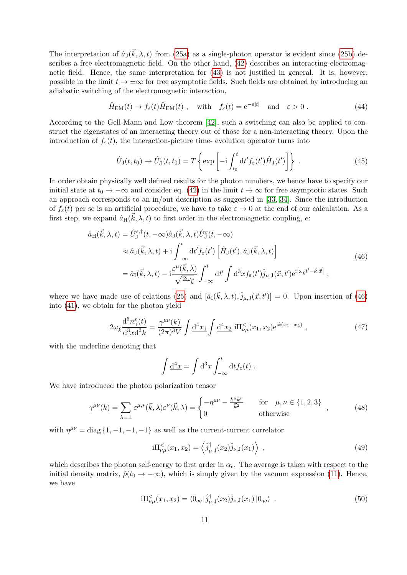The interpretation of  $\hat{a}_{\text{J}}(\vec{k},\lambda,t)$  from [\(25a\)](#page-7-2) as a single-photon operator is evident since [\(25b\)](#page-7-2) describes a free electromagnetic field. On the other hand, [\(42\)](#page-9-3) describes an interacting electromagnetic field. Hence, the same interpretation for [\(43\)](#page-9-4) is not justified in general. It is, however, possible in the limit  $t \to \pm \infty$  for free asymptotic fields. Such fields are obtained by introducing an adiabatic switching of the electromagnetic interaction,

<span id="page-10-4"></span>
$$
\hat{H}_{\text{EM}}(t) \to f_{\varepsilon}(t)\hat{H}_{\text{EM}}(t) , \quad \text{with} \quad f_{\varepsilon}(t) = e^{-\varepsilon|t|} \quad \text{and} \quad \varepsilon > 0 . \tag{44}
$$

According to the Gell-Mann and Low theorem [\[42\]](#page-68-15), such a switching can also be applied to construct the eigenstates of an interacting theory out of those for a non-interacting theory. Upon the introduction of  $f_{\varepsilon}(t)$ , the interaction-picture time- evolution operator turns into

$$
\hat{U}_{\mathcal{J}}(t,t_0) \to \hat{U}_{\mathcal{J}}^{\varepsilon}(t,t_0) = T \left\{ \exp \left[ -i \int_{t_0}^{t} dt' f_{\varepsilon}(t') \hat{H}_{\mathcal{J}}(t') \right] \right\} \ . \tag{45}
$$

In order obtain physically well defined results for the photon numbers, we hence have to specify our initial state at  $t_0 \to -\infty$  and consider eq. [\(42\)](#page-9-3) in the limit  $t \to \infty$  for free asymptotic states. Such an approach corresponds to an in/out description as suggested in [\[33,](#page-68-6) [34\]](#page-68-7). Since the introduction of  $f_{\varepsilon}(t)$  per se is an artificial procedure, we have to take  $\varepsilon \to 0$  at the end of our calculation. As a first step, we expand  $\hat{a}_{\text{H}}(\vec{k},\lambda,t)$  to first order in the electromagnetic coupling, e:

$$
\hat{a}_{\mathrm{H}}(\vec{k},\lambda,t) = \hat{U}_{\mathrm{J}}^{\varepsilon,\dagger}(t,-\infty)\hat{a}_{\mathrm{J}}(\vec{k},\lambda,t)\hat{U}_{\mathrm{J}}^{\varepsilon}(t,-\infty) \n\approx \hat{a}_{\mathrm{J}}(\vec{k},\lambda,t) + i\int_{-\infty}^{t} dt' f_{\varepsilon}(t') \left[\hat{H}_{\mathrm{J}}(t'),\hat{a}_{\mathrm{J}}(\vec{k},\lambda,t)\right] \n= \hat{a}_{\mathrm{I}}(\vec{k},\lambda,t) - i\frac{\varepsilon^{\mu}(\vec{k},\lambda)}{\sqrt{2\omega_{\vec{k}}}} \int_{-\infty}^{t} dt' \int d^{3}x f_{\varepsilon}(t')\hat{j}_{\mu,\mathrm{J}}(\vec{x},t') e^{i\left[\omega_{\vec{k}}t'-\vec{k}\cdot\vec{x}\right]},
$$
\n(46)

<span id="page-10-0"></span>where we have made use of relations [\(25\)](#page-7-3) and  $[\hat{a}_{I}(\vec{k},\lambda,t), \hat{j}_{\mu,J}(\vec{x},t')] = 0$ . Upon insertion of [\(46\)](#page-10-0) into [\(41\)](#page-9-2), we obtain for the photon yield

<span id="page-10-2"></span>
$$
2\omega_{\vec{k}} \frac{\mathrm{d}^6 n_{\gamma}^{\varepsilon}(t)}{\mathrm{d}^3 x \mathrm{d}^3 k} = \frac{\gamma^{\mu\nu}(k)}{(2\pi)^3 V} \int \frac{\mathrm{d}^4 x_1}{\mathrm{d}^4 x_1} \int \frac{\mathrm{d}^4 x_2}{\mathrm{d}^4 x_2} \, \mathrm{i} \Pi_{\nu\mu}^{\leq}(x_1, x_2) \mathrm{e}^{\mathrm{i}k(x_1 - x_2)} \;, \tag{47}
$$

with the underline denoting that

$$
\int \underline{\mathrm{d}^4 x} = \int \mathrm{d}^3 x \int_{-\infty}^t \mathrm{d}t f_\varepsilon(t) .
$$

We have introduced the photon polarization tensor

<span id="page-10-3"></span>
$$
\gamma^{\mu\nu}(k) = \sum_{\lambda=\perp} \varepsilon^{\mu,*}(\vec{k}, \lambda) \varepsilon^{\nu}(\vec{k}, \lambda) = \begin{cases} -\eta^{\mu\nu} - \frac{k^{\mu}k^{\nu}}{\vec{k}^{2}} & \text{for } \mu, \nu \in \{1, 2, 3\} \\ 0 & \text{otherwise} \end{cases},
$$
(48)

with  $\eta^{\mu\nu} = \text{diag} \{1, -1, -1, -1\}$  as well as the current-current correlator

$$
i\Pi_{\nu\mu}^{<}(x_1, x_2) = \left\langle \hat{j}^{\dagger}_{\mu, \mathbf{J}}(x_2) \hat{j}_{\nu, \mathbf{J}}(x_1) \right\rangle , \qquad (49)
$$

which describes the photon self-energy to first order in  $\alpha_e$ . The average is taken with respect to the initial density matrix,  $\hat{\rho}(t_0 \to -\infty)$ , which is simply given by the vacuum expression [\(11\)](#page-6-2). Hence, we have

<span id="page-10-1"></span>
$$
i\Pi_{\nu\mu}^{<}(x_1, x_2) = \langle 0_{q\bar{q}} | \hat{j}^{\dagger}_{\mu, J}(x_2) \hat{j}_{\nu, J}(x_1) | 0_{q\bar{q}} \rangle . \tag{50}
$$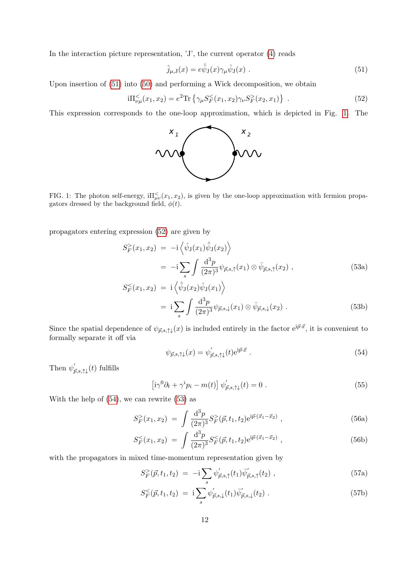In the interaction picture representation, 'J', the current operator [\(4\)](#page-4-1) reads

<span id="page-11-0"></span>
$$
\hat{j}_{\mu,\mathbf{J}}(x) = e\hat{\bar{\psi}}_{\mathbf{J}}(x)\gamma_{\mu}\hat{\psi}_{\mathbf{J}}(x) \tag{51}
$$

Upon insertion of [\(51\)](#page-11-0) into [\(50\)](#page-10-1) and performing a Wick decomposition, we obtain

<span id="page-11-2"></span>
$$
i\Pi_{\nu\mu}^{<}(x_1, x_2) = e^2 \text{Tr} \left\{ \gamma_{\mu} S_F^{<}(x_1, x_2) \gamma_{\nu} S_F^{>}(x_2, x_1) \right\} \ . \tag{52}
$$

This expression corresponds to the one-loop approximation, which is depicted in Fig. [1.](#page-11-1) The



<span id="page-11-1"></span>FIG. 1: The photon self-energy,  $i\Pi_{\mu\nu}^{\le}(x_1, x_2)$ , is given by the one-loop approximation with fermion propagators dressed by the background field,  $\phi(t)$ .

propagators entering expression [\(52\)](#page-11-2) are given by

<span id="page-11-6"></span><span id="page-11-4"></span>
$$
S_F^>(x_1, x_2) = -i \left\langle \hat{\psi}_J(x_1) \hat{\bar{\psi}}_J(x_2) \right\rangle
$$
  
= 
$$
-i \sum_s \int \frac{d^3 p}{(2\pi)^3} \psi_{\vec{p},s,\uparrow}(x_1) \otimes \bar{\psi}_{\vec{p},s,\uparrow}(x_2) ,
$$
 (53a)

$$
S_F^{\leq}(x_1, x_2) = \mathbf{i} \left\langle \hat{\psi}_\mathbf{J}(x_2) \hat{\psi}_\mathbf{J}(x_1) \right\rangle
$$
  
= 
$$
\mathbf{i} \sum_s \int \frac{\mathrm{d}^3 p}{(2\pi)^3} \psi_{\vec{p},s,\downarrow}(x_1) \otimes \bar{\psi}_{\vec{p},s,\downarrow}(x_2) .
$$
 (53b)

Since the spatial dependence of  $\psi_{\vec{p},s,\uparrow\downarrow}(x)$  is included entirely in the factor  $e^{i\vec{p}\cdot\vec{x}}$ , it is convenient to formally separate it off via

<span id="page-11-3"></span>
$$
\psi_{\vec{p},s,\uparrow\downarrow}(x) = \psi'_{\vec{p},s,\uparrow\downarrow}(t) e^{i\vec{p}\cdot\vec{x}} \ . \tag{54}
$$

Then  $\psi_{\vec{p},s,\uparrow\downarrow}(t)$  fulfills

$$
\left[i\gamma^{0}\partial_{t} + \gamma^{i}p_{i} - m(t)\right]\psi_{\vec{p},s,\uparrow\downarrow}^{\prime}(t) = 0.
$$
\n(55)

With the help of [\(54\)](#page-11-3), we can rewrite [\(53\)](#page-11-4) as

$$
S_F^>(x_1, x_2) = \int \frac{\mathrm{d}^3 p}{(2\pi)^3} S_F^>(\vec{p}, t_1, t_2) e^{i\vec{p}\cdot(\vec{x}_1 - \vec{x}_2)}, \qquad (56a)
$$

$$
S_F^{\leq}(x_1, x_2) = \int \frac{\mathrm{d}^3 p}{(2\pi)^3} S_F^{\leq}( \vec{p}, t_1, t_2) e^{i \vec{p} \cdot (\vec{x}_1 - \vec{x}_2)}, \qquad (56b)
$$

with the propagators in mixed time-momentum representation given by

<span id="page-11-5"></span>
$$
S_F^>(\vec{p}, t_1, t_2) = -i \sum_s \psi'_{\vec{p}, s, \uparrow}(t_1) \bar{\psi}'_{\vec{p}, s, \uparrow}(t_2) , \qquad (57a)
$$

$$
S_F^{\leq}(\vec{p}, t_1, t_2) = \mathbf{i} \sum_s \psi'_{\vec{p}, s, \downarrow}(t_1) \bar{\psi}'_{\vec{p}, s, \downarrow}(t_2) . \tag{57b}
$$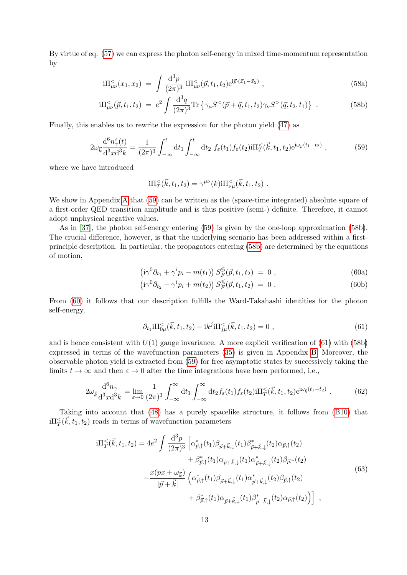By virtue of eq. [\(57\)](#page-11-5) we can express the photon self-energy in mixed time-momentum representation by

<span id="page-12-2"></span>
$$
i\Pi^{\leq}_{\mu\nu}(x_1, x_2) = \int \frac{d^3 p}{(2\pi)^3} i\Pi^{\leq}_{\mu\nu}(\vec{p}, t_1, t_2) e^{i\vec{p}\cdot(\vec{x}_1 - \vec{x}_2)}, \qquad (58a)
$$

$$
i\Pi_{\mu\nu}^{<}(\vec{p},t_1,t_2) = e^2 \int \frac{d^3q}{(2\pi)^3} \text{Tr} \left\{ \gamma_{\mu} S^{<}(\vec{p}+\vec{q},t_1,t_2) \gamma_{\nu} S^{>}(\vec{q},t_2,t_1) \right\} \ . \tag{58b}
$$

Finally, this enables us to rewrite the expression for the photon yield [\(47\)](#page-10-2) as

<span id="page-12-1"></span>
$$
2\omega_{\vec{k}}\frac{\mathrm{d}^6 n_{\gamma}^{\varepsilon}(t)}{\mathrm{d}^3 x \mathrm{d}^3 k} = \frac{1}{(2\pi)^3} \int_{-\infty}^t \mathrm{d}t_1 \int_{-\infty}^t \mathrm{d}t_2 f_{\varepsilon}(t_1) f_{\varepsilon}(t_2) \mathrm{i} \Pi_{T}^{\leq}(\vec{k}, t_1, t_2) \mathrm{e}^{\mathrm{i}\omega_{\vec{k}}(t_1 - t_2)}, \tag{59}
$$

where we have introduced

$$
i\Pi_{T}^{\leq}(\vec{k},t_1,t_2) = \gamma^{\mu\nu}(k) i\Pi_{\nu\mu}^{\leq}(\vec{k},t_1,t_2) .
$$

We show in [A](#page-50-0)ppendix A that  $(59)$  can be written as the (space-time integrated) absolute square of a first-order QED transition amplitude and is thus positive (semi-) definite. Therefore, it cannot adopt unphysical negative values.

<span id="page-12-3"></span>As in [\[37\]](#page-68-10), the photon self-energy entering [\(59\)](#page-12-1) is given by the one-loop approximation [\(58b\)](#page-12-2). The crucial difference, however, is that the underlying scenario has been addressed within a firstprinciple description. In particular, the propagators entering [\(58b\)](#page-12-2) are determined by the equations of motion,

$$
(i\gamma^{0}\partial_{t_{1}} + \gamma^{i}p_{i} - m(t_{1})) S_{F}^{\leq}( \vec{p}, t_{1}, t_{2}) = 0 , \qquad (60a)
$$

$$
(i\gamma^{0}\partial_{t_{2}} - \gamma^{i}p_{i} + m(t_{2})) S_{F}^{\leqslant}(\vec{p}, t_{1}, t_{2}) = 0.
$$
 (60b)

From [\(60\)](#page-12-3) it follows that our description fulfills the Ward-Takahashi identities for the photon self-energy,

<span id="page-12-0"></span>
$$
\partial_{t_1} i \Pi_{0\mu}^{\leq}(\vec{k}, t_1, t_2) - i k^j i \Pi_{j\mu}^{\leq}(\vec{k}, t_1, t_2) = 0 , \qquad (61)
$$

and is hence consistent with  $U(1)$  gauge invariance. A more explicit verification of [\(61\)](#page-12-0) with [\(58b\)](#page-12-2) expressed in terms of the wavefunction parameters [\(35\)](#page-8-1) is given in Appendix [B.](#page-54-0) Moreover, the observable photon yield is extracted from [\(59\)](#page-12-1) for free asymptotic states by successively taking the limits  $t \to \infty$  and then  $\varepsilon \to 0$  after the time integrations have been performed, i.e.,

<span id="page-12-5"></span>
$$
2\omega_{\vec{k}}\frac{\mathrm{d}^6 n_\gamma}{\mathrm{d}^3 x \mathrm{d}^3 k} = \lim_{\varepsilon \to 0} \frac{1}{(2\pi)^3} \int_{-\infty}^{\infty} \mathrm{d}t_1 \int_{-\infty}^{\infty} \mathrm{d}t_2 f_{\varepsilon}(t_1) f_{\varepsilon}(t_2) \mathrm{i} \Pi_{T}^{<}(\vec{k}, t_1, t_2) e^{i\omega_{\vec{k}}(t_1 - t_2)} . \tag{62}
$$

<span id="page-12-4"></span>Taking into account that [\(48\)](#page-10-3) has a purely spacelike structure, it follows from [\(B10\)](#page-56-0) that  $\mathrm{i} \Pi^<_T(\vec{k}, t_1, t_2)$  reads in terms of wavefunction parameters

$$
i\Pi_{T}^{<}(\vec{k},t_{1},t_{2}) = 4e^{2} \int \frac{d^{3}p}{(2\pi)^{3}} \left[ \alpha_{\vec{p},\uparrow}^{*}(t_{1}) \beta_{\vec{p}+\vec{k},\downarrow}(t_{1}) \beta_{\vec{p}+\vec{k},\downarrow}(t_{2}) \alpha_{\vec{p},\uparrow}(t_{2}) + \beta_{\vec{p},\uparrow}^{*}(t_{1}) \alpha_{\vec{p}+\vec{k},\downarrow}(t_{1}) \alpha_{\vec{p}+\vec{k},\downarrow}(t_{2}) \beta_{\vec{p},\uparrow}(t_{2}) - \frac{x(px + \omega_{\vec{k}})}{|\vec{p}+\vec{k}|} \left( \alpha_{\vec{p},\uparrow}^{*}(t_{1}) \beta_{\vec{p}+\vec{k},\downarrow}(t_{1}) \alpha_{\vec{p}+\vec{k},\downarrow}(t_{2}) \beta_{\vec{p},\uparrow}(t_{2}) + \beta_{\vec{p},\uparrow}^{*}(t_{1}) \alpha_{\vec{p}+\vec{k},\downarrow}(t_{1}) \beta_{\vec{p}+\vec{k},\downarrow}(t_{2}) \alpha_{\vec{p},\uparrow}(t_{2}) \right] ,
$$
\n(63)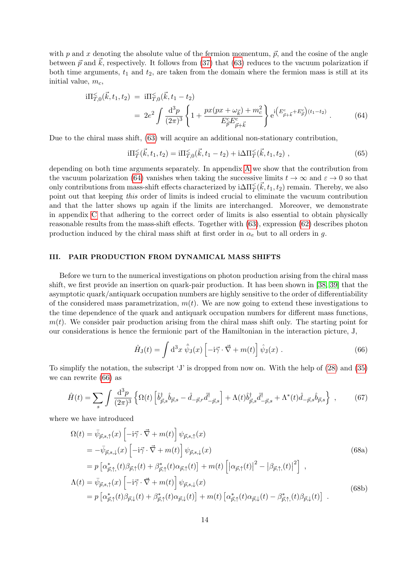with p and x denoting the absolute value of the fermion momentum,  $\vec{p}$ , and the cosine of the angle between  $\vec{p}$  and  $\vec{k}$ , respectively. It follows from [\(37\)](#page-9-5) that [\(63\)](#page-12-4) reduces to the vacuum polarization if both time arguments,  $t_1$  and  $t_2$ , are taken from the domain where the fermion mass is still at its initial value,  $m_c$ ,

<span id="page-13-1"></span>
$$
i\Pi_{T,0}^{\leq}(\vec{k},t_1,t_2) = i\Pi_{T,0}^{\leq}(\vec{k},t_1-t_2)
$$
  
= 
$$
2e^2 \int \frac{d^3p}{(2\pi)^3} \left\{ 1 + \frac{px(px + \omega_{\vec{k}}) + m_c^2}{E_{\vec{p}}^c E_{\vec{p}+\vec{k}}^c} \right\} e^{i\left(E_{\vec{p}+\vec{k}}^c + E_{\vec{p}}^c\right)(t_1-t_2)}.
$$
 (64)

Due to the chiral mass shift, [\(63\)](#page-12-4) will acquire an additional non-stationary contribution,

$$
i\Pi_T^{\leq}(\vec{k}, t_1, t_2) = i\Pi_{T,0}^{\leq}(\vec{k}, t_1 - t_2) + i\Delta \Pi_T^{\leq}(\vec{k}, t_1, t_2) ,
$$
\n(65)

depending on both time arguments separately. In appendix [A](#page-50-0) we show that the contribution from the vacuum polarization [\(64\)](#page-13-1) vanishes when taking the successive limits  $t \to \infty$  and  $\varepsilon \to 0$  so that only contributions from mass-shift effects characterized by  $i\Delta\Pi_T^{\leq}(\vec{k}, t_1, t_2)$  remain. Thereby, we also point out that keeping this order of limits is indeed crucial to eliminate the vacuum contribution and that the latter shows up again if the limits are interchanged. Moreover, we demonstrate in appendix [C](#page-57-0) that adhering to the correct order of limits is also essential to obtain physically reasonable results from the mass-shift effects. Together with [\(63\)](#page-12-4), expression [\(62\)](#page-12-5) describes photon production induced by the chiral mass shift at first order in  $\alpha_e$  but to all orders in g.

# <span id="page-13-0"></span>III. PAIR PRODUCTION FROM DYNAMICAL MASS SHIFTS

Before we turn to the numerical investigations on photon production arising from the chiral mass shift, we first provide an insertion on quark-pair production. It has been shown in [\[38,](#page-68-11) [39\]](#page-68-12) that the asymptotic quark/antiquark occupation numbers are highly sensitive to the order of differentiability of the considered mass parametrization,  $m(t)$ . We are now going to extend these investigations to the time dependence of the quark and antiquark occupation numbers for different mass functions,  $m(t)$ . We consider pair production arising from the chiral mass shift only. The starting point for our considerations is hence the fermionic part of the Hamiltonian in the interaction picture, J,

<span id="page-13-5"></span><span id="page-13-4"></span><span id="page-13-3"></span><span id="page-13-2"></span>
$$
\hat{H}_{\mathcal{J}}(t) = \int d^3x \,\hat{\bar{\psi}}_{\mathcal{J}}(x) \left[ -\mathrm{i}\vec{\gamma} \cdot \vec{\nabla} + m(t) \right] \hat{\psi}_{\mathcal{J}}(x) . \tag{66}
$$

To simplify the notation, the subscript 'J' is dropped from now on. With the help of [\(28\)](#page-7-4) and [\(35\)](#page-8-1) we can rewrite [\(66\)](#page-13-2) as

$$
\hat{H}(t) = \sum_{s} \int \frac{\mathrm{d}^3 p}{(2\pi)^3} \left\{ \Omega(t) \left[ \hat{b}_{\vec{p},s}^{\dagger} \hat{b}_{\vec{p},s} - \hat{d}_{-\vec{p},r} \hat{d}_{-\vec{p},s}^{\dagger} \right] + \Lambda(t) \hat{b}_{\vec{p},s}^{\dagger} \hat{d}_{-\vec{p},s}^{\dagger} + \Lambda^*(t) \hat{d}_{-\vec{p},s} \hat{b}_{\vec{p},s} \right\} ,\qquad(67)
$$

where we have introduced

$$
\Omega(t) = \bar{\psi}_{\vec{p},s,\uparrow}(x) \left[ -i\vec{\gamma} \cdot \vec{\nabla} + m(t) \right] \psi_{\vec{p},s,\uparrow}(x)
$$
\n
$$
= -\bar{\psi}_{\vec{p},s,\downarrow}(x) \left[ -i\vec{\gamma} \cdot \vec{\nabla} + m(t) \right] \psi_{\vec{p},s,\downarrow}(x)
$$
\n
$$
= p \left[ \alpha_{\vec{p},\uparrow,\uparrow}^*(t) \beta_{\vec{p},\uparrow}(t) + \beta_{\vec{p},\uparrow}^*(t) \alpha_{\vec{p},\uparrow}(t) \right] + m(t) \left[ \left| \alpha_{\vec{p},\uparrow}(t) \right|^2 - \left| \beta_{\vec{p},\uparrow,\uparrow}(t) \right|^2 \right],
$$
\n
$$
\Lambda(t) = \bar{\psi}_{\vec{p},s,\uparrow}(x) \left[ -i\vec{\gamma} \cdot \vec{\nabla} + m(t) \right] \psi_{\vec{p},s,\downarrow}(x)
$$
\n
$$
= p \left[ \alpha_{\vec{p},\uparrow}^*(t) \beta_{\vec{p},\downarrow}(t) + \beta_{\vec{p},\uparrow}^*(t) \alpha_{\vec{p},\downarrow}(t) \right] + m(t) \left[ \alpha_{\vec{p},\uparrow}^*(t) \alpha_{\vec{p},\downarrow}(t) - \beta_{\vec{p},\uparrow,\uparrow}^*(t) \beta_{\vec{p},\downarrow}(t) \right].
$$
\n(68b)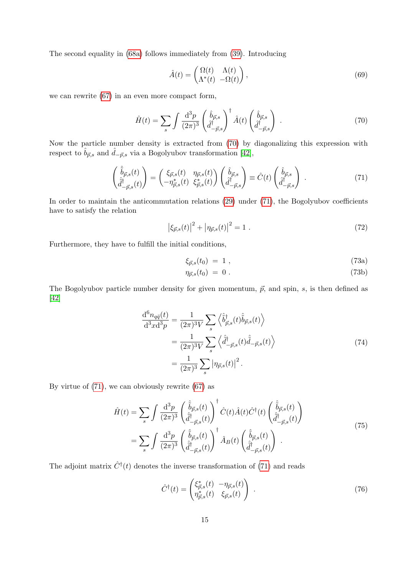The second equality in [\(68a\)](#page-13-3) follows immediately from [\(39\)](#page-9-1). Introducing

$$
\hat{A}(t) = \begin{pmatrix} \Omega(t) & \Lambda(t) \\ \Lambda^*(t) & -\Omega(t) \end{pmatrix},\tag{69}
$$

we can rewrite [\(67\)](#page-13-4) in an even more compact form,

<span id="page-14-0"></span>
$$
\hat{H}(t) = \sum_{s} \int \frac{\mathrm{d}^3 p}{(2\pi)^3} \left(\frac{\hat{b}_{\vec{p},s}}{\hat{d}_{-\vec{p},s}^{\dagger}}\right)^{\dagger} \hat{A}(t) \left(\frac{\hat{b}_{\vec{p},s}}{\hat{d}_{-\vec{p},s}^{\dagger}}\right) \,. \tag{70}
$$

Now the particle number density is extracted from [\(70\)](#page-14-0) by diagonalizing this expression with respect to  $\hat{b}_{\vec{p},s}$  and  $\hat{d}_{-\vec{p},s}$  via a Bogolyubov transformation [\[42\]](#page-68-15),

<span id="page-14-1"></span>
$$
\begin{pmatrix}\n\hat{b}_{\vec{p},s}(t) \\
\hat{d}_{-\vec{p},s}^{\dagger}(t)\n\end{pmatrix} = \begin{pmatrix}\n\xi_{\vec{p},s}(t) & \eta_{\vec{p},s}(t) \\
-\eta_{\vec{p},s}^*(t) & \xi_{\vec{p},s}^*(t)\n\end{pmatrix} \begin{pmatrix}\n\hat{b}_{\vec{p},s} \\
\hat{d}_{-\vec{p},s}^{\dagger}\n\end{pmatrix} \equiv \hat{C}(t) \begin{pmatrix}\n\hat{b}_{\vec{p},s} \\
\hat{d}_{-\vec{p},s}^{\dagger}\n\end{pmatrix} .
$$
\n(71)

In order to maintain the anticommutation relations [\(29\)](#page-8-2) under [\(71\)](#page-14-1), the Bogolyubov coefficients have to satisfy the relation

<span id="page-14-5"></span>
$$
|\xi_{\vec{p},s}(t)|^2 + |\eta_{\vec{p},s}(t)|^2 = 1.
$$
\n(72)

Furthermore, they have to fulfill the initial conditions,

<span id="page-14-3"></span>
$$
\xi_{\vec{p},s}(t_0) = 1 \tag{73a}
$$

$$
\eta_{\vec{p},s}(t_0) = 0. \tag{73b}
$$

The Bogolyubov particle number density for given momentum,  $\vec{p}$ , and spin, s, is then defined as [\[42\]](#page-68-15)

$$
\frac{\mathrm{d}^{6}n_{q\bar{q}}(t)}{\mathrm{d}^{3}x\mathrm{d}^{3}p} = \frac{1}{(2\pi)^{3}V} \sum_{s} \left\langle \hat{b}^{\dagger}_{\vec{p},s}(t)\hat{b}_{\vec{p},s}(t) \right\rangle
$$
\n
$$
= \frac{1}{(2\pi)^{3}V} \sum_{s} \left\langle \hat{d}^{\dagger}_{-\vec{p},s}(t)\hat{d}_{-\vec{p},s}(t) \right\rangle
$$
\n
$$
= \frac{1}{(2\pi)^{3}} \sum_{s} |\eta_{\vec{p},s}(t)|^{2}.
$$
\n(74)

<span id="page-14-2"></span>By virtue of [\(71\)](#page-14-1), we can obviously rewrite [\(67\)](#page-13-4) as

$$
\hat{H}(t) = \sum_{s} \int \frac{\mathrm{d}^3 p}{(2\pi)^3} \left( \frac{\hat{\tilde{b}}_{\vec{p},s}(t)}{\hat{\tilde{d}}_{-\vec{p},s}^{\dagger}(t)} \right)^{\dagger} \hat{C}(t) \hat{A}(t) \hat{C}^{\dagger}(t) \left( \frac{\hat{\tilde{b}}_{\vec{p},s}(t)}{\hat{\tilde{d}}_{-\vec{p},s}^{\dagger}(t)} \right) \n= \sum_{s} \int \frac{\mathrm{d}^3 p}{(2\pi)^3} \left( \frac{\hat{\tilde{b}}_{\vec{p},s}(t)}{\hat{\tilde{d}}_{-\vec{p},s}^{\dagger}(t)} \right)^{\dagger} \hat{A}_B(t) \left( \frac{\hat{\tilde{b}}_{\vec{p},s}(t)}{\hat{\tilde{d}}_{-\vec{p},s}^{\dagger}(t)} \right) .
$$
\n(75)

The adjoint matrix  $\hat{C}^{\dagger}(t)$  denotes the inverse transformation of [\(71\)](#page-14-1) and reads

<span id="page-14-4"></span>
$$
\hat{C}^{\dagger}(t) = \begin{pmatrix} \xi_{\vec{p},s}^{*}(t) & -\eta_{\vec{p},s}(t) \\ \eta_{\vec{p},s}^{*}(t) & \xi_{\vec{p},s}(t) \end{pmatrix} . \tag{76}
$$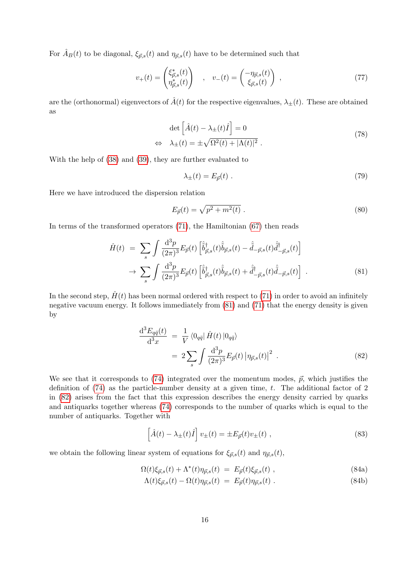For  $\hat{A}_B(t)$  to be diagonal,  $\xi_{\vec{p},s}(t)$  and  $\eta_{\vec{p},s}(t)$  have to be determined such that

$$
v_{+}(t) = \begin{pmatrix} \xi_{\vec{p},s}^{*}(t) \\ \eta_{\vec{p},s}^{*}(t) \end{pmatrix} , \quad v_{-}(t) = \begin{pmatrix} -\eta_{\vec{p},s}(t) \\ \xi_{\vec{p},s}(t) \end{pmatrix} , \tag{77}
$$

are the (orthonormal) eigenvectors of  $\hat{A}(t)$  for the respective eigenvalues,  $\lambda_{\pm}(t)$ . These are obtained as

$$
\det \left[ \hat{A}(t) - \lambda_{\pm}(t) \hat{I} \right] = 0
$$
  

$$
\lambda_{\pm}(t) = \pm \sqrt{\Omega^2(t) + |\Lambda(t)|^2} .
$$
 (78)

With the help of [\(38\)](#page-9-0) and [\(39\)](#page-9-1), they are further evaluated to

 $\Leftrightarrow$ 

$$
\lambda_{\pm}(t) = E_{\vec{p}}(t) \tag{79}
$$

Here we have introduced the dispersion relation

<span id="page-15-2"></span>
$$
E_{\vec{p}}(t) = \sqrt{p^2 + m^2(t)} \ . \tag{80}
$$

In terms of the transformed operators  $(71)$ , the Hamiltonian  $(67)$  then reads

<span id="page-15-0"></span>
$$
\hat{H}(t) = \sum_{s} \int \frac{\mathrm{d}^3 p}{(2\pi)^3} E_{\vec{p}}(t) \left[ \hat{\vec{b}}^{\dagger}_{\vec{p},s}(t) \hat{\vec{b}}_{\vec{p},s}(t) - \hat{\vec{d}}_{-\vec{p},s}(t) \hat{\vec{d}}^{\dagger}_{-\vec{p},s}(t) \right] \n\to \sum_{s} \int \frac{\mathrm{d}^3 p}{(2\pi)^3} E_{\vec{p}}(t) \left[ \hat{\vec{b}}^{\dagger}_{\vec{p},s}(t) \hat{\vec{b}}_{\vec{p},s}(t) + \hat{\vec{d}}^{\dagger}_{-\vec{p},s}(t) \hat{\vec{d}}_{-\vec{p},s}(t) \right] .
$$
\n(81)

In the second step,  $\hat{H}(t)$  has been normal ordered with respect to [\(71\)](#page-14-1) in order to avoid an infinitely negative vacuum energy. It follows immediately from [\(81\)](#page-15-0) and [\(71\)](#page-14-1) that the energy density is given by

<span id="page-15-1"></span>
$$
\frac{\mathrm{d}^3 E_{q\bar{q}}(t)}{\mathrm{d}^3 x} = \frac{1}{V} \langle 0_{q\bar{q}} | \hat{H}(t) | 0_{q\bar{q}} \rangle
$$
  

$$
= 2 \sum_{s} \int \frac{\mathrm{d}^3 p}{(2\pi)^3} E_{\vec{p}}(t) | \eta_{\vec{p},s}(t) |^2 .
$$
 (82)

We see that it corresponds to [\(74\)](#page-14-2) integrated over the momentum modes,  $\vec{p}$ , which justifies the definition of  $(74)$  as the particle-number density at a given time, t. The additional factor of 2 in [\(82\)](#page-15-1) arises from the fact that this expression describes the energy density carried by quarks and antiquarks together whereas [\(74\)](#page-14-2) corresponds to the number of quarks which is equal to the number of antiquarks. Together with

<span id="page-15-3"></span>
$$
\left[\hat{A}(t) - \lambda_{\pm}(t)\hat{I}\right]v_{\pm}(t) = \pm E_{\vec{p}}(t)v_{\pm}(t) ,\qquad (83)
$$

we obtain the following linear system of equations for  $\xi_{\vec{p},s}(t)$  and  $\eta_{\vec{p},s}(t)$ ,

$$
\Omega(t)\xi_{\vec{p},s}(t) + \Lambda^*(t)\eta_{\vec{p},s}(t) = E_{\vec{p}}(t)\xi_{\vec{p},s}(t) ,
$$
\n(84a)

$$
\Lambda(t)\xi_{\vec{p},s}(t) - \Omega(t)\eta_{\vec{p},s}(t) = E_{\vec{p}}(t)\eta_{\vec{p},s}(t) . \tag{84b}
$$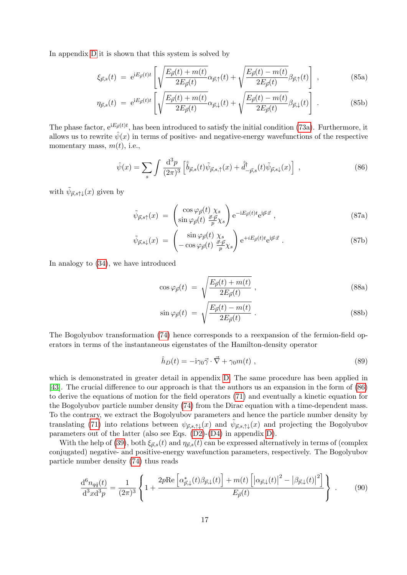In appendix [D](#page-61-0) it is shown that this system is solved by

<span id="page-16-3"></span><span id="page-16-2"></span>
$$
\xi_{\vec{p},s}(t) = e^{iE_{\vec{p}}(t)t} \left[ \sqrt{\frac{E_{\vec{p}}(t) + m(t)}{2E_{\vec{p}}(t)}} \alpha_{\vec{p},\uparrow}(t) + \sqrt{\frac{E_{\vec{p}}(t) - m(t)}{2E_{\vec{p}}(t)}} \beta_{\vec{p},\uparrow}(t) \right],
$$
\n(85a)

$$
\eta_{\vec{p},s}(t) = e^{iE_{\vec{p}}(t)t} \left[ \sqrt{\frac{E_{\vec{p}}(t) + m(t)}{2E_{\vec{p}}(t)}} \alpha_{\vec{p},\downarrow}(t) + \sqrt{\frac{E_{\vec{p}}(t) - m(t)}{2E_{\vec{p}}(t)}} \beta_{\vec{p},\downarrow}(t) \right] . \tag{85b}
$$

The phase factor,  $e^{iE_{\vec{p}}(t)t}$ , has been introduced to satisfy the initial condition [\(73a\)](#page-14-3). Furthermore, it allows us to rewrite  $\hat{\psi}(x)$  in terms of positive- and negative-energy wavefunctions of the respective momentary mass,  $m(t)$ , i.e.,

<span id="page-16-0"></span>
$$
\hat{\psi}(x) = \sum_{s} \int \frac{\mathrm{d}^3 p}{(2\pi)^3} \left[ \hat{\tilde{b}}_{\vec{p},s}(t) \tilde{\psi}_{\vec{p},s,\uparrow}(x) + \hat{\tilde{d}}^{\dagger}_{-\vec{p},s}(t) \tilde{\psi}_{\vec{p},s\downarrow}(x) \right] , \qquad (86)
$$

with  $\tilde{\psi}_{\vec{p},s\uparrow\downarrow}(x)$  given by

$$
\tilde{\psi}_{\vec{p},s\uparrow}(x) = \begin{pmatrix} \cos\varphi_{\vec{p}}(t) \chi_s \\ \sin\varphi_{\vec{p}}(t) \frac{\vec{\sigma} \cdot \vec{p}}{p} \chi_s \end{pmatrix} e^{-iE_{\vec{p}}(t)t} e^{i\vec{p}\cdot\vec{x}} , \qquad (87a)
$$

$$
\tilde{\psi}_{\vec{p},s\downarrow}(x) = \begin{pmatrix} \sin\varphi_{\vec{p}}(t) \ \chi_s \\ -\cos\varphi_{\vec{p}}(t) \ \frac{\vec{\sigma}\cdot\vec{p}}{p}\chi_s \end{pmatrix} e^{+iE_{\vec{p}}(t)t} e^{i\vec{p}\cdot\vec{x}} . \tag{87b}
$$

In analogy to [\(34\)](#page-8-3), we have introduced

$$
\cos \varphi_{\vec{p}}(t) = \sqrt{\frac{E_{\vec{p}}(t) + m(t)}{2E_{\vec{p}}(t)}} , \qquad (88a)
$$

$$
\sin \varphi_{\vec{p}}(t) = \sqrt{\frac{E_{\vec{p}}(t) - m(t)}{2E_{\vec{p}}(t)}}.
$$
\n(88b)

The Bogolyubov transformation [\(74\)](#page-14-2) hence corresponds to a reexpansion of the fermion-field operators in terms of the instantaneous eigenstates of the Hamilton-density operator

$$
\hat{h}_D(t) = -\mathrm{i}\gamma_0 \vec{\gamma} \cdot \vec{\nabla} + \gamma_0 m(t) , \qquad (89)
$$

which is demonstrated in greater detail in appendix [D.](#page-61-0) The same procedure has been applied in [\[43\]](#page-68-16). The crucial difference to our approach is that the authors us an expansion in the form of [\(86\)](#page-16-0) to derive the equations of motion for the field operators [\(71\)](#page-14-1) and eventually a kinetic equation for the Bogolyubov particle number density [\(74\)](#page-14-2) from the Dirac equation with a time-dependent mass. To the contrary, we extract the Bogolyubov parameters and hence the particle number density by translating [\(71\)](#page-14-1) into relations between  $\psi_{\vec{p},s,\uparrow\downarrow}(x)$  and  $\tilde{\psi}_{\vec{p},s,\uparrow\downarrow}(x)$  and projecting the Bogolyubov parameters out of the latter (also see Eqs. [\(D2\)](#page-61-1)-[\(D4\)](#page-61-2) in appendix [D\)](#page-61-0).

With the help of [\(39\)](#page-9-1), both  $\xi_{\vec{p},s}(t)$  and  $\eta_{\vec{p},s}(t)$  can be expressed alternatively in terms of (complex conjugated) negative- and positive-energy wavefunction parameters, respectively. The Bogolyubov particle number density [\(74\)](#page-14-2) thus reads

<span id="page-16-1"></span>
$$
\frac{\mathrm{d}^6 n_{q\bar{q}}(t)}{\mathrm{d}^3 x \mathrm{d}^3 p} = \frac{1}{(2\pi)^3} \left\{ 1 + \frac{2p \mathrm{Re} \left[ \alpha_{\vec{p},\downarrow}^*(t) \beta_{\vec{p},\downarrow}(t) \right] + m(t) \left[ \left| \alpha_{\vec{p},\downarrow}(t) \right|^2 - \left| \beta_{\vec{p},\downarrow}(t) \right|^2 \right]}{E_{\vec{p}}(t)} \right\} \ . \tag{90}
$$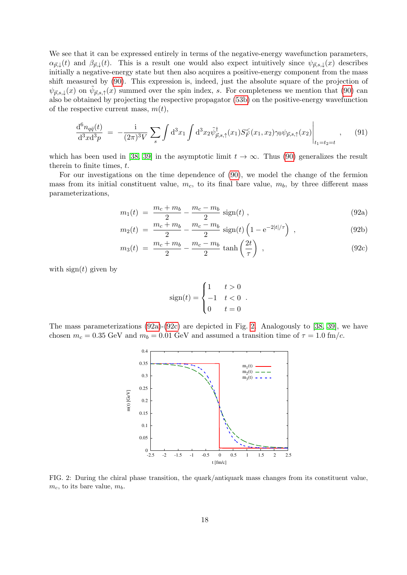We see that it can be expressed entirely in terms of the negative-energy wavefunction parameters,  $\alpha_{\vec{p},\downarrow}(t)$  and  $\beta_{\vec{p},\downarrow}(t)$ . This is a result one would also expect intuitively since  $\psi_{\vec{p},s,\downarrow}(x)$  describes initially a negative-energy state but then also acquires a positive-energy component from the mass shift measured by [\(90\)](#page-16-1). This expression is, indeed, just the absolute square of the projection of  $\psi_{\vec{p},s,\downarrow}(x)$  on  $\tilde{\psi}_{\vec{p},s,\uparrow}(x)$  summed over the spin index, s. For completeness we mention that [\(90\)](#page-16-1) can also be obtained by projecting the respective propagator [\(53b\)](#page-11-6) on the positive-energy wavefunction of the respective current mass,  $m(t)$ ,

$$
\frac{\mathrm{d}^6 n_{q\bar{q}}(t)}{\mathrm{d}^3 x \mathrm{d}^3 p} = -\frac{\mathrm{i}}{(2\pi)^3 V} \sum_{s} \int \mathrm{d}^3 x_1 \int \mathrm{d}^3 x_2 \tilde{\psi}^{\dagger}_{\vec{p},s,\uparrow}(x_1) S^{\leq}_{F}(x_1,x_2) \gamma_0 \psi_{\vec{p},s,\uparrow}(x_2) \Big|_{t_1=t_2=t} , \qquad (91)
$$

which has been used in [\[38,](#page-68-11) [39\]](#page-68-12) in the asymptotic limit  $t \to \infty$ . Thus [\(90\)](#page-16-1) generalizes the result therein to finite times, t.

For our investigations on the time dependence of [\(90\)](#page-16-1), we model the change of the fermion mass from its initial constituent value,  $m_c$ , to its final bare value,  $m_b$ , by three different mass parameterizations,

<span id="page-17-2"></span><span id="page-17-0"></span>
$$
m_1(t) = \frac{m_c + m_b}{2} - \frac{m_c - m_b}{2} \text{ sign}(t) , \qquad (92a)
$$

$$
m_2(t) = \frac{m_c + m_b}{2} - \frac{m_c - m_b}{2} \text{ sign}(t) \left( 1 - e^{-2|t|/\tau} \right) , \qquad (92b)
$$

$$
m_3(t) = \frac{m_c + m_b}{2} - \frac{m_c - m_b}{2} \tanh\left(\frac{2t}{\tau}\right) , \qquad (92c)
$$

with  $sign(t)$  given by

$$
sign(t) = \begin{cases} 1 & t > 0 \\ -1 & t < 0 \\ 0 & t = 0 \end{cases}.
$$

The mass parameterizations [\(92a\)](#page-17-0)-[\(92c\)](#page-17-0) are depicted in Fig. [2.](#page-17-1) Analogously to [\[38,](#page-68-11) [39\]](#page-68-12), we have chosen  $m_c = 0.35$  GeV and  $m_b = 0.01$  GeV and assumed a transition time of  $\tau = 1.0$  fm/c.



<span id="page-17-1"></span>FIG. 2: During the chiral phase transition, the quark/antiquark mass changes from its constituent value,  $m_c$ , to its bare value,  $m_b$ .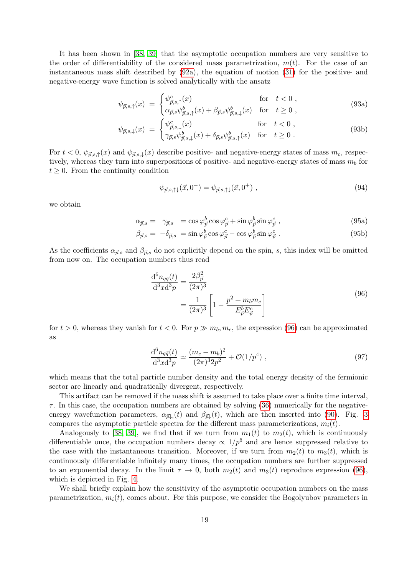It has been shown in [\[38,](#page-68-11) [39\]](#page-68-12) that the asymptotic occupation numbers are very sensitive to the order of differentiability of the considered mass parametrization,  $m(t)$ . For the case of an instantaneous mass shift described by [\(92a\)](#page-17-0), the equation of motion [\(31\)](#page-8-0) for the positive- and negative-energy wave function is solved analytically with the ansatz

<span id="page-18-2"></span>
$$
\psi_{\vec{p},s,\uparrow}(x) = \begin{cases} \psi_{\vec{p},s,\uparrow}^c(x) & \text{for } t < 0, \\ \alpha_{\vec{p},s} \psi_{\vec{p},s,\uparrow}^b(x) + \beta_{\vec{p},s} \psi_{\vec{p},s,\downarrow}^b(x) & \text{for } t \ge 0, \end{cases}
$$
(93a)

$$
\psi_{\vec{p},s,\downarrow}(x) = \begin{cases} \psi_{\vec{p},s,\downarrow}^c(x) & \text{for } t < 0, \\ \gamma_{\vec{p},s} \psi_{\vec{p},s,\downarrow}^b(x) + \delta_{\vec{p},s} \psi_{\vec{p},s,\uparrow}^b(x) & \text{for } t \ge 0. \end{cases}
$$
(93b)

For  $t < 0$ ,  $\psi_{\vec{p},s,\uparrow}(x)$  and  $\psi_{\vec{p},s,\downarrow}(x)$  describe positive- and negative-energy states of mass  $m_c$ , respectively, whereas they turn into superpositions of positive- and negative-energy states of mass  $m_b$  for  $t \geq 0$ . From the continuity condition

$$
\psi_{\vec{p},s,\uparrow\downarrow}(\vec{x},0^-) = \psi_{\vec{p},s,\uparrow\downarrow}(\vec{x},0^+) , \qquad (94)
$$

we obtain

<span id="page-18-3"></span>
$$
\alpha_{\vec{p},s} = \gamma_{\vec{p},s} = \cos\varphi_{\vec{p}}^b \cos\varphi_{\vec{p}}^c + \sin\varphi_{\vec{p}}^b \sin\varphi_{\vec{p}}^c , \qquad (95a)
$$

$$
\beta_{\vec{p},s} = -\delta_{\vec{p},s} = \sin \varphi_{\vec{p}}^b \cos \varphi_{\vec{p}}^c - \cos \varphi_{\vec{p}}^b \sin \varphi_{\vec{p}}^c. \tag{95b}
$$

As the coefficients  $\alpha_{\vec{p},s}$  and  $\beta_{\vec{p},s}$  do not explicitly depend on the spin, s, this index will be omitted from now on. The occupation numbers thus read

$$
\frac{\mathrm{d}^6 n_{q\bar{q}}(t)}{\mathrm{d}^3 x \mathrm{d}^3 p} = \frac{2\beta_{\vec{p}}^2}{(2\pi)^3} \n= \frac{1}{(2\pi)^3} \left[ 1 - \frac{p^2 + m_b m_c}{E_{\vec{p}}^b E_{\vec{p}}^c} \right]
$$
\n(96)

<span id="page-18-0"></span>for  $t > 0$ , whereas they vanish for  $t < 0$ . For  $p \gg m_b, m_c$ , the expression [\(96\)](#page-18-0) can be approximated as

<span id="page-18-1"></span>
$$
\frac{\mathrm{d}^6 n_{q\bar{q}}(t)}{\mathrm{d}^3 x \mathrm{d}^3 p} \simeq \frac{(m_c - m_b)^2}{(2\pi)^3 2p^2} + \mathcal{O}(1/p^4) \;, \tag{97}
$$

which means that the total particle number density and the total energy density of the fermionic sector are linearly and quadratically divergent, respectively.

This artifact can be removed if the mass shift is assumed to take place over a finite time interval,  $\tau$ . In this case, the occupation numbers are obtained by solving [\(36\)](#page-9-6) numerically for the negativeenergy wavefunction parameters,  $\alpha_{\vec{p}\downarrow}(t)$  and  $\beta_{\vec{p}\downarrow}(t)$ , which are then inserted into [\(90\)](#page-16-1). Fig. [3](#page-19-0) compares the asymptotic particle spectra for the different mass parameterizations,  $m_i(t)$ .

Analogously to [\[38,](#page-68-11) [39\]](#page-68-12), we find that if we turn from  $m_1(t)$  to  $m_2(t)$ , which is continuously differentiable once, the occupation numbers decay  $\propto 1/p^6$  and are hence suppressed relative to the case with the instantaneous transition. Moreover, if we turn from  $m_2(t)$  to  $m_3(t)$ , which is continuously differentiable infinitely many times, the occupation numbers are further suppressed to an exponential decay. In the limit  $\tau \to 0$ , both  $m_2(t)$  and  $m_3(t)$  reproduce expression [\(96\)](#page-18-0), which is depicted in Fig. [4.](#page-19-1)

We shall briefly explain how the sensitivity of the asymptotic occupation numbers on the mass parametrization,  $m_i(t)$ , comes about. For this purpose, we consider the Bogolyubov parameters in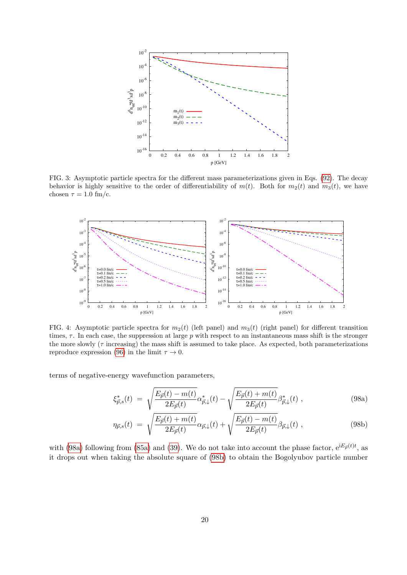

<span id="page-19-0"></span>FIG. 3: Asymptotic particle spectra for the different mass parameterizations given in Eqs. [\(92\)](#page-17-2). The decay behavior is highly sensitive to the order of differentiability of  $m(t)$ . Both for  $m_2(t)$  and  $m_3(t)$ , we have chosen  $\tau = 1.0$  fm/c.



<span id="page-19-1"></span>FIG. 4: Asymptotic particle spectra for  $m_2(t)$  (left panel) and  $m_3(t)$  (right panel) for different transition times,  $\tau$ . In each case, the suppression at large p with respect to an instantaneous mass shift is the stronger the more slowly  $(\tau \text{ increasing})$  the mass shift is assumed to take place. As expected, both parameterizations reproduce expression [\(96\)](#page-18-0) in the limit  $\tau \to 0$ .

terms of negative-energy wavefunction parameters,

<span id="page-19-2"></span>
$$
\xi_{\vec{p},s}^{*}(t) = \sqrt{\frac{E_{\vec{p}}(t) - m(t)}{2E_{\vec{p}}(t)}} \alpha_{\vec{p},\downarrow}^{*}(t) - \sqrt{\frac{E_{\vec{p}}(t) + m(t)}{2E_{\vec{p}}(t)}} \beta_{\vec{p},\downarrow}^{*}(t) ,
$$
\n(98a)

$$
\eta_{\vec{p},s}(t) \ = \ \sqrt{\frac{E_{\vec{p}}(t) + m(t)}{2E_{\vec{p}}(t)}} \alpha_{\vec{p},\downarrow}(t) + \sqrt{\frac{E_{\vec{p}}(t) - m(t)}{2E_{\vec{p}}(t)}} \beta_{\vec{p},\downarrow}(t) \ , \tag{98b}
$$

with [\(98a\)](#page-19-2) following from [\(85a\)](#page-16-2) and [\(39\)](#page-9-1). We do not take into account the phase factor,  $e^{iE_{\vec{p}}(t)t}$ , as it drops out when taking the absolute square of [\(98b\)](#page-19-2) to obtain the Bogolyubov particle number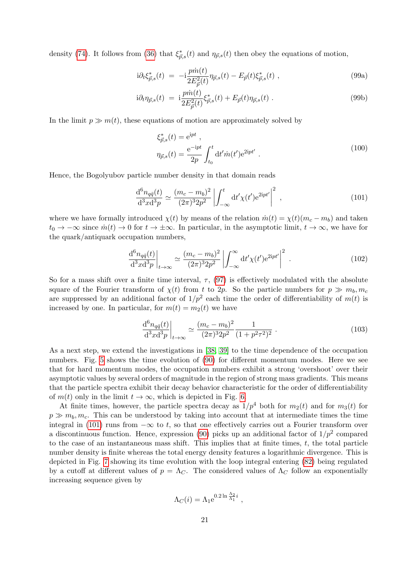density [\(74\)](#page-14-2). It follows from [\(36\)](#page-9-6) that  $\xi_{\vec{p},s}^*(t)$  and  $\eta_{\vec{p},s}(t)$  then obey the equations of motion,

$$
i\partial_t \xi_{\vec{p},s}^*(t) = -i\frac{p\dot{m}(t)}{2E_{\vec{p}}^2(t)} \eta_{\vec{p},s}(t) - E_{\vec{p}}(t)\xi_{\vec{p},s}^*(t) ,
$$
\n(99a)

$$
i\partial_t \eta_{\vec{p},s}(t) = i \frac{p\dot{m}(t)}{2E_{\vec{p}}^2(t)} \xi_{\vec{p},s}^*(t) + E_{\vec{p}}(t) \eta_{\vec{p},s}(t) . \tag{99b}
$$

In the limit  $p \gg m(t)$ , these equations of motion are approximately solved by

$$
\xi_{\vec{p},s}^{*}(t) = e^{ipt} ,
$$
  
\n
$$
\eta_{\vec{p},s}(t) = \frac{e^{-ipt}}{2p} \int_{t_0}^{t} dt' \dot{m}(t') e^{2ipt'} .
$$
\n(100)

Hence, the Bogolyubov particle number density in that domain reads

<span id="page-20-0"></span>
$$
\frac{\mathrm{d}^6 n_{q\bar{q}}(t)}{\mathrm{d}^3 x \mathrm{d}^3 p} \simeq \frac{(m_c - m_b)^2}{(2\pi)^3 2p^2} \left| \int_{-\infty}^t \mathrm{d}t' \chi(t') \mathrm{e}^{2\mathrm{i}pt'} \right|^2 , \qquad (101)
$$

where we have formally introduced  $\chi(t)$  by means of the relation  $\dot{m}(t) = \chi(t)(m_c - m_b)$  and taken  $t_0 \to -\infty$  since  $\dot{m}(t) \to 0$  for  $t \to \pm \infty$ . In particular, in the asymptotic limit,  $t \to \infty$ , we have for the quark/antiquark occupation numbers,

$$
\left. \frac{d^6 n_{q\bar{q}}(t)}{d^3 x d^3 p} \right|_{t \to \infty} \simeq \frac{(m_c - m_b)^2}{(2\pi)^3 2p^2} \left| \int_{-\infty}^{\infty} dt' \chi(t') e^{2ipt'} \right|^2 \,. \tag{102}
$$

So for a mass shift over a finite time interval,  $\tau$ , [\(97\)](#page-18-1) is effectively modulated with the absolute square of the Fourier transform of  $\chi(t)$  from t to 2p. So the particle numbers for  $p \gg m_b, m_c$ are suppressed by an additional factor of  $1/p^2$  each time the order of differentiability of  $m(t)$  is increased by one. In particular, for  $m(t) = m_2(t)$  we have

$$
\left. \frac{\mathrm{d}^6 n_{q\bar{q}}(t)}{\mathrm{d}^3 x \mathrm{d}^3 p} \right|_{t \to \infty} \simeq \frac{(m_c - m_b)^2}{(2\pi)^3 2p^2} \frac{1}{(1 + p^2 \tau^2)^2} \ . \tag{103}
$$

As a next step, we extend the investigations in [\[38,](#page-68-11) [39\]](#page-68-12) to the time dependence of the occupation numbers. Fig. [5](#page-21-0) shows the time evolution of [\(90\)](#page-16-1) for different momentum modes. Here we see that for hard momentum modes, the occupation numbers exhibit a strong 'overshoot' over their asymptotic values by several orders of magnitude in the region of strong mass gradients. This means that the particle spectra exhibit their decay behavior characteristic for the order of differentiability of  $m(t)$  only in the limit  $t \to \infty$ , which is depicted in Fig. [6.](#page-21-1)

At finite times, however, the particle spectra decay as  $1/p^4$  both for  $m_2(t)$  and for  $m_3(t)$  for  $p \gg m_b, m_c$ . This can be understood by taking into account that at intermediate times the time integral in [\(101\)](#page-20-0) runs from  $-\infty$  to t, so that one effectively carries out a Fourier transform over a discontinuous function. Hence, expression [\(90\)](#page-16-1) picks up an additional factor of  $1/p^2$  compared to the case of an instantaneous mass shift. This implies that at finite times,  $t$ , the total particle number density is finite whereas the total energy density features a logarithmic divergence. This is depicted in Fig. [7](#page-22-0) showing its time evolution with the loop integral entering [\(82\)](#page-15-1) being regulated by a cutoff at different values of  $p = \Lambda_C$ . The considered values of  $\Lambda_C$  follow an exponentially increasing sequence given by

$$
\Lambda_C(i) = \Lambda_1 e^{0.2 \ln \frac{\Lambda_2}{\Lambda_1} i} ,
$$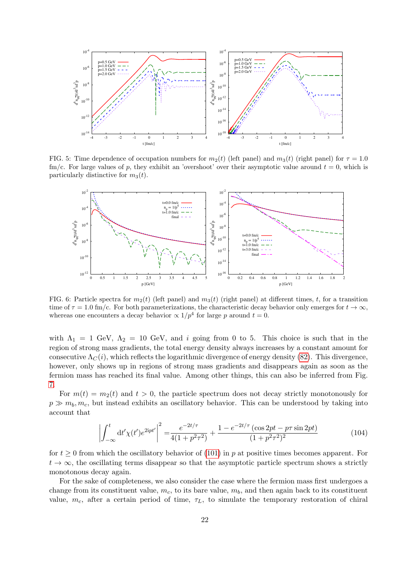

<span id="page-21-0"></span>FIG. 5: Time dependence of occupation numbers for  $m_2(t)$  (left panel) and  $m_3(t)$  (right panel) for  $\tau = 1.0$ fm/c. For large values of p, they exhibit an 'overshoot' over their asymptotic value around  $t = 0$ , which is particularly distinctive for  $m_3(t)$ .



<span id="page-21-1"></span>FIG. 6: Particle spectra for  $m_2(t)$  (left panel) and  $m_3(t)$  (right panel) at different times, t, for a transition time of  $\tau = 1.0$  fm/c. For both parameterizations, the characteristic decay behavior only emerges for  $t \to \infty$ . whereas one encounters a decay behavior  $\propto 1/p^4$  for large p around  $t=0$ .

with  $\Lambda_1 = 1$  GeV,  $\Lambda_2 = 10$  GeV, and i going from 0 to 5. This choice is such that in the region of strong mass gradients, the total energy density always increases by a constant amount for consecutive  $\Lambda_C(i)$ , which reflects the logarithmic divergence of energy density [\(82\)](#page-15-1). This divergence, however, only shows up in regions of strong mass gradients and disappears again as soon as the fermion mass has reached its final value. Among other things, this can also be inferred from Fig. [7.](#page-22-0)

For  $m(t) = m_2(t)$  and  $t > 0$ , the particle spectrum does not decay strictly monotonously for  $p \gg m_b, m_c$ , but instead exhibits an oscillatory behavior. This can be understood by taking into account that

$$
\left| \int_{-\infty}^{t} dt' \chi(t') e^{2ipt'} \right|^2 = \frac{e^{-2t/\tau}}{4(1 + p^2 \tau^2)} + \frac{1 - e^{-2t/\tau} (\cos 2pt - p\tau \sin 2pt)}{(1 + p^2 \tau^2)^2}
$$
(104)

for  $t \geq 0$  from which the oscillatory behavior of [\(101\)](#page-20-0) in p at positive times becomes apparent. For  $t \to \infty$ , the oscillating terms disappear so that the asymptotic particle spectrum shows a strictly monotonous decay again.

For the sake of completeness, we also consider the case where the fermion mass first undergoes a change from its constituent value,  $m_c$ , to its bare value,  $m_b$ , and then again back to its constituent value,  $m_c$ , after a certain period of time,  $\tau_L$ , to simulate the temporary restoration of chiral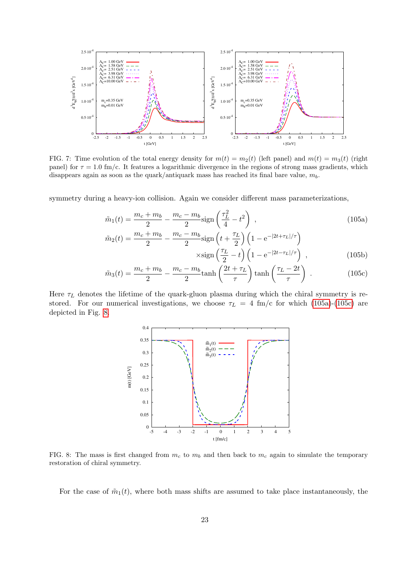

<span id="page-22-0"></span>FIG. 7: Time evolution of the total energy density for  $m(t) = m<sub>2</sub>(t)$  (left panel) and  $m(t) = m<sub>3</sub>(t)$  (right panel) for  $\tau = 1.0$  fm/c. It features a logarithmic divergence in the regions of strong mass gradients, which disappears again as soon as the quark/antiquark mass has reached its final bare value,  $m_b$ .

symmetry during a heavy-ion collision. Again we consider different mass parameterizations,

<span id="page-22-5"></span>
$$
\tilde{m}_1(t) = \frac{m_c + m_b}{2} - \frac{m_c - m_b}{2} \text{sign}\left(\frac{\tau_L^2}{4} - t^2\right) ,\tag{105a}
$$
\n
$$
\tilde{m}_c + m_b - m_c - m_b \text{sign}\left(t + \frac{\tau_L}{4}\right) \left(t - \frac{2t + \tau_L}{\tau_L}\right) ,
$$

<span id="page-22-1"></span>
$$
\tilde{m}_2(t) = \frac{m_c + m_b}{2} - \frac{m_c - m_b}{2} \text{sign}\left(t + \frac{\tau_L}{2}\right) \left(1 - e^{-|2t + \tau_L|/\tau}\right)
$$

$$
\times \text{sign}\left(\frac{\tau_L}{2} - t\right) \left(1 - e^{-|2t - \tau_L|/\tau}\right) ,\tag{105b}
$$

$$
\tilde{m}_3(t) = \frac{m_c + m_b}{2} - \frac{m_c - m_b}{2} \tanh\left(\frac{2t + \tau_L}{\tau}\right) \tanh\left(\frac{\tau_L - 2t}{\tau}\right) \,. \tag{105c}
$$

Here  $\tau_L$  denotes the lifetime of the quark-gluon plasma during which the chiral symmetry is restored. For our numerical investigations, we choose  $\tau_L = 4$  fm/c for which [\(105a\)](#page-22-1)-[\(105c\)](#page-22-2) are depicted in Fig. [8.](#page-22-3)

<span id="page-22-4"></span><span id="page-22-2"></span>

<span id="page-22-3"></span>FIG. 8: The mass is first changed from  $m_c$  to  $m_b$  and then back to  $m_c$  again to simulate the temporary restoration of chiral symmetry.

For the case of  $\tilde{m}_1(t)$ , where both mass shifts are assumed to take place instantaneously, the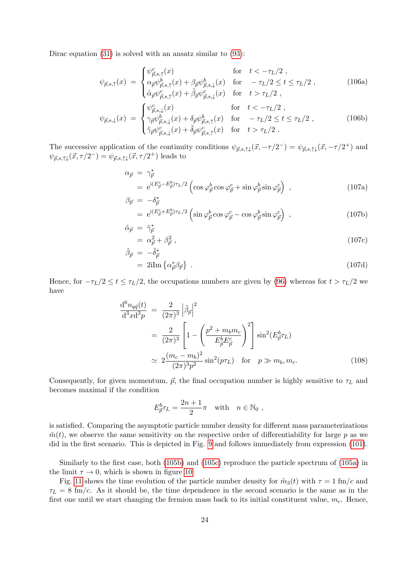Dirac equation [\(31\)](#page-8-0) is solved with an ansatz similar to [\(93\)](#page-18-2):

$$
\psi_{\vec{p},s,\uparrow}(x) = \begin{cases} \psi_{\vec{p},s,\uparrow}^c(x) & \text{for} \quad t < -\tau_L/2 \;, \\ \alpha_{\vec{p}} \psi_{\vec{p},s,\uparrow}^b(x) + \beta_{\vec{p}} \psi_{\vec{p},s,\downarrow}^b(x) & \text{for} \quad -\tau_L/2 \le t \le \tau_L/2 \;, \\ \tilde{\alpha}_{\vec{p}} \psi_{\vec{p},s,\uparrow}^c(x) + \tilde{\beta}_{\vec{p}} \psi_{\vec{p},s,\downarrow}^c(x) & \text{for} \quad t > \tau_L/2 \;, \end{cases} \tag{106a}
$$

$$
\psi_{\vec{p},s,\downarrow}(x) = \begin{cases}\n\psi_{\vec{p},s,\downarrow}^c(x) & \text{for} \quad t < -\tau_L/2, \\
\gamma_{\vec{p}}\psi_{\vec{p},s,\downarrow}^b(x) + \delta_{\vec{p}}\psi_{\vec{p},s,\uparrow}^b(x) & \text{for} \quad -\tau_L/2 \le t \le \tau_L/2, \\
\tilde{\gamma}_{\vec{p}}\psi_{\vec{p},s,\downarrow}^c(x) + \tilde{\delta}_{\vec{p}}\psi_{\vec{p},s,\uparrow}^c(x) & \text{for} \quad t > \tau_L/2.\n\end{cases}
$$
\n(106b)

The successive application of the continuity conditions  $\psi_{\vec{p},s,\uparrow\downarrow}(\vec{x}, -\tau/2^-) = \psi_{\vec{p},s,\uparrow\downarrow}(\vec{x}, -\tau/2^+)$  and  $\psi_{\vec{p},s,\uparrow\downarrow}(\vec{x},\tau/2^-) = \psi_{\vec{p},s,\uparrow\downarrow}(\vec{x},\tau/2^+)$  leads to

$$
\alpha_{\vec{p}} = \gamma_{\vec{p}}^*
$$
\n
$$
= e^{i(E_{\vec{p}}^c - E_{\vec{p}}^b)\tau_L/2} \left( \cos \varphi_{\vec{p}}^b \cos \varphi_{\vec{p}}^c + \sin \varphi_{\vec{p}}^b \sin \varphi_{\vec{p}}^c \right) ,
$$
\n(107a)

$$
\beta_{\vec{p}} = -\delta_{\vec{p}}^* = e^{i(E_{\vec{p}}^c + E_{\vec{p}}^b)\tau_L/2} \left( \sin \varphi_{\vec{p}}^b \cos \varphi_{\vec{p}}^c - \cos \varphi_{\vec{p}}^b \sin \varphi_{\vec{p}}^c \right) ,
$$
\n(107b)

$$
\tilde{\alpha}_{\vec{p}} = \tilde{\gamma}_{\vec{p}}^* \n= \alpha_{\vec{p}}^2 + \beta_{\vec{p}}^2 ,
$$
\n(107c)

$$
\tilde{\beta}_{\vec{p}} = -\tilde{\delta}_{\vec{p}}^* \n= 2i \text{Im} \left\{ \alpha_{\vec{p}}^* \beta_{\vec{p}} \right\} .
$$
\n(107d)

Hence, for  $-\tau_L/2 \le t \le \tau_L/2$ , the occupations numbers are given by [\(96\)](#page-18-0) whereas for  $t > \tau_L/2$  we have

<span id="page-23-0"></span>
$$
\frac{d^6 n_{q\bar{q}}(t)}{d^3 x d^3 p} = \frac{2}{(2\pi)^3} \left| \tilde{\beta}_{\vec{p}} \right|^2
$$
  
= 
$$
\frac{2}{(2\pi)^3} \left[ 1 - \left( \frac{p^2 + m_b m_c}{E_{\vec{p}}^b E_{\vec{p}}^c} \right)^2 \right] \sin^2(E_{\vec{p}}^b \tau_L)
$$
  

$$
\approx 2 \frac{(m_c - m_b)^2}{(2\pi)^3 p^2} \sin^2(p\tau_L) \quad \text{for} \quad p \gg m_b, m_c.
$$
 (108)

Consequently, for given momentum,  $\vec{p}$ , the final occupation number is highly sensitive to  $\tau_L$  and becomes maximal if the condition

$$
E_{\vec{p}}^b \tau_L = \frac{2n+1}{2}\pi \quad \text{with} \quad n \in \mathbb{N}_0 ,
$$

is satisfied. Comparing the asymptotic particle number density for different mass parameterizations  $\tilde{m}(t)$ , we observe the same sensitivity on the respective order of differentiability for large p as we did in the first scenario. This is depicted in Fig. [9](#page-24-0) and follows immediately from expression [\(101\)](#page-20-0).

Similarly to the first case, both [\(105b\)](#page-22-4) and [\(105c\)](#page-22-2) reproduce the particle spectrum of [\(105a\)](#page-22-1) in the limit  $\tau \to 0$ , which is shown in figure [10.](#page-24-1)

Fig. [11](#page-25-0) shows the time evolution of the particle number density for  $\tilde{m}_3(t)$  with  $\tau = 1$  fm/c and  $\tau_L = 8$  fm/c. As it should be, the time dependence in the second scenario is the same as in the first one until we start changing the fermion mass back to its initial constituent value,  $m_c$ . Hence,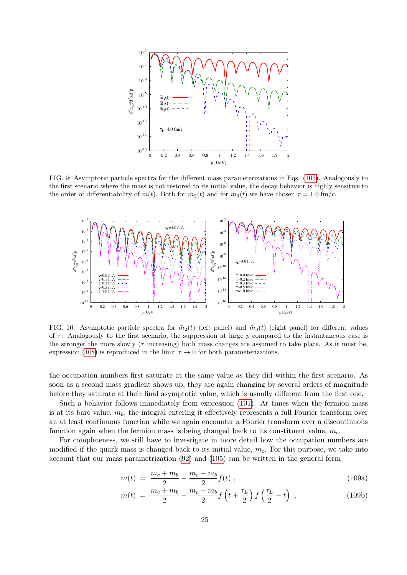

<span id="page-24-0"></span>FIG. 9: Asymptotic particle spectra for the different mass parameterizations in Eqs. [\(105\)](#page-22-5). Analogously to the first scenario where the mass is not restored to its initial value, the decay behavior is highly sensitive to the order of differentiability of  $\tilde{m}(t)$ . Both for  $\tilde{m}_2(t)$  and for  $\tilde{m}_3(t)$  we have chosen  $\tau = 1.0$  fm/c.



<span id="page-24-1"></span>FIG. 10: Asymptotic particle spectra for  $\tilde{m}_2(t)$  (left panel) and  $\tilde{m}_3(t)$  (right panel) for different values of  $\tau$ . Analogously to the first scenario, the suppression at large p compared to the instantaneous case is the stronger the more slowly ( $\tau$  increasing) both mass changes are assumed to take place. As it must be, expression [\(108\)](#page-23-0) is reproduced in the limit  $\tau \to 0$  for both parameterizations.

the occupation numbers first saturate at the same value as they did within the first scenario. As soon as a second mass gradient shows up, they are again changing by several orders of magnitude before they saturate at their final asymptotic value, which is usually different from the first one.

Such a behavior follows immediately from expression [\(101\)](#page-20-0). At times when the fermion mass is at its bare value,  $m_b$ , the integral entering it effectively represents a full Fourier transform over an at least continuous function while we again encounter a Fourier transform over a discontinuous function again when the fermion mass is being changed back to its constituent value,  $m_c$ .

For completeness, we still have to investigate in more detail how the occupation numbers are modified if the quark mass is changed back to its initial value,  $m<sub>c</sub>$ . For this purpose, we take into account that our mass parametrization [\(92\)](#page-17-2) and [\(105\)](#page-22-5) can be written in the general form

$$
m(t) = \frac{m_c + m_b}{2} - \frac{m_c - m_b}{2} f(t) , \qquad (109a)
$$

$$
\tilde{m}(t) = \frac{m_c + m_b}{2} - \frac{m_c - m_b}{2} f\left(t + \frac{\tau_L}{2}\right) f\left(\frac{\tau_L}{2} - t\right) ,\qquad (109b)
$$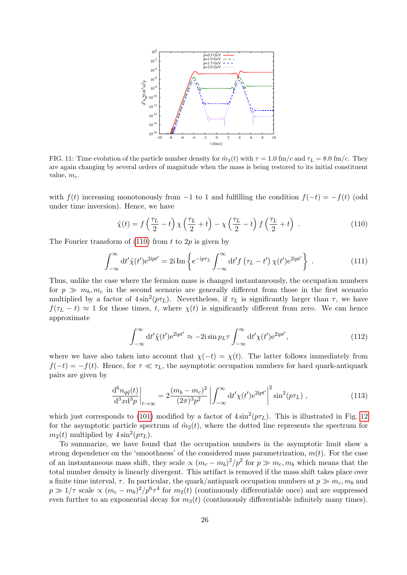

<span id="page-25-0"></span>FIG. 11: Time evolution of the particle number density for  $\tilde{m}_3(t)$  with  $\tau = 1.0$  fm/c and  $\tau_L = 8.0$  fm/c. They are again changing by several orders of magnitude when the mass is being restored to its initial constituent value,  $m_c$ .

with  $f(t)$  increasing monotonously from -1 to 1 and fulfilling the condition  $f(-t) = -f(t)$  (odd under time inversion). Hence, we have

<span id="page-25-1"></span>
$$
\tilde{\chi}(t) = f\left(\frac{\tau_L}{2} - t\right) \chi\left(\frac{\tau_L}{2} + t\right) - \chi\left(\frac{\tau_L}{2} - t\right) f\left(\frac{\tau_L}{2} + t\right) \tag{110}
$$

The Fourier transform of  $(110)$  from t to  $2p$  is given by

$$
\int_{-\infty}^{\infty} dt' \tilde{\chi}(t') e^{2ipt'} = 2i \operatorname{Im} \left\{ e^{-ip\tau_L} \int_{-\infty}^{\infty} dt' f(\tau_L - t') \chi(t') e^{2ipt'} \right\} . \tag{111}
$$

Thus, unlike the case where the fermion mass is changed instantaneously, the occupation numbers for  $p \gg m_b, m_c$  in the second scenario are generally different from those in the first scenario multiplied by a factor of  $4\sin^2(p\tau_L)$ . Nevertheless, if  $\tau_L$  is significantly larger than  $\tau$ , we have  $f(\tau_L - t) \approx 1$  for those times, t, where  $\chi(t)$  is significantly different from zero. We can hence approximate

$$
\int_{-\infty}^{\infty} dt' \tilde{\chi}(t') e^{2ipt'} \approx -2i \sin p_L \tau \int_{-\infty}^{\infty} dt' \chi(t') e^{2ipt'}, \qquad (112)
$$

where we have also taken into account that  $\chi(-t) = \chi(t)$ . The latter follows immediately from  $f(-t) = -f(t)$ . Hence, for  $\tau \ll \tau_L$ , the asymptotic occupation numbers for hard quark-antiquark pairs are given by

$$
\frac{\mathrm{d}^6 n_{q\bar{q}}(t)}{\mathrm{d}^3 x \mathrm{d}^3 p}\bigg|_{t \to \infty} = 2 \frac{(m_b - m_c)^2}{(2\pi)^3 p^2} \left| \int_{-\infty}^{\infty} \mathrm{d}t' \chi(t') \mathrm{e}^{2\mathrm{i}pt'} \right|^2 \sin^2(p\tau_L) , \qquad (113)
$$

which just corresponds to [\(101\)](#page-20-0) modified by a factor of  $4\sin^2(p\tau_L)$ . This is illustrated in Fig. [12](#page-26-0) for the asymptotic particle spectrum of  $\tilde{m}_2(t)$ , where the dotted line represents the spectrum for  $m_2(t)$  multiplied by  $4\sin^2(p\tau_L)$ .

To summarize, we have found that the occupation numbers in the asymptotic limit show a strong dependence on the 'smoothness' of the considered mass parametrization,  $m(t)$ . For the case of an instantaneous mass shift, they scale  $\propto (m_c - m_b)^2 / p^2$  for  $p \gg m_c, m_b$  which means that the total number density is linearly divergent. This artifact is removed if the mass shift takes place over a finite time interval,  $\tau$ . In particular, the quark/antiquark occupation numbers at  $p \gg m_c, m_b$  and  $p \gg 1/\tau$  scale  $\propto (m_c - m_b)^2/p^6 \tau^4$  for  $m_2(t)$  (continuously differentiable once) and are suppressed even further to an exponential decay for  $m_3(t)$  (continuously differentiable infinitely many times).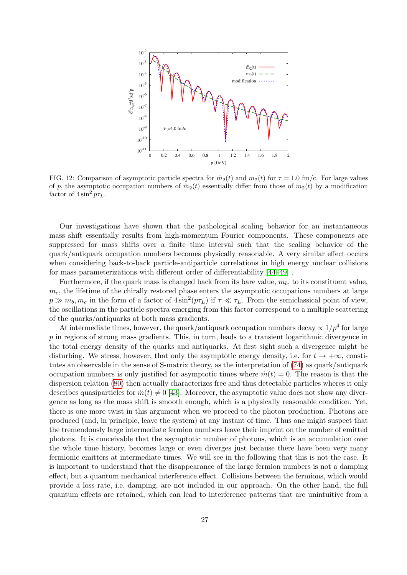

<span id="page-26-0"></span>FIG. 12: Comparison of asymptotic particle spectra for  $\tilde{m}_2(t)$  and  $m_2(t)$  for  $\tau = 1.0$  fm/c. For large values of p, the asymptotic occupation numbers of  $\tilde{m}_2(t)$  essentially differ from those of  $m_2(t)$  by a modification factor of  $4\sin^2 p\tau_L$ .

Our investigations have shown that the pathological scaling behavior for an instantaneous mass shift essentially results from high-momentum Fourier components. These components are suppressed for mass shifts over a finite time interval such that the scaling behavior of the quark/antiquark occupation numbers becomes physically reasonable. A very similar effect occurs when considering back-to-back particle-antiparticle correlations in high energy nuclear collisions for mass parameterizations with different order of differentiability [\[44–](#page-68-17)[49\]](#page-68-18) .

Furthermore, if the quark mass is changed back from its bare value,  $m_b$ , to its constituent value,  $m<sub>c</sub>$ , the lifetime of the chirally restored phase enters the asymptotic occupations numbers at large  $p \gg m_b, m_c$  in the form of a factor of  $4\sin^2(p\tau_L)$  if  $\tau \ll \tau_L$ . From the semiclassical point of view, the oscillations in the particle spectra emerging from this factor correspond to a multiple scattering of the quarks/antiquarks at both mass gradients.

At intermediate times, however, the quark/antiquark occupation numbers decay  $\propto 1/p^4$  for large p in regions of strong mass gradients. This, in turn, leads to a transient logarithmic divergence in the total energy density of the quarks and antiquarks. At first sight such a divergence might be disturbing. We stress, however, that only the asymptotic energy density, i.e. for  $t \to +\infty$ , constitutes an observable in the sense of S-matrix theory, as the interpretation of [\(74\)](#page-14-2) as quark/antiquark occupation numbers is only justified for asymptotic times where  $\dot{m}(t) = 0$ . The reason is that the dispersion relation [\(80\)](#page-15-2) then actually characterizes free and thus detectable particles wheres it only describes quasiparticles for  $\dot{m}(t) \neq 0$  [\[43\]](#page-68-16). Moreover, the asymptotic value does not show any divergence as long as the mass shift is smooth enough, which is a physically reasonable condition. Yet, there is one more twist in this argument when we proceed to the photon production. Photons are produced (and, in principle, leave the system) at any instant of time. Thus one might suspect that the tremendously large intermediate fermion numbers leave their imprint on the number of emitted photons. It is conceivable that the asymptotic number of photons, which is an accumulation over the whole time history, becomes large or even diverges just because there have been very many fermionic emitters at intermediate times. We will see in the following that this is not the case. It is important to understand that the disappearance of the large fermion numbers is not a damping effect, but a quantum mechanical interference effect. Collisions between the fermions, which would provide a loss rate, i.e. damping, are not included in our approach. On the other hand, the full quantum effects are retained, which can lead to interference patterns that are unintuitive from a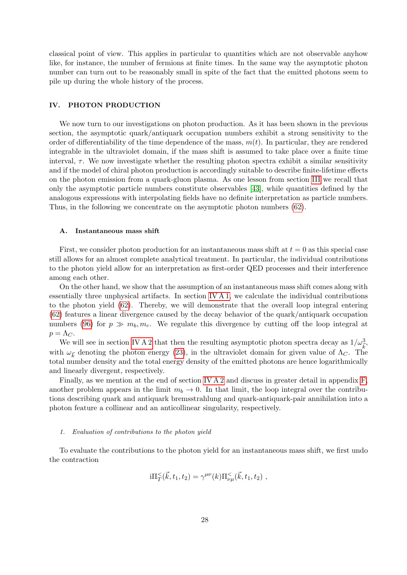classical point of view. This applies in particular to quantities which are not observable anyhow like, for instance, the number of fermions at finite times. In the same way the asymptotic photon number can turn out to be reasonably small in spite of the fact that the emitted photons seem to pile up during the whole history of the process.

## <span id="page-27-0"></span>IV. PHOTON PRODUCTION

We now turn to our investigations on photon production. As it has been shown in the previous section, the asymptotic quark/antiquark occupation numbers exhibit a strong sensitivity to the order of differentiability of the time dependence of the mass,  $m(t)$ . In particular, they are rendered integrable in the ultraviolet domain, if the mass shift is assumed to take place over a finite time interval,  $\tau$ . We now investigate whether the resulting photon spectra exhibit a similar sensitivity and if the model of chiral photon production is accordingly suitable to describe finite-lifetime effects on the photon emission from a quark-gluon plasma. As one lesson from section [III](#page-13-0) we recall that only the asymptotic particle numbers constitute observables [\[43\]](#page-68-16), while quantities defined by the analogous expressions with interpolating fields have no definite interpretation as particle numbers. Thus, in the following we concentrate on the asymptotic photon numbers [\(62\)](#page-12-5).

#### A. Instantaneous mass shift

First, we consider photon production for an instantaneous mass shift at  $t = 0$  as this special case still allows for an almost complete analytical treatment. In particular, the individual contributions to the photon yield allow for an interpretation as first-order QED processes and their interference among each other.

On the other hand, we show that the assumption of an instantaneous mass shift comes along with essentially three unphysical artifacts. In section [IV A 1,](#page-27-1) we calculate the individual contributions to the photon yield [\(62\)](#page-12-5). Thereby, we will demonstrate that the overall loop integral entering [\(62\)](#page-12-5) features a linear divergence caused by the decay behavior of the quark/antiquark occupation numbers [\(96\)](#page-18-0) for  $p \gg m_b, m_c$ . We regulate this divergence by cutting off the loop integral at  $p = \Lambda_C$ .

We will see in section [IV A 2](#page-32-0) that then the resulting asymptotic photon spectra decay as  $1/\omega_{\vec{k}}^3$ , with  $\omega_{\vec{k}}$  denoting the photon energy [\(23\)](#page-7-5), in the ultraviolet domain for given value of  $\Lambda_C$ . The total number density and the total energy density of the emitted photons are hence logarithmically and linearly divergent, respectively.

Finally, as we mention at the end of section [IV A 2](#page-32-0) and discuss in greater detail in appendix [F,](#page-66-0) another problem appears in the limit  $m_b \to 0$ . In that limit, the loop integral over the contributions describing quark and antiquark bremsstrahlung and quark-antiquark-pair annihilation into a photon feature a collinear and an anticollinear singularity, respectively.

#### <span id="page-27-1"></span>1. Evaluation of contributions to the photon yield

To evaluate the contributions to the photon yield for an instantaneous mass shift, we first undo the contraction

$$
i\Pi_{T}^{\leq}(\vec{k},t_1,t_2) = \gamma^{\mu\nu}(k)\Pi_{\nu\mu}^{\leq}(\vec{k},t_1,t_2) ,
$$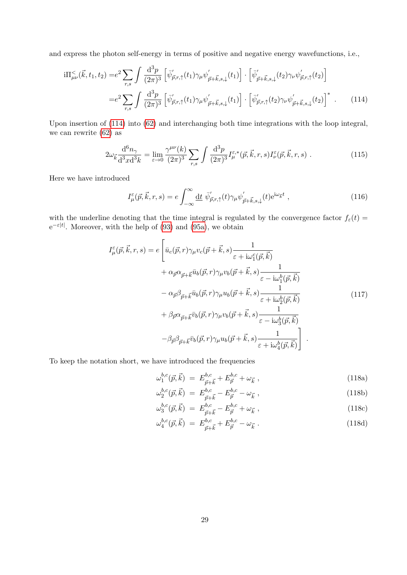and express the photon self-energy in terms of positive and negative energy wavefunctions, i.e.,

$$
i\Pi_{\mu\nu}^{<}(\vec{k},t_1,t_2) = e^2 \sum_{r,s} \int \frac{\mathrm{d}^3 p}{(2\pi)^3} \left[ \bar{\psi}_{\vec{p},r,\uparrow}^{\prime}(t_1) \gamma_{\mu} \psi_{\vec{p}+\vec{k},s,\downarrow}^{\prime}(t_1) \right] \cdot \left[ \bar{\psi}_{\vec{p}+\vec{k},s,\downarrow}^{\prime}(t_2) \gamma_{\nu} \psi_{\vec{p},r,\uparrow}^{\prime}(t_2) \right]
$$

$$
= e^2 \sum_{r,s} \int \frac{\mathrm{d}^3 p}{(2\pi)^3} \left[ \bar{\psi}_{\vec{p},r,\uparrow}^{\prime}(t_1) \gamma_{\mu} \psi_{\vec{p}+\vec{k},s,\downarrow}^{\prime}(t_1) \right] \cdot \left[ \bar{\psi}_{\vec{p},r,\uparrow}^{\prime}(t_2) \gamma_{\nu} \psi_{\vec{p}+\vec{k},s,\downarrow}^{\prime}(t_2) \right]^* . \tag{114}
$$

Upon insertion of [\(114\)](#page-28-0) into [\(62\)](#page-12-5) and interchanging both time integrations with the loop integral, we can rewrite [\(62\)](#page-12-5) as

<span id="page-28-2"></span>
$$
2\omega_{\vec{k}}\frac{\mathrm{d}^6 n_{\gamma}}{\mathrm{d}^3 x \mathrm{d}^3 k} = \lim_{\varepsilon \to 0} \frac{\gamma^{\mu\nu}(k)}{(2\pi)^3} \sum_{r,s} \int \frac{\mathrm{d}^3 p}{(2\pi)^3} I^{\varepsilon,*}_{\mu}(\vec{p}, \vec{k}, r, s) I^{\varepsilon}_{\nu}(\vec{p}, \vec{k}, r, s) . \tag{115}
$$

Here we have introduced

<span id="page-28-0"></span>
$$
I^{\varepsilon}_{\mu}(\vec{p}, \vec{k}, r, s) = e \int_{-\infty}^{\infty} \underline{\mathrm{d}}t \ \bar{\psi}'_{\vec{p}, r, \uparrow}(t) \gamma_{\mu} \psi'_{\vec{p} + \vec{k}, s, \downarrow}(t) e^{\mathrm{i}\omega_{\vec{k}}t} , \qquad (116)
$$

with the underline denoting that the time integral is regulated by the convergence factor  $f_{\varepsilon}(t)$  =  $e^{-\varepsilon|t|}$ . Moreover, with the help of [\(93\)](#page-18-2) and [\(95a\)](#page-18-3), we obtain

$$
I_{\mu}^{\varepsilon}(\vec{p}, \vec{k}, r, s) = e \left[ \bar{u}_{c}(\vec{p}, r) \gamma_{\mu} v_{c}(\vec{p} + \vec{k}, s) \frac{1}{\varepsilon + i\omega_{1}^{c}(\vec{p}, \vec{k})} + \alpha_{\vec{p}} \alpha_{\vec{p} + \vec{k}} \bar{u}_{b}(\vec{p}, r) \gamma_{\mu} v_{b}(\vec{p} + \vec{k}, s) \frac{1}{\varepsilon - i\omega_{1}^{b}(\vec{p}, \vec{k})} - \alpha_{\vec{p}} \beta_{\vec{p} + \vec{k}} \bar{u}_{b}(\vec{p}, r) \gamma_{\mu} u_{b}(\vec{p} + \vec{k}, s) \frac{1}{\varepsilon + i\omega_{2}^{b}(\vec{p}, \vec{k})} + \beta_{\vec{p}} \alpha_{\vec{p} + \vec{k}} \bar{v}_{b}(\vec{p}, r) \gamma_{\mu} v_{b}(\vec{p} + \vec{k}, s) \frac{1}{\varepsilon - i\omega_{3}^{b}(\vec{p}, \vec{k})} - \beta_{\vec{p}} \beta_{\vec{p} + \vec{k}} \bar{v}_{b}(\vec{p}, r) \gamma_{\mu} u_{b}(\vec{p} + \vec{k}, s) \frac{1}{\varepsilon + i\omega_{4}^{b}(\vec{p}, \vec{k})} \right].
$$
\n(117)

To keep the notation short, we have introduced the frequencies

<span id="page-28-1"></span>
$$
\omega_1^{b,c}(\vec{p}, \vec{k}) = E_{\vec{p}+\vec{k}}^{b,c} + E_{\vec{p}}^{b,c} + \omega_{\vec{k}} , \qquad (118a)
$$

$$
\omega_2^{b,c}(\vec{p}, \vec{k}) = E_{\vec{p} + \vec{k}}^{b,c} - E_{\vec{p}}^{b,c} - \omega_{\vec{k}} , \qquad (118b)
$$

$$
\omega_3^{b,c}(\vec{p}, \vec{k}) = E_{\vec{p} + \vec{k}}^{b,c} - E_{\vec{p}}^{b,c} + \omega_{\vec{k}} , \qquad (118c)
$$

$$
\omega_4^{b,c}(\vec{p}, \vec{k}) = E_{\vec{p} + \vec{k}}^{b,c} + E_{\vec{p}}^{b,c} - \omega_{\vec{k}}.
$$
\n(118d)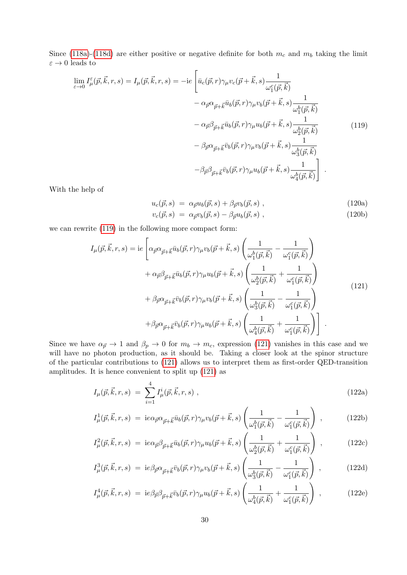Since [\(118a\)](#page-28-1)-[\(118d\)](#page-28-1) are either positive or negative definite for both  $m_c$  and  $m_b$  taking the limit  $\varepsilon \to 0$  leads to

<span id="page-29-0"></span>
$$
\lim_{\varepsilon \to 0} I_{\mu}^{\varepsilon}(\vec{p}, \vec{k}, r, s) = I_{\mu}(\vec{p}, \vec{k}, r, s) = -ie \left[ \bar{u}_{c}(\vec{p}, r) \gamma_{\mu} v_{c}(\vec{p} + \vec{k}, s) \frac{1}{\omega_{1}^{c}(\vec{p}, \vec{k})} - \alpha_{\vec{p}} \alpha_{\vec{p} + \vec{k}} \bar{u}_{b}(\vec{p}, r) \gamma_{\mu} v_{b}(\vec{p} + \vec{k}, s) \frac{1}{\omega_{1}^{b}(\vec{p}, \vec{k})} - \alpha_{\vec{p}} \beta_{\vec{p} + \vec{k}} \bar{u}_{b}(\vec{p}, r) \gamma_{\mu} u_{b}(\vec{p} + \vec{k}, s) \frac{1}{\omega_{2}^{b}(\vec{p}, \vec{k})} - \beta_{\vec{p}} \alpha_{\vec{p} + \vec{k}} \bar{v}_{b}(\vec{p}, r) \gamma_{\mu} v_{b}(\vec{p} + \vec{k}, s) \frac{1}{\omega_{3}^{b}(\vec{p}, \vec{k})} - \beta_{\vec{p}} \beta_{\vec{p} + \vec{k}} \bar{v}_{b}(\vec{p}, r) \gamma_{\mu} u_{b}(\vec{p} + \vec{k}, s) \frac{1}{\omega_{4}^{b}(\vec{p}, \vec{k})} \right]
$$
\n(119)

With the help of

$$
u_c(\vec{p},s) = \alpha_{\vec{p}} u_b(\vec{p},s) + \beta_{\vec{p}} v_b(\vec{p},s) , \qquad (120a)
$$

$$
v_c(\vec{p}, s) = \alpha_{\vec{p}} v_b(\vec{p}, s) - \beta_{\vec{p}} u_b(\vec{p}, s) , \qquad (120b)
$$

<span id="page-29-1"></span>we can rewrite [\(119\)](#page-29-0) in the following more compact form:

$$
I_{\mu}(\vec{p}, \vec{k}, r, s) = ie \left[ \alpha_{\vec{p}} \alpha_{\vec{p} + \vec{k}} \bar{u}_b(\vec{p}, r) \gamma_{\mu} v_b(\vec{p} + \vec{k}, s) \left( \frac{1}{\omega_1^b(\vec{p}, \vec{k})} - \frac{1}{\omega_1^c(\vec{p}, \vec{k})} \right) \right. \\
\left. + \alpha_{\vec{p}} \beta_{\vec{p} + \vec{k}} \bar{u}_b(\vec{p}, r) \gamma_{\mu} u_b(\vec{p} + \vec{k}, s) \left( \frac{1}{\omega_2^b(\vec{p}, \vec{k})} + \frac{1}{\omega_1^c(\vec{p}, \vec{k})} \right) \right. \\
\left. + \beta_{\vec{p}} \alpha_{\vec{p} + \vec{k}} \bar{v}_b(\vec{p}, r) \gamma_{\mu} v_b(\vec{p} + \vec{k}, s) \left( \frac{1}{\omega_3^b(\vec{p}, \vec{k})} - \frac{1}{\omega_1^c(\vec{p}, \vec{k})} \right) \right]
$$
\n
$$
+ \beta_{\vec{p}} \alpha_{\vec{p} + \vec{k}} \bar{v}_b(\vec{p}, r) \gamma_{\mu} u_b(\vec{p} + \vec{k}, s) \left( \frac{1}{\omega_4^b(\vec{p}, \vec{k})} + \frac{1}{\omega_1^c(\vec{p}, \vec{k})} \right) \right].
$$
\n(121)

Since we have  $\alpha_{\vec{p}} \to 1$  and  $\beta_p \to 0$  for  $m_b \to m_c$ , expression [\(121\)](#page-29-1) vanishes in this case and we will have no photon production, as it should be. Taking a closer look at the spinor structure of the particular contributions to [\(121\)](#page-29-1) allows us to interpret them as first-order QED-transition amplitudes. It is hence convenient to split up [\(121\)](#page-29-1) as

<span id="page-29-2"></span>
$$
I_{\mu}(\vec{p}, \vec{k}, r, s) = \sum_{i=1}^{4} I_{\mu}^{i}(\vec{p}, \vec{k}, r, s) , \qquad (122a)
$$

$$
I^1_{\mu}(\vec{p}, \vec{k}, r, s) = i e \alpha_{\vec{p}} \alpha_{\vec{p} + \vec{k}} \bar{u}_b(\vec{p}, r) \gamma_{\mu} v_b(\vec{p} + \vec{k}, s) \left( \frac{1}{\omega_1^b(\vec{p}, \vec{k})} - \frac{1}{\omega_1^c(\vec{p}, \vec{k})} \right) , \qquad (122b)
$$

$$
I^2_{\mu}(\vec{p}, \vec{k}, r, s) = i e \alpha_{\vec{p}} \beta_{\vec{p} + \vec{k}} \bar{u}_b(\vec{p}, r) \gamma_{\mu} u_b(\vec{p} + \vec{k}, s) \left( \frac{1}{\omega_2^b(\vec{p}, \vec{k})} + \frac{1}{\omega_1^c(\vec{p}, \vec{k})} \right) , \qquad (122c)
$$

$$
I_{\mu}^{3}(\vec{p}, \vec{k}, r, s) = i e \beta_{\vec{p}} \alpha_{\vec{p} + \vec{k}} \bar{v}_b(\vec{p}, r) \gamma_{\mu} v_b(\vec{p} + \vec{k}, s) \left( \frac{1}{\omega_3^b(\vec{p}, \vec{k})} - \frac{1}{\omega_1^c(\vec{p}, \vec{k})} \right) , \qquad (122d)
$$

$$
I^4_{\mu}(\vec{p}, \vec{k}, r, s) = i e \beta_{\vec{p}} \beta_{\vec{p} + \vec{k}} \bar{v}_b(\vec{p}, r) \gamma_{\mu} u_b(\vec{p} + \vec{k}, s) \left( \frac{1}{\omega_4^b(\vec{p}, \vec{k})} + \frac{1}{\omega_1^c(\vec{p}, \vec{k})} \right) , \qquad (122e)
$$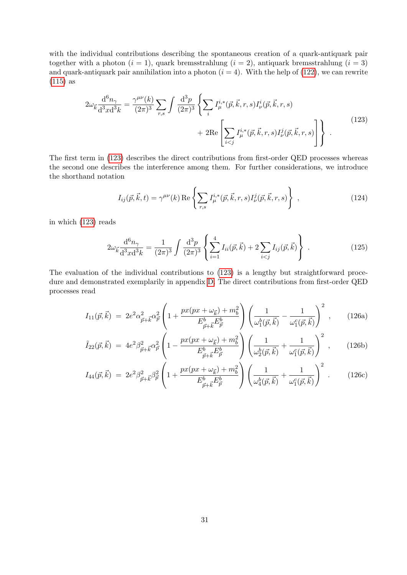with the individual contributions describing the spontaneous creation of a quark-antiquark pair together with a photon  $(i = 1)$ , quark bremsstrahlung  $(i = 2)$ , antiquark bremsstrahlung  $(i = 3)$ and quark-antiquark pair annihilation into a photon  $(i = 4)$ . With the help of [\(122\)](#page-29-2), we can rewrite [\(115\)](#page-28-2) as

<span id="page-30-0"></span>
$$
2\omega_{\vec{k}} \frac{d^6 n_\gamma}{d^3 x d^3 k} = \frac{\gamma^{\mu\nu}(k)}{(2\pi)^3} \sum_{r,s} \int \frac{d^3 p}{(2\pi)^3} \left\{ \sum_i I^{i,*}_{\mu}(\vec{p}, \vec{k}, r, s) I^i_{\nu}(\vec{p}, \vec{k}, r, s) + 2\text{Re} \left[ \sum_{i < j} I^{i,*}_{\mu}(\vec{p}, \vec{k}, r, s) I^j_{\nu}(\vec{p}, \vec{k}, r, s) \right] \right\} \tag{123}
$$

The first term in [\(123\)](#page-30-0) describes the direct contributions from first-order QED processes whereas the second one describes the interference among them. For further considerations, we introduce the shorthand notation

$$
I_{ij}(\vec{p}, \vec{k}, t) = \gamma^{\mu\nu}(k) \operatorname{Re} \left\{ \sum_{r,s} I_{\mu}^{i,*}(\vec{p}, \vec{k}, r, s) I_{\nu}^{j}(\vec{p}, \vec{k}, r, s) \right\} ,
$$
 (124)

in which [\(123\)](#page-30-0) reads

$$
2\omega_{\vec{k}}\frac{\mathrm{d}^6 n_{\gamma}}{\mathrm{d}^3 x \mathrm{d}^3 k} = \frac{1}{(2\pi)^3} \int \frac{\mathrm{d}^3 p}{(2\pi)^3} \left\{ \sum_{i=1}^4 I_{ii}(\vec{p}, \vec{k}) + 2 \sum_{i < j} I_{ij}(\vec{p}, \vec{k}) \right\} \,. \tag{125}
$$

The evaluation of the individual contributions to [\(123\)](#page-30-0) is a lengthy but straightforward procedure and demonstrated exemplarily in appendix [D.](#page-61-0) The direct contributions from first-order QED processes read

<span id="page-30-1"></span>
$$
I_{11}(\vec{p}, \vec{k}) = 2e^2 \alpha_{\vec{p} + \vec{k}}^2 \alpha_{\vec{p}}^2 \left( 1 + \frac{px(px + \omega_{\vec{k}}) + m_b^2}{E_{\vec{p} + \vec{k}}^b E_{\vec{p}}^b} \right) \left( \frac{1}{\omega_1^b(\vec{p}, \vec{k})} - \frac{1}{\omega_1^c(\vec{p}, \vec{k})} \right)^2 , \qquad (126a)
$$

$$
\tilde{I}_{22}(\vec{p}, \vec{k}) = 4e^2 \beta_{\vec{p} + \vec{k}}^2 \alpha_{\vec{p}}^2 \left( 1 - \frac{px(px + \omega_{\vec{k}}) + m_b^2}{E_{\vec{p} + \vec{k}}^b E_{\vec{p}}^b} \right) \left( \frac{1}{\omega_2^b(\vec{p}, \vec{k})} + \frac{1}{\omega_1^c(\vec{p}, \vec{k})} \right)^2 , \quad (126b)
$$

$$
I_{44}(\vec{p}, \vec{k}) = 2e^2 \beta_{\vec{p} + \vec{k}}^2 \beta_{\vec{p}}^2 \left( 1 + \frac{px(px + \omega_{\vec{k}}) + m_b^2}{E_{\vec{p} + \vec{k}}^b E_{\vec{p}}^b} \right) \left( \frac{1}{\omega_4^b(\vec{p}, \vec{k})} + \frac{1}{\omega_1^c(\vec{p}, \vec{k})} \right)^2.
$$
 (126c)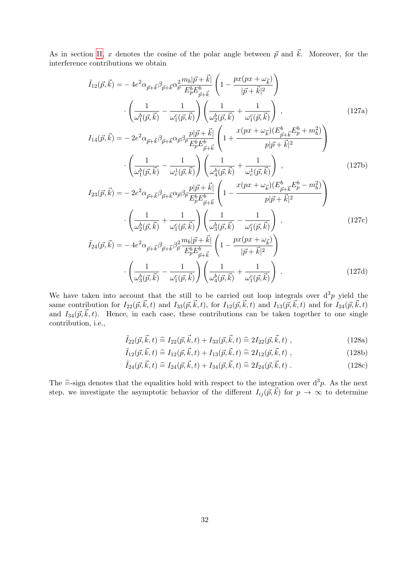As in section [II,](#page-4-0) x denotes the cosine of the polar angle between  $\vec{p}$  and  $\vec{k}$ . Moreover, for the interference contributions we obtain

<span id="page-31-2"></span>
$$
\tilde{I}_{12}(\vec{p}, \vec{k}) = -4e^{2}\alpha_{\vec{p} + \vec{k}}\beta_{\vec{p} + \vec{k}}\alpha_{\vec{p}}^{2}\frac{m_{b}|\vec{p} + \vec{k}|}{E_{p}^{b}E_{\vec{p} + \vec{k}}^{b}} \left(1 - \frac{px(px + \omega_{\vec{k}})}{|\vec{p} + \vec{k}|^{2}}\right) \n\cdot \left(\frac{1}{\omega_{1}^{b}(\vec{p}, \vec{k})} - \frac{1}{\omega_{1}^{c}(\vec{p}, \vec{k})}\right) \left(\frac{1}{\omega_{2}^{b}(\vec{p}, \vec{k})} + \frac{1}{\omega_{1}^{c}(\vec{p}, \vec{k})}\right) ,
$$
\n(127a)

$$
I_{14}(\vec{p}, \vec{k}) = -2e^2 \alpha_{\vec{p} + \vec{k}} \beta_{\vec{p} + \vec{k}} \alpha_{\vec{p}} \beta_{\vec{p}} \frac{p|\vec{p} + \vec{k}|}{E_p^b E_{\vec{p} + \vec{k}}^b} \left( 1 + \frac{x(px + \omega_{\vec{k}})(E_{\vec{p} + \vec{k}}^b E_p^b + m_b^2)}{p|\vec{p} + \vec{k}|^2} \right)
$$

$$
\cdot \left( \frac{1}{\omega_1^b(\vec{p}, \vec{k})} - \frac{1}{\omega_c^1(\vec{p}, \vec{k})} \right) \left( \frac{1}{\omega_4^b(\vec{p}, \vec{k})} + \frac{1}{\omega_c^1(\vec{p}, \vec{k})} \right) ,
$$
(127b)

$$
\left(\omega_{1}^{b}(\vec{p},\vec{k}) - \omega_{c}^{1}(\vec{p},\vec{k})\right) \left(\omega_{4}^{b}(\vec{p},\vec{k}) - \omega_{c}^{1}(\vec{p},\vec{k})\right) \tag{1275}
$$
\n
$$
I_{23}(\vec{p},\vec{k}) = -2e^{2}\alpha_{\vec{p}+\vec{k}}\beta_{\vec{p}+\vec{k}}\alpha_{\vec{p}}\beta_{\vec{p}}\frac{p|\vec{p}+\vec{k}|}{E_{p}^{b}E_{\vec{p}+\vec{k}}^{b}} \left(1 - \frac{x(px + \omega_{\vec{k}})(E_{\vec{p}+\vec{k}}^{b}E_{p}^{b} - m_{b}^{2})}{p|\vec{p}+\vec{k}|^{2}}\right)
$$
\n
$$
\cdot \left(\frac{1}{\omega_{2}^{b}(\vec{p},\vec{k})} + \frac{1}{\omega_{1}^{c}(\vec{p},\vec{k})}\right) \left(\frac{1}{\omega_{3}^{b}(\vec{p},\vec{k})} - \frac{1}{\omega_{1}^{c}(\vec{p},\vec{k})}\right) \tag{127c}
$$

$$
\tilde{I}_{24}(\vec{p}, \vec{k}) = -4e^2 \alpha_{\vec{p} + \vec{k}} \beta_{\vec{p} + \vec{k}} \beta_{\vec{p}}^2 \frac{m_b |\vec{p} + \vec{k}|}{E_p^b E_{\vec{p} + \vec{k}}^b} \left( 1 - \frac{px(px + \omega_{\vec{k}})}{|\vec{p} + \vec{k}|^2} \right) \cdot \left( \frac{1}{\omega_3^b(\vec{p}, \vec{k})} - \frac{1}{\omega_1^c(\vec{p}, \vec{k})} \right) \left( \frac{1}{\omega_4^b(\vec{p}, \vec{k})} + \frac{1}{\omega_1^c(\vec{p}, \vec{k})} \right) \tag{127d}
$$

We have taken into account that the still to be carried out loop integrals over  $d^3p$  yield the same contribution for  $I_{22}(\vec{p}, \vec{k}, t)$  and  $I_{33}(\vec{p}, \vec{k}, t)$ , for  $I_{12}(\vec{p}, \vec{k}, t)$  and  $I_{13}(\vec{p}, \vec{k}, t)$  and for  $I_{24}(\vec{p}, \vec{k}, t)$ and  $I_{34}(\vec{p}, \vec{k}, t)$ . Hence, in each case, these contributions can be taken together to one single contribution, i.e.,

<span id="page-31-1"></span><span id="page-31-0"></span>
$$
\tilde{I}_{22}(\vec{p}, \vec{k}, t) \stackrel{\sim}{=} I_{22}(\vec{p}, \vec{k}, t) + I_{33}(\vec{p}, \vec{k}, t) \stackrel{\sim}{=} 2I_{22}(\vec{p}, \vec{k}, t) ,
$$
\n(128a)

$$
\tilde{I}_{12}(\vec{p}, \vec{k}, t) \stackrel{\sim}{=} I_{12}(\vec{p}, \vec{k}, t) + I_{13}(\vec{p}, \vec{k}, t) \stackrel{\sim}{=} 2I_{12}(\vec{p}, \vec{k}, t) ,
$$
\n(128b)

$$
\tilde{I}_{24}(\vec{p}, \vec{k}, t) \stackrel{\sim}{=} I_{24}(\vec{p}, \vec{k}, t) + I_{34}(\vec{p}, \vec{k}, t) \stackrel{\sim}{=} 2I_{24}(\vec{p}, \vec{k}, t) \ . \tag{128c}
$$

The  $\hat{=}$ -sign denotes that the equalities hold with respect to the integration over  $d^3p$ . As the next<br>step, we investigate the equantation behavior of the different  $I_1(\vec{a}, \vec{b})$  for  $x \to \infty$  to determine step, we investigate the asymptotic behavior of the different  $I_{ij}(\vec{p}, \vec{k})$  for  $p \to \infty$  to determine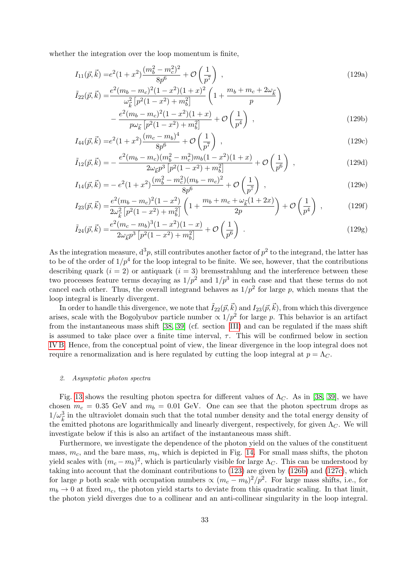whether the integration over the loop momentum is finite,

<span id="page-32-1"></span>
$$
I_{11}(\vec{p}, \vec{k}) = e^2 (1+x^2) \frac{(m_b^2 - m_c^2)^2}{8p^6} + \mathcal{O}\left(\frac{1}{p^7}\right) , \qquad (129a)
$$

$$
\tilde{I}_{22}(\vec{p}, \vec{k}) = \frac{e^2 (m_b - m_c)^2 (1 - x^2)(1 + x)^2}{\omega_{\vec{k}}^2 \left[ p^2 (1 - x^2) + m_b^2 \right]} \left( 1 + \frac{m_b + m_c + 2\omega_{\vec{k}}}{p} \right)
$$
\n
$$
- \frac{e^2 (m_b - m_c)^2 (1 - x^2)(1 + x)}{p \omega_{\vec{k}} \left[ p^2 (1 - x^2) + m_b^2 \right]} + \mathcal{O}\left(\frac{1}{p^4}\right) ,\n\tag{129b}
$$

$$
I_{44}(\vec{p}, \vec{k}) = e^2 (1 + x^2) \frac{(m_c - m_b)^4}{8p^6} + \mathcal{O}\left(\frac{1}{p^7}\right) , \qquad (129c)
$$

$$
\tilde{I}_{12}(\vec{p}, \vec{k}) = -\frac{e^2(m_b - m_c)(m_b^2 - m_c^2)m_b(1 - x^2)(1 + x)}{2\omega_{\vec{k}}p^3\left[p^2(1 - x^2) + m_b^2\right]} + \mathcal{O}\left(\frac{1}{p^6}\right) ,\qquad (129d)
$$

$$
I_{14}(\vec{p}, \vec{k}) = -e^2(1+x^2)\frac{(m_b^2 - m_c^2)(m_b - m_c)^2}{8p^6} + \mathcal{O}\left(\frac{1}{p^7}\right) ,\qquad (129e)
$$

$$
I_{23}(\vec{p}, \vec{k}) = \frac{e^2 (m_b - m_c)^2 (1 - x^2)}{2\omega_{\vec{k}}^2 \left[ p^2 (1 - x^2) + m_b^2 \right]} \left( 1 + \frac{m_b + m_c + \omega_{\vec{k}} (1 + 2x)}{2p} \right) + \mathcal{O}\left(\frac{1}{p^4}\right) ,\tag{129f}
$$

$$
\tilde{I}_{24}(\vec{p}, \vec{k}) = \frac{e^2 (m_c - m_b)^3 (1 - x^2)(1 - x)}{2\omega_{\vec{k}} p^3 \left[ p^2 (1 - x^2) + m_b^2 \right]} + \mathcal{O}\left(\frac{1}{p^6}\right) \tag{129g}
$$

As the integration measure,  $d^3p$ , still contributes another factor of  $p^2$  to the integrand, the latter has to be of the order of  $1/p^4$  for the loop integral to be finite. We see, however, that the contributions describing quark  $(i = 2)$  or antiquark  $(i = 3)$  bremsstrahlung and the interference between these two processes feature terms decaying as  $1/p^2$  and  $1/p^3$  in each case and that these terms do not cancel each other. Thus, the overall integrand behaves as  $1/p^2$  for large p, which means that the loop integral is linearly divergent.

In order to handle this divergence, we note that  $\tilde{I}_{22}(\vec{p},\vec{k})$  and  $I_{23}(\vec{p},\vec{k})$ , from which this divergence arises, scale with the Bogolyubov particle number  $\propto 1/p^2$  for large p. This behavior is an artifact from the instantaneous mass shift [\[38,](#page-68-11) [39\]](#page-68-12) (cf. section [III\)](#page-13-0) and can be regulated if the mass shift is assumed to take place over a finite time interval,  $\tau$ . This will be confirmed below in section [IV B.](#page-34-0) Hence, from the conceptual point of view, the linear divergence in the loop integral does not require a renormalization and is here regulated by cutting the loop integral at  $p = \Lambda_C$ .

#### <span id="page-32-0"></span>2. Asymptotic photon spectra

Fig. [13](#page-33-0) shows the resulting photon spectra for different values of  $\Lambda_C$ . As in [\[38,](#page-68-11) [39\]](#page-68-12), we have chosen  $m_c = 0.35$  GeV and  $m_b = 0.01$  GeV. One can see that the photon spectrum drops as  $1/\omega_{\vec{k}}^3$  in the ultraviolet domain such that the total number density and the total energy density of the emitted photons are logarithmically and linearly divergent, respectively, for given  $\Lambda_C$ . We will investigate below if this is also an artifact of the instantaneous mass shift.

Furthermore, we investigate the dependence of the photon yield on the values of the constituent mass,  $m_c$ , and the bare mass,  $m_b$ , which is depicted in Fig. [14.](#page-33-1) For small mass shifts, the photon yield scales with  $(m_c - m_b)^2$ , which is particularly visible for large  $\Lambda_C$ . This can be understood by taking into account that the dominant contributions to [\(123\)](#page-30-0) are given by [\(126b\)](#page-30-1) and [\(127c\)](#page-31-0), which for large p both scale with occupation numbers  $\propto (m_c - m_b)^2 / p^2$ . For large mass shifts, i.e., for  $m_b \to 0$  at fixed  $m_c$ , the photon yield starts to deviate from this quadratic scaling. In that limit, the photon yield diverges due to a collinear and an anti-collinear singularity in the loop integral.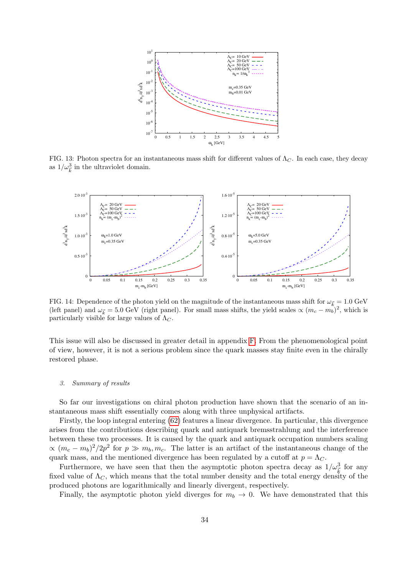

<span id="page-33-0"></span>FIG. 13: Photon spectra for an instantaneous mass shift for different values of  $\Lambda_C$ . In each case, they decay as  $1/\omega_{\vec{k}}^3$  in the ultraviolet domain.



<span id="page-33-1"></span>FIG. 14: Dependence of the photon yield on the magnitude of the instantaneous mass shift for  $\omega_{\vec{k}} = 1.0 \text{ GeV}$ (left panel) and  $\omega_{\vec{k}} = 5.0 \text{ GeV}$  (right panel). For small mass shifts, the yield scales  $\propto (m_c - m_b)^2$ , which is particularly visible for large values of  $\Lambda_C$ .

This issue will also be discussed in greater detail in appendix [F.](#page-66-0) From the phenomenological point of view, however, it is not a serious problem since the quark masses stay finite even in the chirally restored phase.

#### 3. Summary of results

So far our investigations on chiral photon production have shown that the scenario of an instantaneous mass shift essentially comes along with three unphysical artifacts.

Firstly, the loop integral entering [\(62\)](#page-12-5) features a linear divergence. In particular, this divergence arises from the contributions describing quark and antiquark bremsstrahlung and the interference between these two processes. It is caused by the quark and antiquark occupation numbers scaling  $\propto (m_c - m_b)^2/2p^2$  for  $p \gg m_b, m_c$ . The latter is an artifact of the instantaneous change of the quark mass, and the mentioned divergence has been regulated by a cutoff at  $p = \Lambda_C$ .

Furthermore, we have seen that then the asymptotic photon spectra decay as  $1/\omega_{\vec{k}}^3$  for any fixed value of  $\Lambda_C$ , which means that the total number density and the total energy density of the produced photons are logarithmically and linearly divergent, respectively.

Finally, the asymptotic photon yield diverges for  $m_b \to 0$ . We have demonstrated that this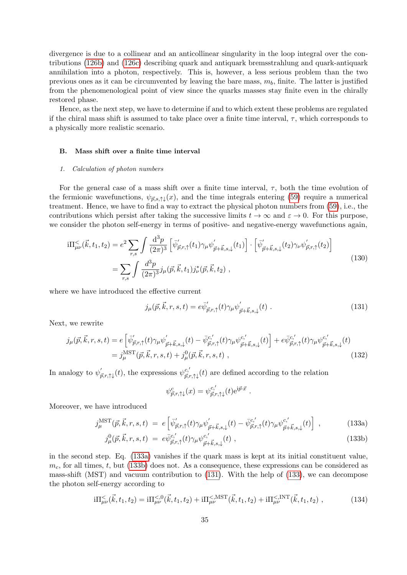divergence is due to a collinear and an anticollinear singularity in the loop integral over the contributions [\(126b\)](#page-30-1) and [\(126c\)](#page-30-1) describing quark and antiquark bremsstrahlung and quark-antiquark annihilation into a photon, respectively. This is, however, a less serious problem than the two previous ones as it can be circumvented by leaving the bare mass,  $m<sub>b</sub>$ , finite. The latter is justified from the phenomenological point of view since the quarks masses stay finite even in the chirally restored phase.

Hence, as the next step, we have to determine if and to which extent these problems are regulated if the chiral mass shift is assumed to take place over a finite time interval,  $\tau$ , which corresponds to a physically more realistic scenario.

#### <span id="page-34-0"></span>B. Mass shift over a finite time interval

#### 1. Calculation of photon numbers

For the general case of a mass shift over a finite time interval,  $\tau$ , both the time evolution of the fermionic wavefunctions,  $\psi_{\vec{p},s,\uparrow\downarrow}(x)$ , and the time integrals entering [\(59\)](#page-12-1) require a numerical treatment. Hence, we have to find a way to extract the physical photon numbers from [\(59\)](#page-12-1), i.e., the contributions which persist after taking the successive limits  $t \to \infty$  and  $\varepsilon \to 0$ . For this purpose, we consider the photon self-energy in terms of positive- and negative-energy wavefunctions again,

$$
i\Pi^{\le}_{\mu\nu}(\vec{k},t_1,t_2) = e^2 \sum_{r,s} \int \frac{d^3p}{(2\pi)^3} \left[ \bar{\psi}'_{\vec{p},r,\uparrow}(t_1) \gamma_\mu \psi'_{\vec{p}+\vec{k},s,\downarrow}(t_1) \right] \cdot \left[ \bar{\psi}'_{\vec{p}+\vec{k},s,\downarrow}(t_2) \gamma_\nu \psi'_{\vec{p},r,\uparrow}(t_2) \right]
$$
  

$$
= \sum_{r,s} \int \frac{d^3p}{(2\pi)^3} j_\mu(\vec{p},\vec{k},t_1) j^*_{\nu}(\vec{p},\vec{k},t_2) ,
$$
 (130)

where we have introduced the effective current

<span id="page-34-2"></span>
$$
j_{\mu}(\vec{p}, \vec{k}, r, s, t) = e\bar{\psi}'_{\vec{p}, r, \uparrow}(t)\gamma_{\mu}\psi'_{\vec{p} + \vec{k}, s, \downarrow}(t) \tag{131}
$$

.

Next, we rewrite

$$
j_{\mu}(\vec{p}, \vec{k}, r, s, t) = e \left[ \bar{\psi}'_{\vec{p}, r, \uparrow}(t) \gamma_{\mu} \psi'_{\vec{p} + \vec{k}, s, \downarrow}(t) - \bar{\psi}^{c,'}_{\vec{p}, r, \uparrow}(t) \gamma_{\mu} \psi^{c,'}_{\vec{p} + \vec{k}, s, \downarrow}(t) \right] + e \bar{\psi}^{c,'}_{\vec{p}, r, \uparrow}(t) \gamma_{\mu} \psi^{c,'}_{\vec{p} + \vec{k}, s, \downarrow}(t)
$$
  
=  $j_{\mu}^{\text{MST}}(\vec{p}, \vec{k}, r, s, t) + j_{\mu}^{0}(\vec{p}, \vec{k}, r, s, t)$ , (132)

In analogy to  $\psi'_{\vec{p},r,\uparrow\downarrow}(t)$ , the expressions  $\psi^{c,'}_{\vec{p},r,\uparrow\downarrow}(t)$  are defined according to the relation

<span id="page-34-3"></span>
$$
\psi^c_{\vec{p},r,\uparrow\downarrow}(x)=\psi^{c,'}_{\vec{p},r,\uparrow\downarrow}(t)\mathrm{e}^{\mathrm{i}\vec{p}\cdot\vec{x}}
$$

Moreover, we have introduced

<span id="page-34-1"></span>
$$
j_{\mu}^{\text{MST}}(\vec{p}, \vec{k}, r, s, t) = e\left[\bar{\psi}_{\vec{p}, r, \uparrow}^{\prime}(t)\gamma_{\mu}\psi_{\vec{p}+\vec{k}, s, \downarrow}^{\prime}(t) - \bar{\psi}_{\vec{p}, r, \uparrow}^{c, \prime}(t)\gamma_{\mu}\psi_{\vec{p}+\vec{k}, s, \downarrow}^{c, \prime}(t)\right],
$$
\n(133a)

$$
j_{\mu}^{0}(\vec{p}, \vec{k}, r, s, t) = e\bar{\psi}^{c'}_{\vec{p}, r, \uparrow}(t)\gamma_{\mu}\psi^{c'}_{\vec{p}+\vec{k}, s, \downarrow}(t) , \qquad (133b)
$$

in the second step. Eq. [\(133a\)](#page-34-1) vanishes if the quark mass is kept at its initial constituent value,  $m_c$ , for all times, t, but [\(133b\)](#page-34-1) does not. As a consequence, these expressions can be considered as mass-shift (MST) and vacuum contribution to [\(131\)](#page-34-2). With the help of [\(133\)](#page-34-3), we can decompose the photon self-energy according to

$$
i\Pi_{\mu\nu}^{<}(\vec{k},t_1,t_2) = i\Pi_{\mu\nu}^{<,0}(\vec{k},t_1,t_2) + i\Pi_{\mu\nu}^{<,MST}(\vec{k},t_1,t_2) + i\Pi_{\mu\nu}^{<,INT}(\vec{k},t_1,t_2) ,
$$
 (134)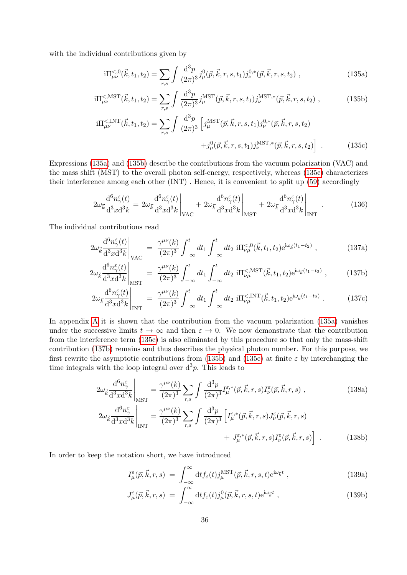with the individual contributions given by

<span id="page-35-1"></span><span id="page-35-0"></span>
$$
i\Pi_{\mu\nu}^{<,0}(\vec{k},t_1,t_2) = \sum_{r,s} \int \frac{\mathrm{d}^3 p}{(2\pi)^3} j^0_{\mu}(\vec{p},\vec{k},r,s,t_1) j^{0,*}_{\nu}(\vec{p},\vec{k},r,s,t_2) , \qquad (135a)
$$

$$
i\Pi_{\mu\nu}^{<,MST}(\vec{k},t_1,t_2) = \sum_{r,s} \int \frac{\mathrm{d}^3 p}{(2\pi)^3} j_{\mu}^{MST}(\vec{p},\vec{k},r,s,t_1) j_{\nu}^{MST,*}(\vec{p},\vec{k},r,s,t_2) , \qquad (135b)
$$

<span id="page-35-2"></span>
$$
i\Pi_{\mu\nu}^{<,\text{INT}}(\vec{k},t_1,t_2) = \sum_{r,s} \int \frac{\mathrm{d}^3 p}{(2\pi)^3} \left[ j_{\mu}^{\text{MST}}(\vec{p},\vec{k},r,s,t_1) j_{\nu}^{0,*}(\vec{p},\vec{k},r,s,t_2) \right. \\
\left. + j_{\mu}^0(\vec{p},\vec{k},r,s,t_1) j_{\nu}^{\text{MST,*}}(\vec{p},\vec{k},r,s,t_2) \right] \ . \tag{135c}
$$

Expressions [\(135a\)](#page-35-0) and [\(135b\)](#page-35-1) describe the contributions from the vacuum polarization (VAC) and the mass shift (MST) to the overall photon self-energy, respectively, whereas [\(135c\)](#page-35-2) characterizes their interference among each other (INT) . Hence, it is convenient to split up [\(59\)](#page-12-1) accordingly

$$
2\omega_{\vec{k}}\frac{\mathrm{d}^{6}n_{\gamma}^{\varepsilon}(t)}{\mathrm{d}^{3}x\mathrm{d}^{3}k} = 2\omega_{\vec{k}}\frac{\mathrm{d}^{6}n_{\gamma}^{\varepsilon}(t)}{\mathrm{d}^{3}x\mathrm{d}^{3}k}\bigg|_{\text{VAC}} + 2\omega_{\vec{k}}\frac{\mathrm{d}^{6}n_{\gamma}^{\varepsilon}(t)}{\mathrm{d}^{3}x\mathrm{d}^{3}k}\bigg|_{\text{MST}} + 2\omega_{\vec{k}}\frac{\mathrm{d}^{6}n_{\gamma}^{\varepsilon}(t)}{\mathrm{d}^{3}x\mathrm{d}^{3}k}\bigg|_{\text{INT}}.\tag{136}
$$

The individual contributions read

<span id="page-35-3"></span>
$$
2\omega_{\vec{k}} \frac{\mathrm{d}^{6} n_{\gamma}^{\varepsilon}(t)}{\mathrm{d}^{3} x \mathrm{d}^{3} k} \Big|_{\text{VAC}} = \frac{\gamma^{\mu\nu}(k)}{(2\pi)^{3}} \int_{-\infty}^{t} dt_{1} \int_{-\infty}^{t} dt_{2} \, \mathrm{i} \Pi_{\nu\mu}^{<,0}(\vec{k}, t_{1}, t_{2}) e^{\mathrm{i}\omega_{\vec{k}}(t_{1} - t_{2})} \;, \tag{137a}
$$

$$
2\omega_{\vec{k}} \frac{\mathrm{d}^6 n_{\gamma}^{\varepsilon}(t)}{\mathrm{d}^3 x \mathrm{d}^3 k} \bigg|_{\text{MST}} = \frac{\gamma^{\mu\nu}(k)}{(2\pi)^3} \int_{-\infty}^t dt_1 \int_{-\infty}^t dt_2 \, \mathrm{i} \Pi_{\nu\mu}^{<,\text{MST}}(\vec{k}, t_1, t_2) e^{i\omega_{\vec{k}}(t_1 - t_2)}, \tag{137b}
$$

$$
2\omega_{\vec{k}} \frac{\mathrm{d}^{6} n_{\gamma}^{\varepsilon}(t)}{\mathrm{d}^{3} x \mathrm{d}^{3} k} \bigg|_{\text{INT}} = \frac{\gamma^{\mu \nu}(k)}{(2\pi)^{3}} \int_{-\infty}^{t} dt_{1} \int_{-\infty}^{t} dt_{2} \, \text{i} \Pi_{\nu\mu}^{<,\text{INT}}(\vec{k}, t_{1}, t_{2}) e^{i\omega_{\vec{k}}(t_{1} - t_{2})} \,. \tag{137c}
$$

In appendix [A](#page-50-0) it is shown that the contribution from the vacuum polarization [\(135a\)](#page-35-0) vanishes under the successive limits  $t \to \infty$  and then  $\varepsilon \to 0$ . We now demonstrate that the contribution from the interference term [\(135c\)](#page-35-2) is also eliminated by this procedure so that only the mass-shift contribution [\(137b\)](#page-35-3) remains and thus describes the physical photon number. For this purpose, we first rewrite the asymptotic contributions from [\(135b\)](#page-35-1) and [\(135c\)](#page-35-2) at finite  $\varepsilon$  by interchanging the time integrals with the loop integral over  $d^3p$ . This leads to

$$
2\omega_{\vec{k}}\frac{\mathrm{d}^6 n_{\gamma}^{\varepsilon}}{\mathrm{d}^3 x \mathrm{d}^3 k}\Big|_{\text{MST}} = \frac{\gamma^{\mu\nu}(k)}{(2\pi)^3} \sum_{r,s} \int \frac{\mathrm{d}^3 p}{(2\pi)^3} I^{\varepsilon,*}_{\mu}(\vec{p}, \vec{k}, r, s) I^{\varepsilon}_{\nu}(\vec{p}, \vec{k}, r, s) , \qquad (138a)
$$

$$
2\omega_{\vec{k}} \frac{\mathrm{d}^6 n_{\gamma}^{\varepsilon}}{\mathrm{d}^3 x \mathrm{d}^3 k} \bigg|_{\text{INT}} = \frac{\gamma^{\mu\nu}(k)}{(2\pi)^3} \sum_{r,s} \int \frac{\mathrm{d}^3 p}{(2\pi)^3} \left[ I_{\mu}^{\varepsilon,*}(\vec{p}, \vec{k}, r, s) J_{\nu}^{\varepsilon}(\vec{p}, \vec{k}, r, s) + J_{\mu}^{\varepsilon,*}(\vec{p}, \vec{k}, r, s) I_{\nu}^{\varepsilon}(\vec{p}, \vec{k}, r, s) \right] . \tag{138b}
$$

In order to keep the notation short, we have introduced

<span id="page-35-4"></span>
$$
I^{\varepsilon}_{\mu}(\vec{p}, \vec{k}, r, s) = \int_{-\infty}^{\infty} dt f_{\varepsilon}(t) j^{\text{MST}}_{\mu}(\vec{p}, \vec{k}, r, s, t) e^{i\omega_{\vec{k}}t} , \qquad (139a)
$$

$$
J_{\mu}^{\varepsilon}(\vec{p}, \vec{k}, r, s) = \int_{-\infty}^{\infty} dt f_{\varepsilon}(t) j_{\mu}^{0}(\vec{p}, \vec{k}, r, s, t) e^{i\omega_{\vec{k}}t} , \qquad (139b)
$$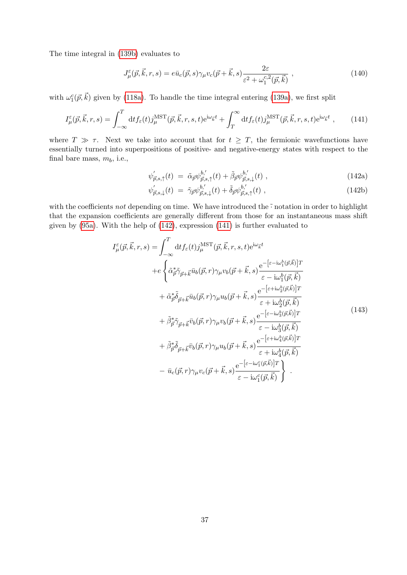The time integral in [\(139b\)](#page-35-4) evaluates to

<span id="page-36-2"></span>
$$
J_{\mu}^{\varepsilon}(\vec{p}, \vec{k}, r, s) = e\bar{u}_{c}(\vec{p}, s)\gamma_{\mu}v_{c}(\vec{p} + \vec{k}, s)\frac{2\varepsilon}{\varepsilon^{2} + \omega_{1}^{c,2}(\vec{p}, \vec{k})},
$$
\n(140)

with  $\omega_1^c(\vec{p}, \vec{k})$  given by [\(118a\)](#page-28-1). To handle the time integral entering [\(139a\)](#page-35-4), we first split

<span id="page-36-1"></span>
$$
I^{\varepsilon}_{\mu}(\vec{p}, \vec{k}, r, s) = \int_{-\infty}^{T} dt f_{\varepsilon}(t) j_{\mu}^{\text{MST}}(\vec{p}, \vec{k}, r, s, t) e^{i\omega_{\vec{k}}t} + \int_{T}^{\infty} dt f_{\varepsilon}(t) j_{\mu}^{\text{MST}}(\vec{p}, \vec{k}, r, s, t) e^{i\omega_{\vec{k}}t} , \qquad (141)
$$

where  $T \gg \tau$ . Next we take into account that for  $t \geq T$ , the fermionic wavefunctions have essentially turned into superpositions of positive- and negative-energy states with respect to the final bare mass,  $m_b$ , i.e.,

<span id="page-36-0"></span>
$$
\psi'_{\vec{p},s,\uparrow}(t) = \tilde{\alpha}_{\vec{p}} \psi^{b'}_{\vec{p},s,\uparrow}(t) + \tilde{\beta}_{\vec{p}} \psi^{b'}_{\vec{p},s,\downarrow}(t) , \qquad (142a)
$$

$$
\psi'_{\vec{p},s,\downarrow}(t) = \tilde{\gamma}_{\vec{p}} \psi^{b,'}_{\vec{p},s,\downarrow}(t) + \tilde{\delta}_{\vec{p}} \psi^{b,'}_{\vec{p},s,\uparrow}(t) , \qquad (142b)
$$

with the coefficients not depending on time. We have introduced the  $\tilde{\cdot}$  notation in order to highlight that the expansion coefficients are generally different from those for an instantaneous mass shift given by [\(95a\)](#page-18-3). With the help of [\(142\)](#page-36-0), expression [\(141\)](#page-36-1) is further evaluated to

<span id="page-36-3"></span>
$$
I_{\mu}^{\varepsilon}(\vec{p},\vec{k},r,s) = \int_{-\infty}^{T} dt f_{\varepsilon}(t) j_{\mu}^{\text{MST}}(\vec{p},\vec{k},r,s,t) e^{i\omega_{\vec{k}}t} + e \left\{ \tilde{\alpha}_{\vec{p}}^{*} \tilde{\gamma}_{\vec{p}+\vec{k}} \bar{u}_{b}(\vec{p},r) \gamma_{\mu} v_{b}(\vec{p}+\vec{k},s) \frac{e^{-\left[\varepsilon-i\omega_{1}^{b}(\vec{p},\vec{k})\right]T}}{\varepsilon-i\omega_{1}^{b}(\vec{p},\vec{k})} + \tilde{\alpha}_{\vec{p}}^{*} \tilde{\delta}_{\vec{p}+\vec{k}} \bar{u}_{b}(\vec{p},r) \gamma_{\mu} u_{b}(\vec{p}+\vec{k},s) \frac{e^{-\left[\varepsilon+i\omega_{2}^{b}(\vec{p},\vec{k})\right]T}}{\varepsilon+i\omega_{2}^{b}(\vec{p},\vec{k})} + \tilde{\beta}_{\vec{p}}^{*} \tilde{\gamma}_{\vec{p}+\vec{k}} \bar{v}_{b}(\vec{p},r) \gamma_{\mu} v_{b}(\vec{p}+\vec{k},s) \frac{e^{-\left[\varepsilon-i\omega_{3}^{b}(\vec{p},\vec{k})\right]T}}{\varepsilon-i\omega_{3}^{b}(\vec{p},\vec{k})} + \tilde{\beta}_{\vec{p}}^{*} \tilde{\delta}_{\vec{p}+\vec{k}} \bar{v}_{b}(\vec{p},r) \gamma_{\mu} u_{b}(\vec{p}+\vec{k},s) \frac{e^{-\left[\varepsilon+i\omega_{4}^{b}(\vec{p},\vec{k})\right]T}}{\varepsilon+i\omega_{4}^{b}(\vec{p},\vec{k})} - \bar{u}_{c}(\vec{p},r) \gamma_{\mu} v_{c}(\vec{p}+\vec{k},s) \frac{e^{-\left[\varepsilon-i\omega_{1}^{c}(\vec{p},\vec{k})\right]T}}{\varepsilon-i\omega_{1}^{c}(\vec{p},\vec{k})} \right\} .
$$
\n(143)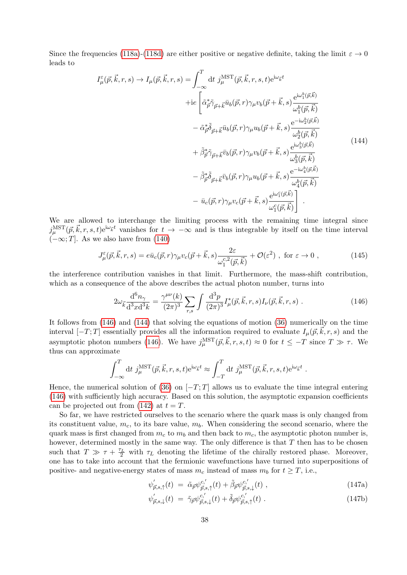Since the frequencies [\(118a\)](#page-28-1)-[\(118d\)](#page-28-1) are either positive or negative definite, taking the limit  $\varepsilon \to 0$ leads to

<span id="page-37-1"></span>
$$
I_{\mu}^{\varepsilon}(\vec{p}, \vec{k}, r, s) \rightarrow I_{\mu}(\vec{p}, \vec{k}, r, s) = \int_{-\infty}^{T} dt \ j_{\mu}^{\text{MST}}(\vec{p}, \vec{k}, r, s, t) e^{i\omega_{\vec{k}}t} \n+ie \left[ \tilde{\alpha}_{\vec{p}}^{*} \tilde{\gamma}_{\vec{p} + \vec{k}} \bar{u}_{b}(\vec{p}, r) \gamma_{\mu} v_{b}(\vec{p} + \vec{k}, s) \frac{e^{i\omega_{1}^{b}(\vec{p}, \vec{k})}}{\omega_{1}^{b}(\vec{p}, \vec{k})} \n- \tilde{\alpha}_{\vec{p}}^{*} \tilde{\delta}_{\vec{p} + \vec{k}} \bar{u}_{b}(\vec{p}, r) \gamma_{\mu} u_{b}(\vec{p} + \vec{k}, s) \frac{e^{-i\omega_{2}^{b}(\vec{p}, \vec{k})}}{\omega_{2}^{b}(\vec{p}, \vec{k})} \n+ \tilde{\beta}_{\vec{p}}^{*} \tilde{\gamma}_{\vec{p} + \vec{k}} \bar{v}_{b}(\vec{p}, r) \gamma_{\mu} v_{b}(\vec{p} + \vec{k}, s) \frac{e^{i\omega_{3}^{b}(\vec{p}, \vec{k})}}{\omega_{3}^{b}(\vec{p}, \vec{k})} \n- \tilde{\beta}_{\vec{p}}^{*} \tilde{\delta}_{\vec{p} + \vec{k}} \bar{v}_{b}(\vec{p}, r) \gamma_{\mu} u_{b}(\vec{p} + \vec{k}, s) \frac{e^{-i\omega_{4}^{b}(\vec{p}, \vec{k})}}{\omega_{4}^{b}(\vec{p}, \vec{k})} \n- \bar{u}_{c}(\vec{p}, r) \gamma_{\mu} v_{c}(\vec{p} + \vec{k}, s) \frac{e^{i\omega_{1}^{c}(\vec{p}, \vec{k})}}{\omega_{1}^{c}(\vec{p}, \vec{k})} \ .
$$
\n(144)

We are allowed to interchange the limiting process with the remaining time integral since  $j_{\mu}^{\text{MST}}(\vec{p}, \vec{k}, r, s, t) e^{i\omega_{\vec{k}}t}$  vanishes for  $t \to -\infty$  and is thus integrable by itself on the time interval  $(-\infty;T]$ . As we also have from [\(140\)](#page-36-2)

$$
J_{\mu}^{\varepsilon}(\vec{p}, \vec{k}, r, s) = e\bar{u}_{c}(\vec{p}, r)\gamma_{\mu}v_{c}(\vec{p} + \vec{k}, s)\frac{2\varepsilon}{\omega_{1}^{c,2}(\vec{p}, \vec{k})} + \mathcal{O}(\varepsilon^{2}) \text{ , for } \varepsilon \to 0 \text{ ,}
$$
 (145)

the interference contribution vanishes in that limit. Furthermore, the mass-shift contribution, which as a consequence of the above describes the actual photon number, turns into

<span id="page-37-0"></span>
$$
2\omega_{\vec{k}}\frac{\mathrm{d}^{6}n_{\gamma}}{\mathrm{d}^{3}x\mathrm{d}^{3}k} = \frac{\gamma^{\mu\nu}(k)}{(2\pi)^{3}}\sum_{r,s}\int\frac{\mathrm{d}^{3}p}{(2\pi)^{3}}I_{\mu}^{*}(\vec{p},\vec{k},r,s)I_{\nu}(\vec{p},\vec{k},r,s) . \tag{146}
$$

It follows from [\(146\)](#page-37-0) and [\(144\)](#page-37-1) that solving the equations of motion [\(36\)](#page-9-6) numerically on the time interval  $[-T; T]$  essentially provides all the information required to evaluate  $I_\mu(\vec{p}, \vec{k}, r, s)$  and the asymptotic photon numbers [\(146\)](#page-37-0). We have  $j_{\mu}^{\text{MST}}(\vec{p}, \vec{k}, r, s, t) \approx 0$  for  $t \leq -T$  since  $T \gg \tau$ . We thus can approximate

$$
\int_{-\infty}^T dt \, j_{\mu}^{\text{MST}}(\vec{p}, \vec{k}, r, s, t) e^{i\omega_{\vec{k}}t} \approx \int_{-T}^T dt \, j_{\mu}^{\text{MST}}(\vec{p}, \vec{k}, r, s, t) e^{i\omega_{\vec{k}}t} .
$$

Hence, the numerical solution of [\(36\)](#page-9-6) on  $[-T, T]$  allows us to evaluate the time integral entering [\(146\)](#page-37-0) with sufficiently high accuracy. Based on this solution, the asymptotic expansion coefficients can be projected out from [\(142\)](#page-36-0) at  $t = T$ .

So far, we have restricted ourselves to the scenario where the quark mass is only changed from its constituent value,  $m_c$ , to its bare value,  $m_b$ . When considering the second scenario, where the quark mass is first changed from  $m_c$  to  $m_b$  and then back to  $m_c$ , the asymptotic photon number is, however, determined mostly in the same way. The only difference is that  $T$  then has to be chosen such that  $T \gg \tau + \frac{\tau_L}{2}$  with  $\tau_L$  denoting the lifetime of the chirally restored phase. Moreover, one has to take into account that the fermionic wavefunctions have turned into superpositions of positive- and negative-energy states of mass  $m_c$  instead of mass  $m_b$  for  $t \geq T$ , i.e.,

$$
\psi_{\vec{p},s,\uparrow}^{\prime}(t) = \tilde{\alpha}_{\vec{p}} \psi_{\vec{p},s,\uparrow}^{c,\prime}(t) + \tilde{\beta}_{\vec{p}} \psi_{\vec{p},s,\downarrow}^{c,\prime}(t) , \qquad (147a)
$$

$$
\psi_{\vec{p},s,\downarrow}(t) = \tilde{\gamma}_{\vec{p}} \psi_{\vec{p},s,\downarrow}^{c,'}(t) + \tilde{\delta}_{\vec{p}} \psi_{\vec{p},s,\uparrow}^{c,'}(t) . \qquad (147b)
$$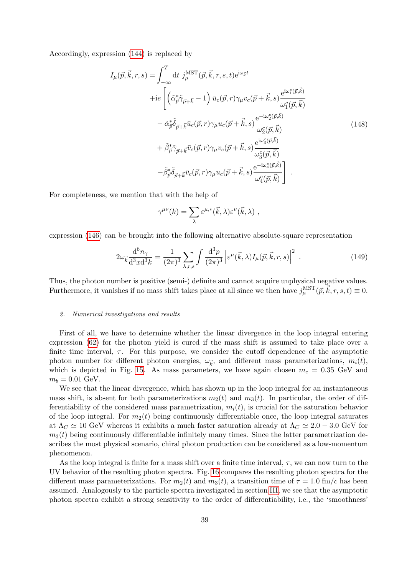Accordingly, expression [\(144\)](#page-37-1) is replaced by

$$
I_{\mu}(\vec{p}, \vec{k}, r, s) = \int_{-\infty}^{T} dt \ j_{\mu}^{\text{MST}}(\vec{p}, \vec{k}, r, s, t) e^{i\omega_{\vec{k}}t} + ie \left[ \left( \tilde{\alpha}_{\vec{p}}^{*} \tilde{\gamma}_{\vec{p} + \vec{k}} - 1 \right) \bar{u}_{c}(\vec{p}, r) \gamma_{\mu} v_{c}(\vec{p} + \vec{k}, s) \frac{e^{i\omega_{\vec{l}}(\vec{p}, \vec{k})}}{\omega_{\vec{l}}^{c}(\vec{p}, \vec{k})} - \tilde{\alpha}_{\vec{p}}^{*} \tilde{\delta}_{\vec{p} + \vec{k}} \bar{u}_{c}(\vec{p}, r) \gamma_{\mu} u_{c}(\vec{p} + \vec{k}, s) \frac{e^{-i\omega_{\vec{l}}^{c}(\vec{p}, \vec{k})}}{\omega_{\vec{l}}^{c}(\vec{p}, \vec{k})} + \tilde{\beta}_{\vec{p}}^{*} \tilde{\gamma}_{\vec{p} + \vec{k}} \bar{v}_{c}(\vec{p}, r) \gamma_{\mu} v_{c}(\vec{p} + \vec{k}, s) \frac{e^{i\omega_{\vec{l}}^{c}(\vec{p}, \vec{k})}}{\omega_{\vec{l}}^{c}(\vec{p}, \vec{k})} - \tilde{\beta}_{\vec{p}}^{*} \tilde{\delta}_{\vec{p} + \vec{k}} \bar{v}_{c}(\vec{p}, r) \gamma_{\mu} u_{c}(\vec{p} + \vec{k}, s) \frac{e^{-i\omega_{\vec{l}}^{c}(\vec{p}, \vec{k})}}{\omega_{\vec{l}}^{c}(\vec{p}, \vec{k})} \right] .
$$
(148)

For completeness, we mention that with the help of

$$
\gamma^{\mu\nu}(k) = \sum_{\lambda} \varepsilon^{\mu,*}(\vec{k}, \lambda) \varepsilon^{\nu}(\vec{k}, \lambda) ,
$$

expression [\(146\)](#page-37-0) can be brought into the following alternative absolute-square representation

$$
2\omega_{\vec{k}}\frac{\mathrm{d}^6 n_{\gamma}}{\mathrm{d}^3 x \mathrm{d}^3 k} = \frac{1}{(2\pi)^3} \sum_{\lambda,r,s} \int \frac{\mathrm{d}^3 p}{(2\pi)^3} \left| \varepsilon^{\mu}(\vec{k},\lambda) I_{\mu}(\vec{p},\vec{k},r,s) \right|^2 \,. \tag{149}
$$

Thus, the photon number is positive (semi-) definite and cannot acquire unphysical negative values. Furthermore, it vanishes if no mass shift takes place at all since we then have  $j_{\mu}^{\text{MST}}(\vec{p}, \vec{k}, r, s, t) \equiv 0$ .

## 2. Numerical investigations and results

First of all, we have to determine whether the linear divergence in the loop integral entering expression [\(62\)](#page-12-5) for the photon yield is cured if the mass shift is assumed to take place over a finite time interval,  $\tau$ . For this purpose, we consider the cutoff dependence of the asymptotic photon number for different photon energies,  $\omega_{\vec{k}}$ , and different mass parameterizations,  $m_i(t)$ , which is depicted in Fig. [15.](#page-39-0) As mass parameters, we have again chosen  $m_c = 0.35$  GeV and  $m_b = 0.01 \text{ GeV}.$ 

We see that the linear divergence, which has shown up in the loop integral for an instantaneous mass shift, is absent for both parameterizations  $m_2(t)$  and  $m_3(t)$ . In particular, the order of differentiability of the considered mass parametrization,  $m_i(t)$ , is crucial for the saturation behavior of the loop integral. For  $m_2(t)$  being continuously differentiable once, the loop integral saturates at  $\Lambda_C \simeq 10$  GeV whereas it exhibits a much faster saturation already at  $\Lambda_C \simeq 2.0 - 3.0$  GeV for  $m<sub>3</sub>(t)$  being continuously differentiable infinitely many times. Since the latter parametrization describes the most physical scenario, chiral photon production can be considered as a low-momentum phenomenon.

As the loop integral is finite for a mass shift over a finite time interval,  $\tau$ , we can now turn to the UV behavior of the resulting photon spectra. Fig. [16](#page-39-1) compares the resulting photon spectra for the different mass parameterizations. For  $m_2(t)$  and  $m_3(t)$ , a transition time of  $\tau = 1.0$  fm/c has been assumed. Analogously to the particle spectra investigated in section [III,](#page-13-0) we see that the asymptotic photon spectra exhibit a strong sensitivity to the order of differentiability, i.e., the 'smoothness'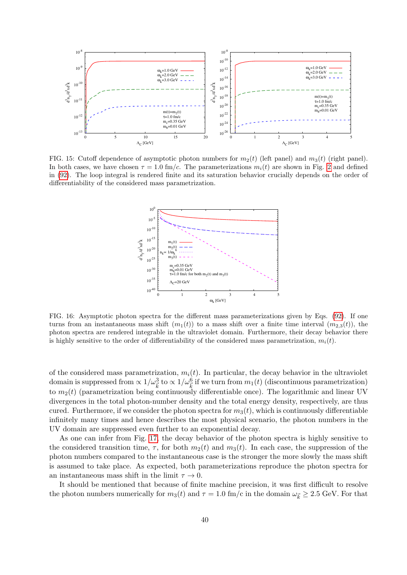

<span id="page-39-0"></span>FIG. 15: Cutoff dependence of asymptotic photon numbers for  $m_2(t)$  (left panel) and  $m_3(t)$  (right panel). In both cases, we have chosen  $\tau = 1.0$  fm/c. The parameterizations  $m_i(t)$  are shown in Fig. [2](#page-17-1) and defined in [\(92\)](#page-17-2). The loop integral is rendered finite and its saturation behavior crucially depends on the order of differentiability of the considered mass parametrization.



<span id="page-39-1"></span>FIG. 16: Asymptotic photon spectra for the different mass parameterizations given by Eqs. [\(92\)](#page-17-2). If one turns from an instantaneous mass shift  $(m_1(t))$  to a mass shift over a finite time interval  $(m_{2,3}(t))$ , the photon spectra are rendered integrable in the ultraviolet domain. Furthermore, their decay behavior there is highly sensitive to the order of differentiability of the considered mass parametrization,  $m_i(t)$ .

of the considered mass parametrization,  $m<sub>i</sub>(t)$ . In particular, the decay behavior in the ultraviolet domain is suppressed from  $\propto 1/\omega_{\vec{k}}^3$  to  $\propto 1/\omega_{\vec{k}}^6$  if we turn from  $m_1(t)$  (discontinuous parametrization) to  $m_2(t)$  (parametrization being continuously differentiable once). The logarithmic and linear UV divergences in the total photon-number density and the total energy density, respectively, are thus cured. Furthermore, if we consider the photon spectra for  $m_3(t)$ , which is continuously differentiable infinitely many times and hence describes the most physical scenario, the photon numbers in the UV domain are suppressed even further to an exponential decay.

As one can infer from Fig. [17,](#page-40-0) the decay behavior of the photon spectra is highly sensitive to the considered transition time,  $\tau$ , for both  $m_2(t)$  and  $m_3(t)$ . In each case, the suppression of the photon numbers compared to the instantaneous case is the stronger the more slowly the mass shift is assumed to take place. As expected, both parameterizations reproduce the photon spectra for an instantaneous mass shift in the limit  $\tau \to 0$ .

It should be mentioned that because of finite machine precision, it was first difficult to resolve the photon numbers numerically for  $m_3(t)$  and  $\tau = 1.0$  fm/c in the domain  $\omega_{\vec{k}} \geq 2.5$  GeV. For that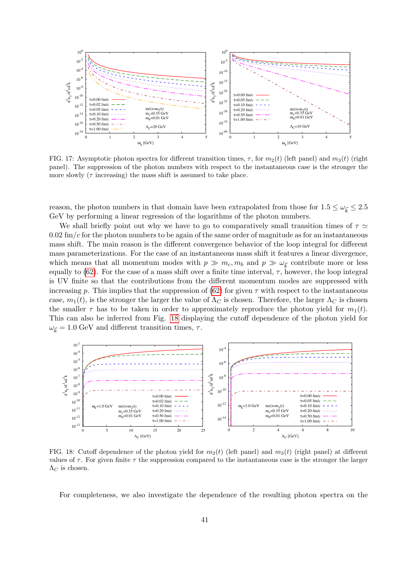

<span id="page-40-0"></span>FIG. 17: Asymptotic photon spectra for different transition times,  $\tau$ , for  $m_2(t)$  (left panel) and  $m_3(t)$  (right panel). The suppression of the photon numbers with respect to the instantaneous case is the stronger the more slowly  $(\tau \text{ increasing})$  the mass shift is assumed to take place.

reason, the photon numbers in that domain have been extrapolated from those for  $1.5 \leq \omega_{\vec{k}} \leq 2.5$ GeV by performing a linear regression of the logarithms of the photon numbers.

We shall briefly point out why we have to go to comparatively small transition times of  $\tau \simeq$  $0.02 \text{ fm/c}$  for the photon numbers to be again of the same order of magnitude as for an instantaneous mass shift. The main reason is the different convergence behavior of the loop integral for different mass parameterizations. For the case of an instantaneous mass shift it features a linear divergence, which means that all momentum modes with  $p \gg m_c, m_b$  and  $p \gg \omega_{\vec{k}}$  contribute more or less equally to [\(62\)](#page-12-5). For the case of a mass shift over a finite time interval,  $\tau$ , however, the loop integral is UV finite so that the contributions from the different momentum modes are suppressed with increasing p. This implies that the suppression of [\(62\)](#page-12-5) for given  $\tau$  with respect to the instantaneous case,  $m_1(t)$ , is the stronger the larger the value of  $\Lambda_C$  is chosen. Therefore, the larger  $\Lambda_C$  is chosen the smaller  $\tau$  has to be taken in order to approximately reproduce the photon yield for  $m_1(t)$ . This can also be inferred from Fig. [18](#page-40-1) displaying the cutoff dependence of the photon yield for  $\omega_{\vec{k}} = 1.0$  GeV and different transition times,  $\tau$ .



<span id="page-40-1"></span>FIG. 18: Cutoff dependence of the photon yield for  $m_2(t)$  (left panel) and  $m_3(t)$  (right panel) at different values of  $\tau$ . For given finite  $\tau$  the suppression compared to the instantaneous case is the stronger the larger  $\Lambda_C$  is chosen.

For completeness, we also investigate the dependence of the resulting photon spectra on the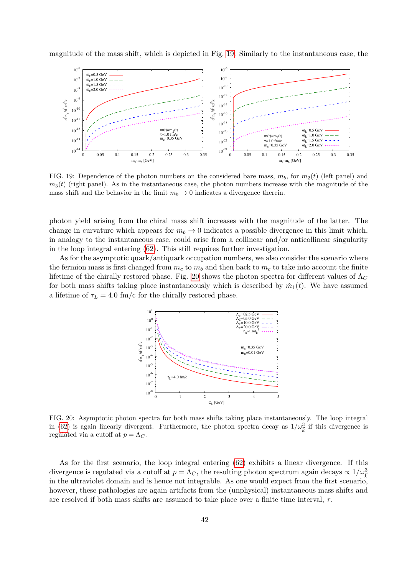magnitude of the mass shift, which is depicted in Fig. [19.](#page-41-0) Similarly to the instantaneous case, the



<span id="page-41-0"></span>FIG. 19: Dependence of the photon numbers on the considered bare mass,  $m_b$ , for  $m_2(t)$  (left panel) and  $m<sub>3</sub>(t)$  (right panel). As in the instantaneous case, the photon numbers increase with the magnitude of the mass shift and the behavior in the limit  $m_b \to 0$  indicates a divergence therein.

photon yield arising from the chiral mass shift increases with the magnitude of the latter. The change in curvature which appears for  $m_b \to 0$  indicates a possible divergence in this limit which, in analogy to the instantaneous case, could arise from a collinear and/or anticollinear singularity in the loop integral entering [\(62\)](#page-12-5). This still requires further investigation.

As for the asymptotic quark/antiquark occupation numbers, we also consider the scenario where the fermion mass is first changed from  $m_c$  to  $m_b$  and then back to  $m_c$  to take into account the finite lifetime of the chirally restored phase. Fig. [20](#page-41-1) shows the photon spectra for different values of  $\Lambda_C$ for both mass shifts taking place instantaneously which is described by  $\tilde{m}_1(t)$ . We have assumed a lifetime of  $\tau_L = 4.0$  fm/c for the chirally restored phase.



<span id="page-41-1"></span>FIG. 20: Asymptotic photon spectra for both mass shifts taking place instantaneously. The loop integral in [\(62\)](#page-12-5) is again linearly divergent. Furthermore, the photon spectra decay as  $1/\omega_{\vec{k}}^3$  if this divergence is regulated via a cutoff at  $p = \Lambda_C$ .

As for the first scenario, the loop integral entering [\(62\)](#page-12-5) exhibits a linear divergence. If this divergence is regulated via a cutoff at  $p = \Lambda_C$ , the resulting photon spectrum again decays  $\propto 1/\omega_k^3$ in the ultraviolet domain and is hence not integrable. As one would expect from the first scenario, however, these pathologies are again artifacts from the (unphysical) instantaneous mass shifts and are resolved if both mass shifts are assumed to take place over a finite time interval,  $\tau$ .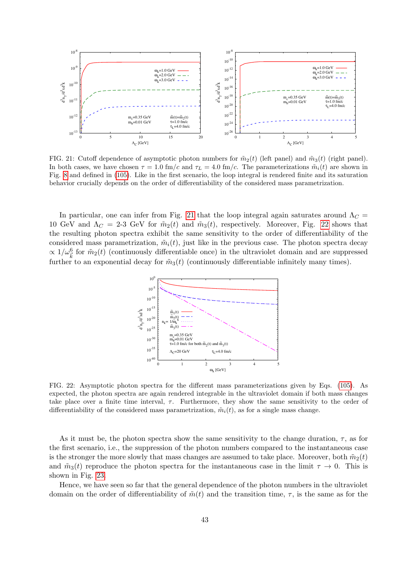

<span id="page-42-0"></span>FIG. 21: Cutoff dependence of asymptotic photon numbers for  $\tilde{m}_2(t)$  (left panel) and  $\tilde{m}_3(t)$  (right panel). In both cases, we have chosen  $\tau = 1.0$  fm/c and  $\tau_L = 4.0$  fm/c. The parameterizations  $\tilde{m}_i(t)$  are shown in Fig. [8](#page-22-3) and defined in [\(105\)](#page-22-5). Like in the first scenario, the loop integral is rendered finite and its saturation behavior crucially depends on the order of differentiability of the considered mass parametrization.

In particular, one can infer from Fig. [21](#page-42-0) that the loop integral again saturates around  $\Lambda_C =$ 10 GeV and  $\Lambda_C = 2$ -3 GeV for  $\tilde{m}_2(t)$  and  $\tilde{m}_3(t)$ , respectively. Moreover, Fig. [22](#page-42-1) shows that the resulting photon spectra exhibit the same sensitivity to the order of differentiability of the considered mass parametrization,  $\tilde{m}_i(t)$ , just like in the previous case. The photon spectra decay  $\propto 1/\omega_k^6$  for  $\tilde{m}_2(t)$  (continuously differentiable once) in the ultraviolet domain and are suppressed further to an exponential decay for  $\tilde{m}_3(t)$  (continuously differentiable infinitely many times).



<span id="page-42-1"></span>FIG. 22: Asymptotic photon spectra for the different mass parameterizations given by Eqs. [\(105\)](#page-22-5). As expected, the photon spectra are again rendered integrable in the ultraviolet domain if both mass changes take place over a finite time interval,  $\tau$ . Furthermore, they show the same sensitivity to the order of differentiability of the considered mass parametrization,  $\tilde{m}_i(t)$ , as for a single mass change.

As it must be, the photon spectra show the same sensitivity to the change duration,  $\tau$ , as for the first scenario, i.e., the suppression of the photon numbers compared to the instantaneous case is the stronger the more slowly that mass changes are assumed to take place. Moreover, both  $\tilde{m}_2(t)$ and  $\tilde{m}_3(t)$  reproduce the photon spectra for the instantaneous case in the limit  $\tau \to 0$ . This is shown in Fig. [23.](#page-43-0)

Hence, we have seen so far that the general dependence of the photon numbers in the ultraviolet domain on the order of differentiability of  $\tilde{m}(t)$  and the transition time,  $\tau$ , is the same as for the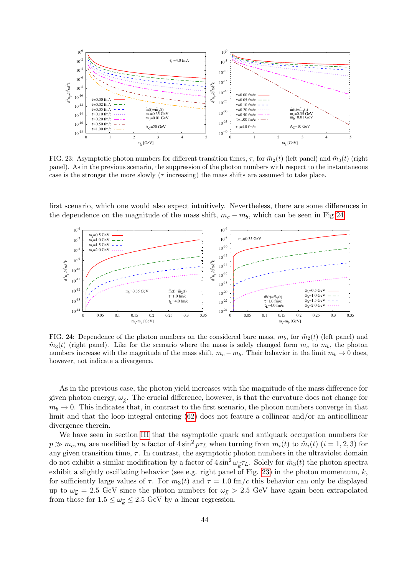

<span id="page-43-0"></span>FIG. 23: Asymptotic photon numbers for different transition times,  $\tau$ , for  $\tilde{m}_2(t)$  (left panel) and  $\tilde{m}_3(t)$  (right panel). As in the previous scenario, the suppression of the photon numbers with respect to the instantaneous case is the stronger the more slowly ( $\tau$  increasing) the mass shifts are assumed to take place.

first scenario, which one would also expect intuitively. Nevertheless, there are some differences in the dependence on the magnitude of the mass shift,  $m_c - m_b$ , which can be seen in Fig [24.](#page-43-1)



<span id="page-43-1"></span>FIG. 24: Dependence of the photon numbers on the considered bare mass,  $m_b$ , for  $\tilde{m}_2(t)$  (left panel) and  $\tilde{m}_3(t)$  (right panel). Like for the scenario where the mass is solely changed form  $m_c$  to  $m_b$ , the photon numbers increase with the magnitude of the mass shift,  $m_c - m_b$ . Their behavior in the limit  $m_b \to 0$  does, however, not indicate a divergence.

As in the previous case, the photon yield increases with the magnitude of the mass difference for given photon energy,  $\omega_{\vec{k}}$ . The crucial difference, however, is that the curvature does not change for  $m_b \to 0$ . This indicates that, in contrast to the first scenario, the photon numbers converge in that limit and that the loop integral entering [\(62\)](#page-12-5) does not feature a collinear and/or an anticollinear divergence therein.

We have seen in section [III](#page-13-0) that the asymptotic quark and antiquark occupation numbers for  $p \gg m_c, m_b$  are modified by a factor of  $4 \sin^2 p \tau_L$  when turning from  $m_i(t)$  to  $\tilde{m}_i(t)$   $(i = 1, 2, 3)$  for any given transition time,  $\tau$ . In contrast, the asymptotic photon numbers in the ultraviolet domain do not exhibit a similar modification by a factor of  $4\sin^2\omega_{\vec{k}}\tau_L$ . Solely for  $\tilde{m}_3(t)$  the photon spectra exhibit a slightly oscillating behavior (see e.g. right panel of Fig. [23\)](#page-43-0) in the photon momentum,  $k$ , for sufficiently large values of  $\tau$ . For  $m_3(t)$  and  $\tau = 1.0$  fm/c this behavior can only be displayed up to  $\omega_{\vec{k}} = 2.5$  GeV since the photon numbers for  $\omega_{\vec{k}} > 2.5$  GeV have again been extrapolated from those for  $1.5 \leq \omega_{\vec{k}} \leq 2.5$  GeV by a linear regression.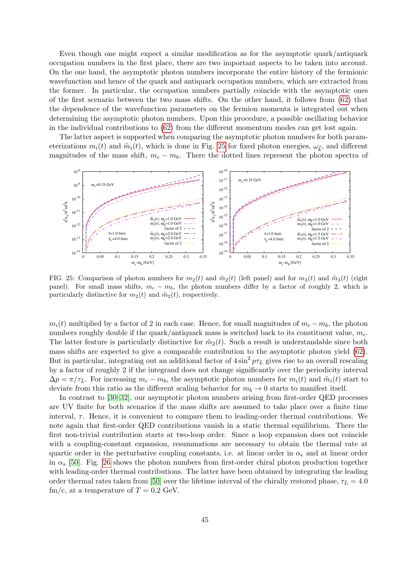Even though one might expect a similar modification as for the asymptotic quark/antiquark occupation numbers in the first place, there are two important aspects to be taken into account. On the one hand, the asymptotic photon numbers incorporate the entire history of the fermionic wavefunction and hence of the quark and antiquark occupation numbers, which are extracted from the former. In particular, the occupation numbers partially coincide with the asymptotic ones of the first scenario between the two mass shifts. On the other hand, it follows from [\(62\)](#page-12-5) that the dependence of the wavefunction parameters on the fermion momenta is integrated out when determining the asymptotic photon numbers. Upon this procedure, a possible oscillating behavior in the individual contributions to [\(62\)](#page-12-5) from the different momentum modes can get lost again.

The latter aspect is supported when comparing the asymptotic photon numbers for both parameterizations  $m_i(t)$  and  $\tilde{m}_i(t)$ , which is done in Fig. [25](#page-44-0) for fixed photon energies,  $\omega_{\vec{k}}$ , and different magnitudes of the mass shift,  $m_c - m_b$ . There the dotted lines represent the photon spectra of



<span id="page-44-0"></span>FIG. 25: Comparison of photon numbers for  $m_2(t)$  and  $\tilde{m}_2(t)$  (left panel) and for  $m_3(t)$  and  $\tilde{m}_3(t)$  (right panel). For small mass shifts,  $m_c - m_b$ , the photon numbers differ by a factor of roughly 2, which is particularly distinctive for  $m_2(t)$  and  $\tilde{m}_2(t)$ , respectively.

 $m_i(t)$  multiplied by a factor of 2 in each case. Hence, for small magnitudes of  $m_c - m_b$ , the photon numbers roughly double if the quark/antiquark mass is switched back to its constituent value,  $m_c$ . The latter feature is particularly distinctive for  $\tilde{m}_2(t)$ . Such a result is understandable since both mass shifts are expected to give a comparable contribution to the asymptotic photon yield [\(62\)](#page-12-5). But in particular, integrating out an additional factor of  $4\sin^2 p\tau_L$  gives rise to an overall rescaling by a factor of roughly 2 if the integrand does not change significantly over the periodicity interval  $\Delta p = \pi / \tau_L$ . For increasing  $m_c - m_b$ , the asymptotic photon numbers for  $m_i(t)$  and  $\tilde{m}_i(t)$  start to deviate from this ratio as the different scaling behavior for  $m_b \to 0$  starts to manifest itself.

In contrast to [\[30–](#page-68-3)[32\]](#page-68-5), our asymptotic photon numbers arising from first-order QED processes are UV finite for both scenarios if the mass shifts are assumed to take place over a finite time interval,  $\tau$ . Hence, it is convenient to compare them to leading-order thermal contributions. We note again that first-order QED contributions vanish in a static thermal equilibrium. There the first non-trivial contribution starts at two-loop order. Since a loop expansion does not coincide with a coupling-constant expansion, resummations are necessary to obtain the thermal rate at quartic order in the perturbative coupling constants, i.e. at linear order in  $\alpha_e$  and at linear order in  $\alpha_s$  [\[50\]](#page-68-19). Fig. [26](#page-45-0) shows the photon numbers from first-order chiral photon production together with leading-order thermal contributions. The latter have been obtained by integrating the leading order thermal rates taken from [\[50\]](#page-68-19) over the lifetime interval of the chirally restored phase,  $\tau_L = 4.0$ fm/c, at a temperature of  $T = 0.2$  GeV.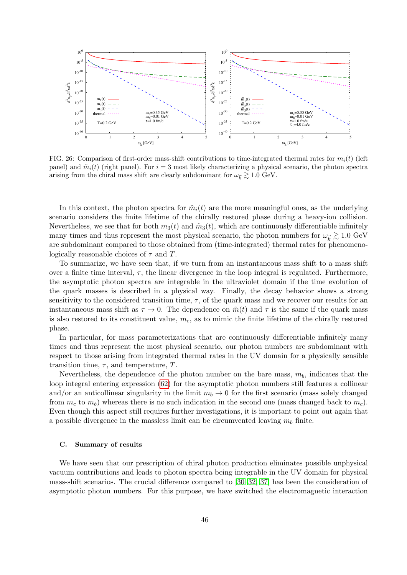

<span id="page-45-0"></span>FIG. 26: Comparison of first-order mass-shift contributions to time-integrated thermal rates for  $m_i(t)$  (left panel) and  $\tilde{m}_i(t)$  (right panel). For  $i = 3$  most likely characterizing a physical scenario, the photon spectra arising from the chiral mass shift are clearly subdominant for  $\omega_{\vec{k}} \gtrsim 1.0 \text{ GeV}$ .

In this context, the photon spectra for  $\tilde{m}_i(t)$  are the more meaningful ones, as the underlying scenario considers the finite lifetime of the chirally restored phase during a heavy-ion collision. Nevertheless, we see that for both  $m_3(t)$  and  $\tilde{m}_3(t)$ , which are continuously differentiable infinitely many times and thus represent the most physical scenario, the photon numbers for  $\omega_{\vec{k}} \gtrsim 1.0 \text{ GeV}$ are subdominant compared to those obtained from (time-integrated) thermal rates for phenomenologically reasonable choices of  $\tau$  and T.

To summarize, we have seen that, if we turn from an instantaneous mass shift to a mass shift over a finite time interval,  $\tau$ , the linear divergence in the loop integral is regulated. Furthermore, the asymptotic photon spectra are integrable in the ultraviolet domain if the time evolution of the quark masses is described in a physical way. Finally, the decay behavior shows a strong sensitivity to the considered transition time,  $\tau$ , of the quark mass and we recover our results for an instantaneous mass shift as  $\tau \to 0$ . The dependence on  $\tilde{m}(t)$  and  $\tau$  is the same if the quark mass is also restored to its constituent value,  $m_c$ , as to mimic the finite lifetime of the chirally restored phase.

In particular, for mass parameterizations that are continuously differentiable infinitely many times and thus represent the most physical scenario, our photon numbers are subdominant with respect to those arising from integrated thermal rates in the UV domain for a physically sensible transition time,  $\tau$ , and temperature, T.

Nevertheless, the dependence of the photon number on the bare mass,  $m_b$ , indicates that the loop integral entering expression [\(62\)](#page-12-5) for the asymptotic photon numbers still features a collinear and/or an anticollinear singularity in the limit  $m_b \to 0$  for the first scenario (mass solely changed from  $m_c$  to  $m_b$ ) whereas there is no such indication in the second one (mass changed back to  $m_c$ ). Even though this aspect still requires further investigations, it is important to point out again that a possible divergence in the massless limit can be circumvented leaving  $m_b$  finite.

## C. Summary of results

We have seen that our prescription of chiral photon production eliminates possible unphysical vacuum contributions and leads to photon spectra being integrable in the UV domain for physical mass-shift scenarios. The crucial difference compared to [\[30–](#page-68-3)[32,](#page-68-5) [37\]](#page-68-10) has been the consideration of asymptotic photon numbers. For this purpose, we have switched the electromagnetic interaction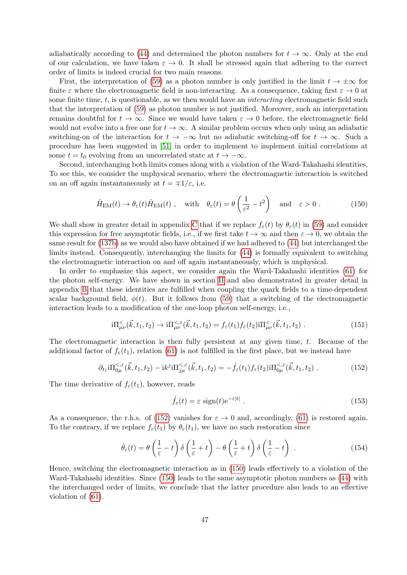adiabatically according to [\(44\)](#page-10-4) and determined the photon numbers for  $t \to \infty$ . Only at the end of our calculation, we have taken  $\varepsilon \to 0$ . It shall be stressed again that adhering to the correct order of limits is indeed crucial for two main reasons.

First, the interpretation of [\(59\)](#page-12-1) as a photon number is only justified in the limit  $t \to \pm \infty$  for finite  $\varepsilon$  where the electromagnetic field is non-interacting. As a consequence, taking first  $\varepsilon \to 0$  at some finite time,  $t$ , is questionable, as we then would have an *interacting* electromagnetic field such that the interpretation of [\(59\)](#page-12-1) as photon number is not justified. Moreover, such an interpretation remains doubtful for  $t \to \infty$ . Since we would have taken  $\varepsilon \to 0$  before, the electromagnetic field would not evolve into a free one for  $t \to \infty$ . A similar problem occurs when only using an adiabatic switching-on of the interaction for  $t \to -\infty$  but no adiabatic switching-off for  $t \to \infty$ . Such a procedure has been suggested in [\[51\]](#page-68-20) in order to implement to implement initial correlations at some  $t = t_0$  evolving from an uncorrelated state at  $t \to -\infty$ .

Second, interchanging both limits comes along with a violation of the Ward-Takahashi identities. To see this, we consider the unphysical scenario, where the electromagnetic interaction is switched on an off again instantaneously at  $t = \pm 1/\varepsilon$ , i.e.

<span id="page-46-1"></span>
$$
\hat{H}_{\text{EM}}(t) \to \theta_{\varepsilon}(t) \hat{H}_{\text{EM}}(t) , \quad \text{with} \quad \theta_{\varepsilon}(t) = \theta \left(\frac{1}{\varepsilon^2} - t^2\right) \quad \text{and} \quad \varepsilon > 0 . \tag{150}
$$

We shall show in greater detail in appendix [C](#page-57-0) that if we replace  $f_{\varepsilon}(t)$  by  $\theta_{\varepsilon}(t)$  in [\(59\)](#page-12-1) and consider this expression for free asymptotic fields, i.e., if we first take  $t \to \infty$  and then  $\varepsilon \to 0$ , we obtain the same result for [\(137b\)](#page-35-3) as we would also have obtained if we had adhered to [\(44\)](#page-10-4) but interchanged the limits instead. Consequently, interchanging the limits for [\(44\)](#page-10-4) is formally equivalent to switching the electromagnetic interaction on and off again instantaneously, which is unphysical.

In order to emphasize this aspect, we consider again the Ward-Takahashi identities [\(61\)](#page-12-0) for the photon self-energy. We have shown in section [II](#page-4-0) and also demonstrated in greater detail in appendix [B](#page-54-0) that these identities are fulfilled when coupling the quark fields to a time-dependent scalar background field,  $\phi(t)$ . But it follows from [\(59\)](#page-12-1) that a switching of the electromagnetic interaction leads to a modification of the one-loop photon self-energy, i.e.,

$$
i\Pi_{\mu\nu}^{\leq}(\vec{k},t_1,t_2) \to i\Pi_{\mu\nu}^{\leq,\varepsilon}(\vec{k},t_1,t_2) = f_{\varepsilon}(t_1) f_{\varepsilon}(t_2) i\Pi_{\mu\nu}^{\leq}(\vec{k},t_1,t_2) \tag{151}
$$

The electromagnetic interaction is then fully persistent at any given time,  $t$ . Because of the additional factor of  $f_{\varepsilon}(t_1)$ , relation [\(61\)](#page-12-0) is not fulfilled in the first place, but we instead have

<span id="page-46-0"></span>
$$
\partial_{t_1} i \Pi_{0\mu}^{\leq,\varepsilon}(\vec{k},t_1,t_2) - ik^j i \Pi_{j\mu}^{\leq,\varepsilon}(\vec{k},t_1,t_2) = -\dot{f}_{\varepsilon}(t_1) f_{\varepsilon}(t_2) i \Pi_{0\mu}^{\leq,\varepsilon}(\vec{k},t_1,t_2) \ . \tag{152}
$$

The time derivative of  $f_{\varepsilon}(t_1)$ , however, reads

$$
\dot{f}_{\varepsilon}(t) = \varepsilon \, \text{sign}(t) e^{-\varepsilon|t|} \,. \tag{153}
$$

As a consequence, the r.h.s. of [\(152\)](#page-46-0) vanishes for  $\varepsilon \to 0$  and, accordingly, [\(61\)](#page-12-0) is restored again. To the contrary, if we replace  $f_{\varepsilon}(t_1)$  by  $\theta_{\varepsilon}(t_1)$ , we have no such restoration since

$$
\dot{\theta}_{\varepsilon}(t) = \theta\left(\frac{1}{\varepsilon} - t\right)\delta\left(\frac{1}{\varepsilon} + t\right) - \theta\left(\frac{1}{\varepsilon} + t\right)\delta\left(\frac{1}{\varepsilon} - t\right) \tag{154}
$$

Hence, switching the electromagnetic interaction as in [\(150\)](#page-46-1) leads effectively to a violation of the Ward-Takahashi identities. Since [\(150\)](#page-46-1) leads to the same asymptotic photon numbers as [\(44\)](#page-10-4) with the interchanged order of limits, we conclude that the latter procedure also leads to an effective violation of [\(61\)](#page-12-0).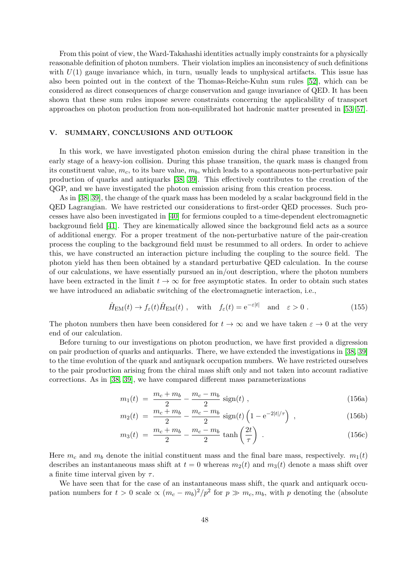From this point of view, the Ward-Takahashi identities actually imply constraints for a physically reasonable definition of photon numbers. Their violation implies an inconsistency of such definitions with  $U(1)$  gauge invariance which, in turn, usually leads to unphysical artifacts. This issue has also been pointed out in the context of the Thomas-Reiche-Kuhn sum rules [\[52\]](#page-68-21), which can be considered as direct consequences of charge conservation and gauge invariance of QED. It has been shown that these sum rules impose severe constraints concerning the applicability of transport approaches on photon production from non-equilibrated hot hadronic matter presented in [\[53–](#page-68-22)[57\]](#page-68-23).

# <span id="page-47-0"></span>V. SUMMARY, CONCLUSIONS AND OUTLOOK

In this work, we have investigated photon emission during the chiral phase transition in the early stage of a heavy-ion collision. During this phase transition, the quark mass is changed from its constituent value,  $m_c$ , to its bare value,  $m_b$ , which leads to a spontaneous non-perturbative pair production of quarks and antiquarks [\[38,](#page-68-11) [39\]](#page-68-12). This effectively contributes to the creation of the QGP, and we have investigated the photon emission arising from this creation process.

As in [\[38,](#page-68-11) [39\]](#page-68-12), the change of the quark mass has been modeled by a scalar background field in the QED Lagrangian. We have restricted our considerations to first-order QED processes. Such processes have also been investigated in [\[40\]](#page-68-13) for fermions coupled to a time-dependent electromagnetic background field [\[41\]](#page-68-14). They are kinematically allowed since the background field acts as a source of additional energy. For a proper treatment of the non-perturbative nature of the pair-creation process the coupling to the background field must be resummed to all orders. In order to achieve this, we have constructed an interaction picture including the coupling to the source field. The photon yield has then been obtained by a standard perturbative QED calculation. In the course of our calculations, we have essentially pursued an in/out description, where the photon numbers have been extracted in the limit  $t \to \infty$  for free asymptotic states. In order to obtain such states we have introduced an adiabatic switching of the electromagnetic interaction, i.e.,

$$
\hat{H}_{\text{EM}}(t) \to f_{\varepsilon}(t)\hat{H}_{\text{EM}}(t) , \quad \text{with} \quad f_{\varepsilon}(t) = e^{-\varepsilon|t|} \quad \text{and} \quad \varepsilon > 0 . \tag{155}
$$

The photon numbers then have been considered for  $t \to \infty$  and we have taken  $\varepsilon \to 0$  at the very end of our calculation.

Before turning to our investigations on photon production, we have first provided a digression on pair production of quarks and antiquarks. There, we have extended the investigations in [\[38,](#page-68-11) [39\]](#page-68-12) to the time evolution of the quark and antiquark occupation numbers. We have restricted ourselves to the pair production arising from the chiral mass shift only and not taken into account radiative corrections. As in [\[38,](#page-68-11) [39\]](#page-68-12), we have compared different mass parameterizations

<span id="page-47-1"></span>
$$
m_1(t) = \frac{m_c + m_b}{2} - \frac{m_c - m_b}{2} \text{ sign}(t) , \qquad (156a)
$$

$$
m_2(t) = \frac{m_c + m_b}{2} - \frac{m_c - m_b}{2} \text{ sign}(t) \left( 1 - e^{-2|t|/\tau} \right) , \qquad (156b)
$$

$$
m_3(t) = \frac{m_c + m_b}{2} - \frac{m_c - m_b}{2} \tanh\left(\frac{2t}{\tau}\right) \t{.} \t(156c)
$$

Here  $m_c$  and  $m_b$  denote the initial constituent mass and the final bare mass, respectively.  $m_1(t)$ describes an instantaneous mass shift at  $t = 0$  whereas  $m_2(t)$  and  $m_3(t)$  denote a mass shift over a finite time interval given by  $\tau$ .

We have seen that for the case of an instantaneous mass shift, the quark and antiquark occupation numbers for  $t > 0$  scale  $\propto (m_c - m_b)^2 / p^2$  for  $p \gg m_c, m_b$ , with p denoting the (absolute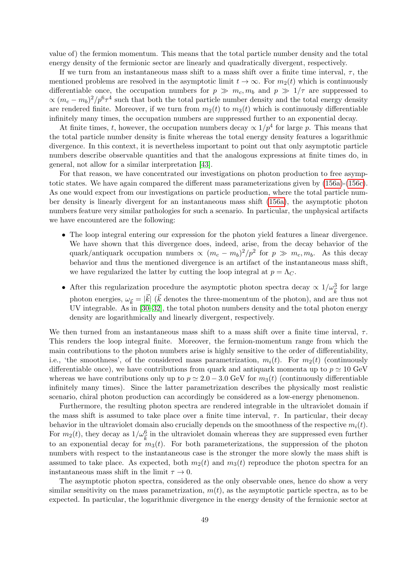value of) the fermion momentum. This means that the total particle number density and the total energy density of the fermionic sector are linearly and quadratically divergent, respectively.

If we turn from an instantaneous mass shift to a mass shift over a finite time interval,  $\tau$ , the mentioned problems are resolved in the asymptotic limit  $t \to \infty$ . For  $m_2(t)$  which is continuously differentiable once, the occupation numbers for  $p \gg m_c, m_b$  and  $p \gg 1/\tau$  are suppressed to  $\propto (m_c - m_b)^2 / p^6 \tau^4$  such that both the total particle number density and the total energy density are rendered finite. Moreover, if we turn from  $m_2(t)$  to  $m_3(t)$  which is continuously differentiable infinitely many times, the occupation numbers are suppressed further to an exponential decay.

At finite times, t, however, the occupation numbers decay  $\propto 1/p^4$  for large p. This means that the total particle number density is finite whereas the total energy density features a logarithmic divergence. In this context, it is nevertheless important to point out that only asymptotic particle numbers describe observable quantities and that the analogous expressions at finite times do, in general, not allow for a similar interpretation [\[43\]](#page-68-16).

For that reason, we have concentrated our investigations on photon production to free asymptotic states. We have again compared the different mass parameterizations given by [\(156a\)](#page-47-1)-[\(156c\)](#page-47-1). As one would expect from our investigations on particle production, where the total particle number density is linearly divergent for an instantaneous mass shift [\(156a\)](#page-47-1), the asymptotic photon numbers feature very similar pathologies for such a scenario. In particular, the unphysical artifacts we have encountered are the following:

- The loop integral entering our expression for the photon yield features a linear divergence. We have shown that this divergence does, indeed, arise, from the decay behavior of the quark/antiquark occupation numbers  $\propto (m_c - m_b)^2 / p^2$  for  $p \gg m_c, m_b$ . As this decay behavior and thus the mentioned divergence is an artifact of the instantaneous mass shift, we have regularized the latter by cutting the loop integral at  $p = \Lambda_C$ .
- After this regularization procedure the asymptotic photon spectra decay  $\propto 1/\omega_{\vec{k}}^3$  for large photon energies,  $\omega_{\vec{k}} = |\vec{k}| (\vec{k}$  denotes the three-momentum of the photon), and are thus not UV integrable. As in [\[30–](#page-68-3)[32\]](#page-68-5), the total photon numbers density and the total photon energy density are logarithmically and linearly divergent, respectively.

We then turned from an instantaneous mass shift to a mass shift over a finite time interval,  $\tau$ . This renders the loop integral finite. Moreover, the fermion-momentum range from which the main contributions to the photon numbers arise is highly sensitive to the order of differentiability, i.e., 'the smoothness', of the considered mass parametrization,  $m_i(t)$ . For  $m_2(t)$  (continuously differentiable once), we have contributions from quark and antiquark momenta up to  $p \simeq 10 \text{ GeV}$ whereas we have contributions only up to  $p \approx 2.0 - 3.0$  GeV for  $m_3(t)$  (continuously differentiable infinitely many times). Since the latter parametrization describes the physically most realistic scenario, chiral photon production can accordingly be considered as a low-energy phenomenon.

Furthermore, the resulting photon spectra are rendered integrable in the ultraviolet domain if the mass shift is assumed to take place over a finite time interval,  $\tau$ . In particular, their decay behavior in the ultraviolet domain also crucially depends on the smoothness of the respective  $m_i(t)$ . For  $m_2(t)$ , they decay as  $1/\omega_{\vec{k}}^6$  in the ultraviolet domain whereas they are suppressed even further to an exponential decay for  $m_3(t)$ . For both parameterizations, the suppression of the photon numbers with respect to the instantaneous case is the stronger the more slowly the mass shift is assumed to take place. As expected, both  $m_2(t)$  and  $m_3(t)$  reproduce the photon spectra for an instantaneous mass shift in the limit  $\tau \to 0$ .

The asymptotic photon spectra, considered as the only observable ones, hence do show a very similar sensitivity on the mass parametrization,  $m(t)$ , as the asymptotic particle spectra, as to be expected. In particular, the logarithmic divergence in the energy density of the fermionic sector at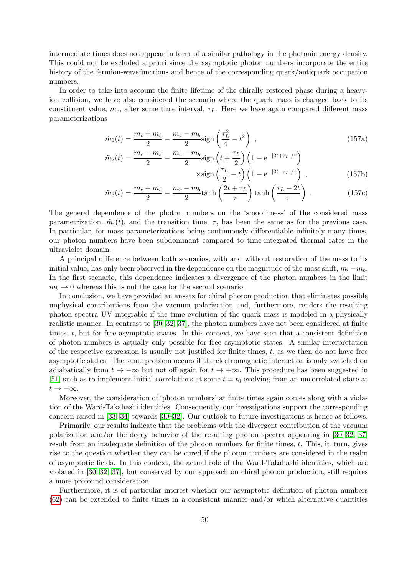intermediate times does not appear in form of a similar pathology in the photonic energy density. This could not be excluded a priori since the asymptotic photon numbers incorporate the entire history of the fermion-wavefunctions and hence of the corresponding quark/antiquark occupation numbers.

In order to take into account the finite lifetime of the chirally restored phase during a heavyion collision, we have also considered the scenario where the quark mass is changed back to its constituent value,  $m_c$ , after some time interval,  $\tau_L$ . Here we have again compared different mass parameterizations

$$
\tilde{m}_1(t) = \frac{m_c + m_b}{2} - \frac{m_c - m_b}{2} \text{sign}\left(\frac{\tau_L^2}{4} - t^2\right) \,,\tag{157a}
$$

$$
\tilde{m}_2(t) = \frac{m_c + m_b}{2} - \frac{m_c - m_b}{2} \text{sign}\left(t + \frac{\tau_L}{2}\right) \left(1 - e^{-|2t + \tau_L|/\tau}\right)
$$

$$
\times \text{sign}\left(\frac{\tau_L}{2} - t\right) \left(1 - e^{-|2t - \tau_L|/\tau}\right) ,\tag{157b}
$$

$$
\tilde{m}_3(t) = \frac{m_c + m_b}{2} - \frac{m_c - m_b}{2} \tanh\left(\frac{2t + \tau_L}{\tau}\right) \tanh\left(\frac{\tau_L - 2t}{\tau}\right) \,. \tag{157c}
$$

The general dependence of the photon numbers on the 'smoothness' of the considered mass parametrization,  $\tilde{m}_i(t)$ , and the transition time,  $\tau$ , has been the same as for the previous case. In particular, for mass parameterizations being continuously differentiable infinitely many times, our photon numbers have been subdominant compared to time-integrated thermal rates in the ultraviolet domain.

A principal difference between both scenarios, with and without restoration of the mass to its initial value, has only been observed in the dependence on the magnitude of the mass shift,  $m_c - m_b$ . In the first scenario, this dependence indicates a divergence of the photon numbers in the limit  $m_b \rightarrow 0$  whereas this is not the case for the second scenario.

In conclusion, we have provided an ansatz for chiral photon production that eliminates possible unphysical contributions from the vacuum polarization and, furthermore, renders the resulting photon spectra UV integrable if the time evolution of the quark mass is modeled in a physically realistic manner. In contrast to [\[30–](#page-68-3)[32,](#page-68-5) [37\]](#page-68-10), the photon numbers have not been considered at finite times, t, but for free asymptotic states. In this context, we have seen that a consistent definition of photon numbers is actually only possible for free asymptotic states. A similar interpretation of the respective expression is usually not justified for finite times,  $t$ , as we then do not have free asymptotic states. The same problem occurs if the electromagnetic interaction is only switched on adiabatically from  $t \to -\infty$  but not off again for  $t \to +\infty$ . This procedure has been suggested in [\[51\]](#page-68-20) such as to implement initial correlations at some  $t = t_0$  evolving from an uncorrelated state at  $t \to -\infty$ .

Moreover, the consideration of 'photon numbers' at finite times again comes along with a violation of the Ward-Takahashi identities. Consequently, our investigations support the corresponding concern raised in [\[33,](#page-68-6) [34\]](#page-68-7) towards [\[30](#page-68-3)[–32\]](#page-68-5). Our outlook to future investigations is hence as follows.

Primarily, our results indicate that the problems with the divergent contribution of the vacuum polarization and/or the decay behavior of the resulting photon spectra appearing in [\[30–](#page-68-3)[32,](#page-68-5) [37\]](#page-68-10) result from an inadequate definition of the photon numbers for finite times, t. This, in turn, gives rise to the question whether they can be cured if the photon numbers are considered in the realm of asymptotic fields. In this context, the actual role of the Ward-Takahashi identities, which are violated in [\[30–](#page-68-3)[32,](#page-68-5) [37\]](#page-68-10), but conserved by our approach on chiral photon production, still requires a more profound consideration.

Furthermore, it is of particular interest whether our asymptotic definition of photon numbers [\(62\)](#page-12-5) can be extended to finite times in a consistent manner and/or which alternative quantities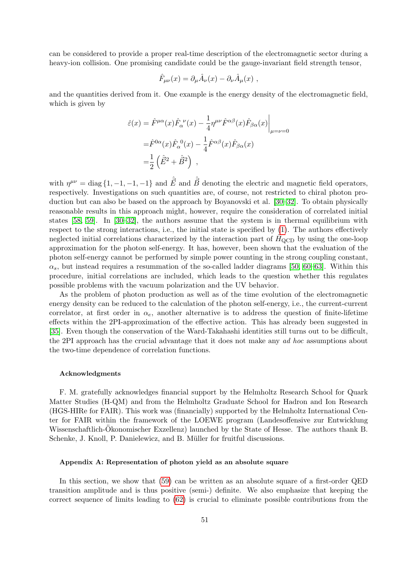can be considered to provide a proper real-time description of the electromagnetic sector during a heavy-ion collision. One promising candidate could be the gauge-invariant field strength tensor,

$$
\hat{F}_{\mu\nu}(x) = \partial_{\mu}\hat{A}_{\nu}(x) - \partial_{\nu}\hat{A}_{\mu}(x) ,
$$

and the quantities derived from it. One example is the energy density of the electromagnetic field, which is given by

$$
\hat{\varepsilon}(x) = \hat{F}^{\mu\alpha}(x)\hat{F}_{\alpha}^{\ \nu}(x) - \frac{1}{4}\eta^{\mu\nu}\hat{F}^{\alpha\beta}(x)\hat{F}_{\beta\alpha}(x)\Big|_{\mu=\nu=0}
$$

$$
= \hat{F}^{0\alpha}(x)\hat{F}_{\alpha}^{\ 0}(x) - \frac{1}{4}\hat{F}^{\alpha\beta}(x)\hat{F}_{\beta\alpha}(x)
$$

$$
= \frac{1}{2}\left(\hat{E}^{2} + \hat{B}^{2}\right) ,
$$

with  $\eta^{\mu\nu} = \text{diag}\{1, -1, -1, -1\}$  and  $\hat{\vec{E}}$  and  $\hat{\vec{B}}$  denoting the electric and magnetic field operators, respectively. Investigations on such quantities are, of course, not restricted to chiral photon production but can also be based on the approach by Boyanovski et al. [\[30–](#page-68-3)[32\]](#page-68-5). To obtain physically reasonable results in this approach might, however, require the consideration of correlated initial states [\[58,](#page-68-24) [59\]](#page-68-25). In [\[30](#page-68-3)[–32\]](#page-68-5), the authors assume that the system is in thermal equilibrium with respect to the strong interactions, i.e., the initial state is specified by [\(1\)](#page-1-0). The authors effectively neglected initial correlations characterized by the interaction part of  $H<sub>QCD</sub>$  by using the one-loop approximation for the photon self-energy. It has, however, been shown that the evaluation of the photon self-energy cannot be performed by simple power counting in the strong coupling constant,  $\alpha_s$ , but instead requires a resummation of the so-called ladder diagrams [\[50,](#page-68-19) [60–](#page-68-26)[63\]](#page-69-0). Within this procedure, initial correlations are included, which leads to the question whether this regulates possible problems with the vacuum polarization and the UV behavior.

As the problem of photon production as well as of the time evolution of the electromagnetic energy density can be reduced to the calculation of the photon self-energy, i.e., the current-current correlator, at first order in  $\alpha_e$ , another alternative is to address the question of finite-lifetime effects within the 2PI-approximation of the effective action. This has already been suggested in [\[35\]](#page-68-8). Even though the conservation of the Ward-Takahashi identities still turns out to be difficult, the 2PI approach has the crucial advantage that it does not make any ad hoc assumptions about the two-time dependence of correlation functions.

#### Acknowledgments

F. M. gratefully acknowledges financial support by the Helmholtz Research School for Quark Matter Studies (H-QM) and from the Helmholtz Graduate School for Hadron and Ion Research (HGS-HIRe for FAIR). This work was (financially) supported by the Helmholtz International Center for FAIR within the framework of the LOEWE program (Landesoffensive zur Entwicklung Wissenschaftlich-Okonomischer Exzellenz) launched by the State of Hesse. The authors thank B. Schenke, J. Knoll, P. Danielewicz, and B. Müller for fruitful discussions.

## <span id="page-50-0"></span>Appendix A: Representation of photon yield as an absolute square

In this section, we show that [\(59\)](#page-12-1) can be written as an absolute square of a first-order QED transition amplitude and is thus positive (semi-) definite. We also emphasize that keeping the correct sequence of limits leading to [\(62\)](#page-12-5) is crucial to eliminate possible contributions from the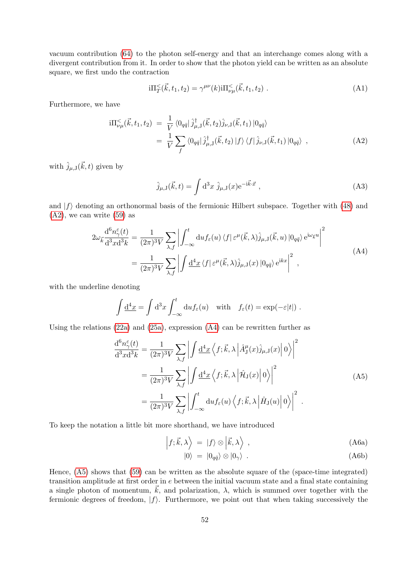vacuum contribution [\(64\)](#page-13-1) to the photon self-energy and that an interchange comes along with a divergent contribution from it. In order to show that the photon yield can be written as an absolute square, we first undo the contraction

$$
i\Pi_{T}^{<}(\vec{k},t_{1},t_{2}) = \gamma^{\mu\nu}(k) i\Pi_{\nu\mu}^{<}(\vec{k},t_{1},t_{2}) . \tag{A1}
$$

Furthermore, we have

<span id="page-51-0"></span>
$$
\mathrm{i}\Pi_{\nu\mu}^{<}(\vec{k},t_1,t_2) = \frac{1}{V} \langle 0_{q\bar{q}} | \hat{j}^{\dagger}_{\mu,J}(\vec{k},t_2) \hat{j}_{\nu,J}(\vec{k},t_1) | 0_{q\bar{q}} \rangle \n= \frac{1}{V} \sum_{f} \langle 0_{q\bar{q}} | \hat{j}^{\dagger}_{\mu,J}(\vec{k},t_2) | f \rangle \langle f | \hat{j}_{\nu,J}(\vec{k},t_1) | 0_{q\bar{q}} \rangle ,
$$
\n(A2)

with  $\hat{j}_{\mu,J}(\vec{k},t)$  given by

$$
\hat{j}_{\mu,\mathbf{J}}(\vec{k},t) = \int \mathrm{d}^3 x \; \hat{j}_{\mu,\mathbf{J}}(x) e^{-i\vec{k}\cdot\vec{x}} \; , \tag{A3}
$$

and  $|f\rangle$  denoting an orthonormal basis of the fermionic Hilbert subspace. Together with [\(48\)](#page-10-3) and  $(A2)$ , we can write  $(59)$  as

$$
2\omega_{\vec{k}} \frac{d^6 n_{\gamma}^{\varepsilon}(t)}{d^3 x d^3 k} = \frac{1}{(2\pi)^3 V} \sum_{\lambda, f} \left| \int_{-\infty}^t du f_{\varepsilon}(u) \langle f | \varepsilon^{\mu}(\vec{k}, \lambda) \hat{j}_{\mu, \mathbf{J}}(\vec{k}, u) | 0_{q\bar{q}} \rangle e^{i\omega_{\vec{k}} u} \right|^2
$$
  

$$
= \frac{1}{(2\pi)^3 V} \sum_{\lambda, f} \left| \int \frac{d^4 x}{d^4 x} \langle f | \varepsilon^{\mu}(\vec{k}, \lambda) \hat{j}_{\mu, \mathbf{J}}(x) | 0_{q\bar{q}} \rangle e^{ikx} \right|^2 , \tag{A4}
$$

<span id="page-51-1"></span>with the underline denoting

$$
\int \underline{\mathrm{d}}^4 x = \int \mathrm{d}^3 x \int_{-\infty}^t \mathrm{d}u f_{\varepsilon}(u) \quad \text{with} \quad f_{\varepsilon}(t) = \exp(-\varepsilon|t|) .
$$

<span id="page-51-2"></span>Using the relations  $(22a)$  and  $(25a)$ , expression  $(A4)$  can be rewritten further as

$$
\frac{d^6 n_{\gamma}^{\varepsilon}(t)}{d^3 x d^3 k} = \frac{1}{(2\pi)^3 V} \sum_{\lambda, f} \left| \int \frac{d^4 x}{\lambda} \left\langle f; \vec{k}, \lambda \left| \hat{A}_{\mathrm{J}}^{\mu}(x) \hat{j}_{\mu, \mathrm{J}}(x) \right| 0 \right\rangle \right|^2
$$
  
\n
$$
= \frac{1}{(2\pi)^3 V} \sum_{\lambda, f} \left| \int \frac{d^4 x}{\lambda} \left\langle f; \vec{k}, \lambda \left| \hat{\mathcal{H}}_{\mathrm{J}}(x) \right| 0 \right\rangle \right|^2
$$
(A5)  
\n
$$
= \frac{1}{(2\pi)^3 V} \sum_{\lambda, f} \left| \int_{-\infty}^t \mathrm{d}u f_{\varepsilon}(u) \left\langle f; \vec{k}, \lambda \left| \hat{H}_{\mathrm{J}}(u) \right| 0 \right\rangle \right|^2.
$$

To keep the notation a little bit more shorthand, we have introduced

$$
\left|f;\vec{k},\lambda\right\rangle = |f\rangle \otimes \left|\vec{k},\lambda\right\rangle ,\qquad (A6a)
$$

$$
|0\rangle = |0_{q\bar{q}}\rangle \otimes |0_{\gamma}\rangle . \tag{A6b}
$$

Hence, [\(A5\)](#page-51-2) shows that [\(59\)](#page-12-1) can be written as the absolute square of the (space-time integrated) transition amplitude at first order in e between the initial vacuum state and a final state containing a single photon of momentum,  $\vec{k}$ , and polarization,  $\lambda$ , which is summed over together with the fermionic degrees of freedom,  $|f\rangle$ . Furthermore, we point out that when taking successively the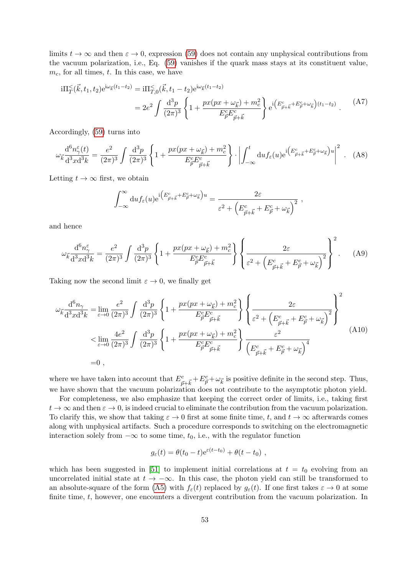limits  $t \to \infty$  and then  $\varepsilon \to 0$ , expression [\(59\)](#page-12-1) does not contain any unphysical contributions from the vacuum polarization, i.e., Eq. [\(59\)](#page-12-1) vanishes if the quark mass stays at its constituent value,  $m_c$ , for all times, t. In this case, we have

$$
i\Pi_{T}^{\leq}(\vec{k},t_{1},t_{2})e^{i\omega_{\vec{k}}(t_{1}-t_{2})} = i\Pi_{T,0}^{\leq}(\vec{k},t_{1}-t_{2})e^{i\omega_{\vec{k}}(t_{1}-t_{2})}
$$
  

$$
= 2e^{2} \int \frac{d^{3}p}{(2\pi)^{3}} \left\{ 1 + \frac{px(px + \omega_{\vec{k}}) + m_{c}^{2}}{E_{\vec{p}}^{c}E_{\vec{p}+\vec{k}}^{c}} \right\} e^{i\left(E_{\vec{p}+\vec{k}}^{c}+E_{\vec{p}}^{c}+\omega_{\vec{k}}\right)(t_{1}-t_{2})} \tag{A7}
$$

Accordingly, [\(59\)](#page-12-1) turns into

$$
\omega_{\vec{k}} \frac{\mathrm{d}^6 n_{\gamma}^{\varepsilon}(t)}{\mathrm{d}^3 x \mathrm{d}^3 k} = \frac{e^2}{(2\pi)^3} \int \frac{\mathrm{d}^3 p}{(2\pi)^3} \left\{ 1 + \frac{px(px + \omega_{\vec{k}}) + m_c^2}{E_{\vec{p}}^c E_{\vec{p}+\vec{k}}^c} \right\} \cdot \left| \int_{-\infty}^t \mathrm{d}uf_{\varepsilon}(u) e^{i \left( E_{\vec{p}+\vec{k}}^c + E_{\vec{p}}^c + \omega_{\vec{k}} \right) u} \right|^2 \ . \tag{A8}
$$

Letting  $t \to \infty$  first, we obtain

$$
\int_{-\infty}^{\infty} du f_{\varepsilon}(u) e^{i \left( E_{\vec{p} + \vec{k}}^c + E_{\vec{p}}^c + \omega_{\vec{k}} \right) u} = \frac{2\varepsilon}{\varepsilon^2 + \left( E_{\vec{p} + \vec{k}}^c + E_{\vec{p}}^c + \omega_{\vec{k}} \right)^2} ,
$$

and hence

$$
\omega_{\vec{k}} \frac{\mathrm{d}^6 n_{\gamma}^{\varepsilon}}{\mathrm{d}^3 x \mathrm{d}^3 k} = \frac{e^2}{(2\pi)^3} \int \frac{\mathrm{d}^3 p}{(2\pi)^3} \left\{ 1 + \frac{px(px + \omega_{\vec{k}}) + m_c^2}{E_{\vec{p}}^c E_{\vec{p}+\vec{k}}^c} \right\} \left\{ \frac{2\varepsilon}{\varepsilon^2 + \left( E_{\vec{p}+\vec{k}}^c + E_{\vec{p}}^c + \omega_{\vec{k}} \right)^2} \right\}^2. \tag{A9}
$$

Taking now the second limit  $\varepsilon \to 0$ , we finally get

$$
\omega_{\vec{k}} \frac{d^6 n_{\gamma}}{d^3 x d^3 k} = \lim_{\varepsilon \to 0} \frac{e^2}{(2\pi)^3} \int \frac{d^3 p}{(2\pi)^3} \left\{ 1 + \frac{px(px + \omega_{\vec{k}}) + m_c^2}{E_{\vec{p}}^c E_{\vec{p} + \vec{k}}^c} \right\} \left\{ \frac{2\varepsilon}{\varepsilon^2 + \left( E_{\vec{p} + \vec{k}}^c + E_{\vec{p}}^c + \omega_{\vec{k}} \right)^2} \right\}^2
$$
\n
$$
< \lim_{\varepsilon \to 0} \frac{4e^2}{(2\pi)^3} \int \frac{d^3 p}{(2\pi)^3} \left\{ 1 + \frac{px(px + \omega_{\vec{k}}) + m_c^2}{E_{\vec{p}}^c E_{\vec{p} + \vec{k}}^c} \right\} \frac{\varepsilon^2}{\left( E_{\vec{p} + \vec{k}}^c + E_{\vec{p}}^c + \omega_{\vec{k}} \right)^4}
$$
\n
$$
= 0 \ , \tag{A10}
$$

where we have taken into account that  $E_{\vec{p}+\vec{k}}^c + E_{\vec{p}}^c + \omega_{\vec{k}}$  is positive definite in the second step. Thus, we have shown that the vacuum polarization does not contribute to the asymptotic photon yield.

For completeness, we also emphasize that keeping the correct order of limits, i.e., taking first  $t \to \infty$  and then  $\varepsilon \to 0$ , is indeed crucial to eliminate the contribution from the vacuum polarization. To clarify this, we show that taking  $\varepsilon \to 0$  first at some finite time, t, and  $t \to \infty$  afterwards comes along with unphysical artifacts. Such a procedure corresponds to switching on the electromagnetic interaction solely from  $-\infty$  to some time,  $t_0$ , i.e., with the regulator function

$$
g_{\varepsilon}(t) = \theta(t_0 - t) e^{\varepsilon(t - t_0)} + \theta(t - t_0) ,
$$

which has been suggested in [\[51\]](#page-68-20) to implement initial correlations at  $t = t_0$  evolving from an uncorrelated initial state at  $t \to -\infty$ . In this case, the photon yield can still be transformed to an absolute-square of the form [\(A5\)](#page-51-2) with  $f_{\varepsilon}(t)$  replaced by  $g_{\varepsilon}(t)$ . If one first takes  $\varepsilon \to 0$  at some finite time, t, however, one encounters a divergent contribution from the vacuum polarization. In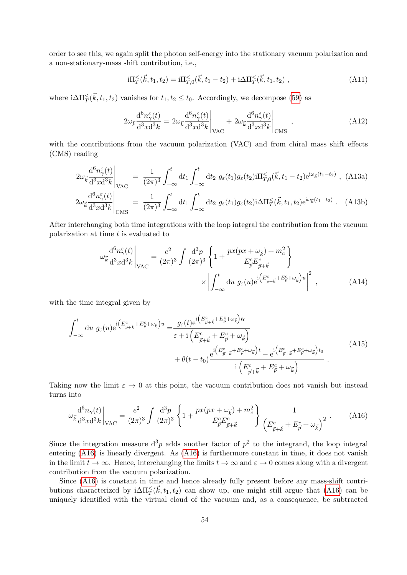order to see this, we again split the photon self-energy into the stationary vacuum polarization and a non-stationary-mass shift contribution, i.e.,

$$
i\Pi_T^{\leq}(\vec{k}, t_1, t_2) = i\Pi_{T,0}^{\leq}(\vec{k}, t_1 - t_2) + i\Delta \Pi_T^{\leq}(\vec{k}, t_1, t_2) ,
$$
\n(A11)

where  $i\Delta\Pi_{T}^{\leq}(\vec{k}, t_1, t_2)$  vanishes for  $t_1, t_2 \leq t_0$ . Accordingly, we decompose [\(59\)](#page-12-1) as

$$
2\omega_{\vec{k}}\frac{\mathrm{d}^{6}n_{\gamma}^{\varepsilon}(t)}{\mathrm{d}^{3}x\mathrm{d}^{3}k} = 2\omega_{\vec{k}}\frac{\mathrm{d}^{6}n_{\gamma}^{\varepsilon}(t)}{\mathrm{d}^{3}x\mathrm{d}^{3}k}\bigg|_{\text{VAC}} + 2\omega_{\vec{k}}\frac{\mathrm{d}^{6}n_{\gamma}^{\varepsilon}(t)}{\mathrm{d}^{3}x\mathrm{d}^{3}k}\bigg|_{\text{CMS}} , \qquad (A12)
$$

with the contributions from the vacuum polarization (VAC) and from chiral mass shift effects (CMS) reading

<span id="page-53-1"></span>
$$
2\omega_{\vec{k}}\frac{\mathrm{d}^6 n_{\gamma}^{\varepsilon}(t)}{\mathrm{d}^3 x \mathrm{d}^3 k}\Big|_{\text{VAC}} = \frac{1}{(2\pi)^3} \int_{-\infty}^t \mathrm{d}t_1 \int_{-\infty}^t \mathrm{d}t_2 \ g_{\varepsilon}(t_1) g_{\varepsilon}(t_2) \mathrm{i} \Pi_{T,0}^{\le}(k,t_1-t_2) \mathrm{e}^{\mathrm{i}\omega_{\vec{k}}(t_1-t_2)} , \ (A13a)
$$

$$
2\omega_{\vec{k}}\frac{\mathrm{d}^6 n_{\gamma}^{\varepsilon}(t)}{\mathrm{d}^3 x \mathrm{d}^3 k}\Big|_{\text{CMS}} = \frac{1}{(2\pi)^3} \int_{-\infty}^t \mathrm{d}t_1 \int_{-\infty}^t \mathrm{d}t_2 \ g_{\varepsilon}(t_1) g_{\varepsilon}(t_2) \mathrm{i} \Delta \Pi_{T}^{\leq}(\vec{k}, t_1, t_2) \mathrm{e}^{\mathrm{i}\omega_{\vec{k}}(t_1 - t_2)} \ . \tag{A13b}
$$

After interchanging both time integrations with the loop integral the contribution from the vacuum polarization at time  $t$  is evaluated to

$$
\omega_{\vec{k}} \frac{\mathrm{d}^6 n_{\gamma}^{\varepsilon}(t)}{\mathrm{d}^3 x \mathrm{d}^3 k} \Big|_{\text{VAC}} = \frac{e^2}{(2\pi)^3} \int \frac{\mathrm{d}^3 p}{(2\pi)^3} \left\{ 1 + \frac{px(px + \omega_{\vec{k}}) + m_c^2}{E_{\vec{p}}^{\varepsilon} E_{\vec{p} + \vec{k}}^{\varepsilon}} \right\} \times \left| \int_{-\infty}^t \mathrm{d}u \ g_{\varepsilon}(u) e^{i \left( E_{\vec{p} + \vec{k}}^{\varepsilon} + E_{\vec{p}}^{\varepsilon} + \omega_{\vec{k}} \right) u} \right|^2 , \tag{A14}
$$

with the time integral given by

$$
\int_{-\infty}^{t} du \ g_{\varepsilon}(u) e^{i \left( E^{c}_{\vec{p} + \vec{k}} + E^{c}_{\vec{p}} + \omega_{\vec{k}} \right)u} = \frac{g_{\varepsilon}(t) e^{i \left( E^{c}_{\vec{p} + \vec{k}} + E^{c}_{\vec{p}} + \omega_{\vec{k}} \right) t_{0}}}{\varepsilon + i \left( E^{c}_{\vec{p} + \vec{k}} + E^{c}_{\vec{p}} + \omega_{\vec{k}} \right)} + \theta(t - t_{0}) \frac{e^{i \left( E^{c}_{\vec{p} + \vec{k}} + E^{c}_{\vec{p}} + \omega_{\vec{k}} \right) t} - e^{i \left( E^{c}_{\vec{p} + \vec{k}} + E^{c}_{\vec{p}} + \omega_{\vec{k}} \right) t_{0}}}{i \left( E^{c}_{\vec{p} + \vec{k}} + E^{c}_{\vec{p}} + \omega_{\vec{k}} \right)}.
$$
\n(A15)

Taking now the limit  $\varepsilon \to 0$  at this point, the vacuum contribution does not vanish but instead turns into

<span id="page-53-0"></span>
$$
\omega_{\vec{k}} \frac{d^6 n_{\gamma}(t)}{d^3 x d^3 k} \bigg|_{\text{VAC}} = \frac{e^2}{(2\pi)^3} \int \frac{d^3 p}{(2\pi)^3} \left\{ 1 + \frac{px(px + \omega_{\vec{k}}) + m_c^2}{E_{\vec{p}}^c E_{\vec{p} + \vec{k}}^c} \right\} \frac{1}{\left(E_{\vec{p} + \vec{k}}^c + E_{\vec{p}}^c + \omega_{\vec{k}}\right)^2} \,. \tag{A16}
$$

Since the integration measure  $d^3p$  adds another factor of  $p^2$  to the integrand, the loop integral entering [\(A16\)](#page-53-0) is linearly divergent. As [\(A16\)](#page-53-0) is furthermore constant in time, it does not vanish in the limit  $t \to \infty$ . Hence, interchanging the limits  $t \to \infty$  and  $\varepsilon \to 0$  comes along with a divergent contribution from the vacuum polarization.

Since  $(A16)$  is constant in time and hence already fully present before any mass-shift contributions characterized by  $i\Delta \Pi_T^{\leq}(\vec{k}, t_1, t_2)$  can show up, one might still argue that [\(A16\)](#page-53-0) can be uniquely identified with the virtual cloud of the vacuum and, as a consequence, be subtracted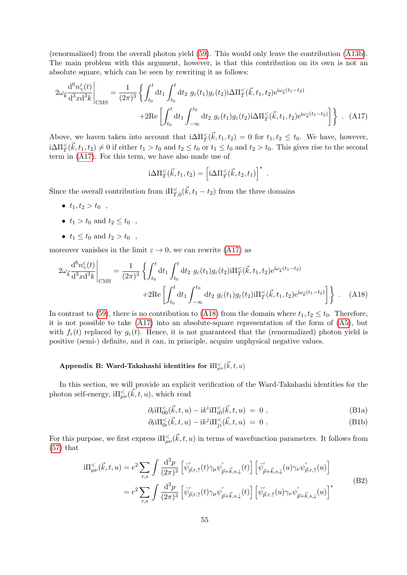(renormalized) from the overall photon yield [\(59\)](#page-12-1). This would only leave the contribution [\(A13b\)](#page-53-1). The main problem with this argument, however, is that this contribution on its own is not an absolute square, which can be seen by rewriting it as follows:

$$
2\omega_{\vec{k}}\frac{\mathrm{d}^{6}n_{\gamma}^{\varepsilon}(t)}{\mathrm{d}^{3}x\mathrm{d}^{3}k}\Big|_{\text{CMS}} = \frac{1}{(2\pi)^{3}}\left\{\int_{t_{0}}^{t} \mathrm{d}t_{1} \int_{t_{0}}^{t} \mathrm{d}t_{2} g_{\varepsilon}(t_{1})g_{\varepsilon}(t_{2})\mathrm{i}\Delta\Pi_{T}^{\varepsilon}(\vec{k},t_{1},t_{2})\mathrm{e}^{\mathrm{i}\omega_{\vec{k}}(t_{1}-t_{2})}\right.\right.\\
\left. + 2\mathrm{Re}\left[\int_{t_{0}}^{t} \mathrm{d}t_{1} \int_{-\infty}^{t_{0}} \mathrm{d}t_{2} g_{\varepsilon}(t_{1})g_{\varepsilon}(t_{2})\mathrm{i}\Delta\Pi_{T}^{\varepsilon}(\vec{k},t_{1},t_{2})\mathrm{e}^{\mathrm{i}\omega_{\vec{k}}(t_{1}-t_{2})}\right]\right\} \ . \tag{A17}
$$

Above, we haven taken into account that  $i\Delta \Pi_T^{\leq}(\vec{k}, t_1, t_2) = 0$  for  $t_1, t_2 \leq t_0$ . We have, however,  $i\Delta\Pi^{\leq}_T(\vec{k}, t_1, t_2) \neq 0$  if either  $t_1 > t_0$  and  $t_2 \leq t_0$  or  $t_1 \leq t_0$  and  $t_2 > t_0$ . This gives rise to the second term in [\(A17\)](#page-54-1). For this term, we have also made use of

<span id="page-54-2"></span><span id="page-54-1"></span>
$$
i\Delta \Pi_T^{\leq}(\vec{k},t_1,t_2) = \left[i\Delta \Pi_T^{\leq}(\vec{k},t_2,t_1)\right]^*.
$$

Since the overall contribution from  $\mathrm{i}\Pi_{T,0}^{\leq}(\vec{k},t_1-t_2)$  from the three domains

- $t_1, t_2 > t_0$ ,
- $t_1 > t_0$  and  $t_2 \le t_0$ ,
- $t_1 \le t_0$  and  $t_2 > t_0$ ,

moreover vanishes in the limit  $\varepsilon \to 0$ , we can rewrite [\(A17\)](#page-54-1) as

$$
2\omega_{\vec{k}} \frac{d^6 n_{\gamma}^{\varepsilon}(t)}{d^3 x d^3 k} \bigg|_{\text{CMS}} = \frac{1}{(2\pi)^3} \left\{ \int_{t_0}^t dt_1 \int_{t_0}^t dt_2 \ g_{\varepsilon}(t_1) g_{\varepsilon}(t_2) \text{d} \Pi_T^{\varepsilon}(\vec{k}, t_1, t_2) e^{i\omega_{\vec{k}}(t_1 - t_2)} \right. \\
\left. + 2\text{Re} \left[ \int_{t_0}^t dt_1 \int_{-\infty}^{t_0} dt_2 \ g_{\varepsilon}(t_1) g_{\varepsilon}(t_2) \text{d} \Pi_T^{\varepsilon}(\vec{k}, t_1, t_2) e^{i\omega_{\vec{k}}(t_1 - t_2)} \right] \right\} \ . \quad (A18)
$$

In contrast to [\(59\)](#page-12-1), there is no contribution to [\(A18\)](#page-54-2) from the domain where  $t_1, t_2 \le t_0$ . Therefore, it is not possible to take  $(A17)$  into an absolute-square representation of the form of  $(A5)$ , but with  $f_{\varepsilon}(t)$  replaced by  $g_{\varepsilon}(t)$ . Hence, it is not guaranteed that the (renormalized) photon yield is positive (semi-) definite, and it can, in principle, acquire unphysical negative values.

# <span id="page-54-0"></span>Appendix B: Ward-Takahashi identities for  $\mathrm{i} \Pi^<_{\mu\nu}(\vec k,t,u)$

In this section, we will provide an explicit verification of the Ward-Takahashi identities for the photon self-energy,  $i\Pi_{\mu\nu}^{\leq}(\vec{k},t,u)$ , which read

<span id="page-54-4"></span>
$$
\partial_t i \Pi_{00}^{\leq}(\vec{k}, t, u) - i k^i i \Pi_{i0}^{\leq}(\vec{k}, t, u) = 0 , \qquad (B1a)
$$

$$
\partial_t i \Pi_{0i}^{\leq}(\vec{k},t,u) - ik^j i \Pi_{ji}^{\leq}(\vec{k},t,u) = 0.
$$
 (B1b)

For this purpose, we first express  $\mathrm{i}\Pi^<_{\mu\nu}(\vec{k},t,u)$  in terms of wavefunction parameters. It follows from [\(57\)](#page-11-5) that

<span id="page-54-3"></span>
$$
i\Pi_{\mu\nu}^{<}(\vec{k},t,u) = e^2 \sum_{r,s} \int \frac{d^3p}{(2\pi)^3} \left[ \bar{\psi}'_{\vec{p},r,\uparrow}(t)\gamma_{\mu}\psi'_{\vec{p}+\vec{k},s,\downarrow}(t) \right] \left[ \bar{\psi}'_{\vec{p}+\vec{k},s,\downarrow}(u)\gamma_{\nu}\psi'_{\vec{p},r,\uparrow}(u) \right]
$$

$$
= e^2 \sum_{r,s} \int \frac{d^3p}{(2\pi)^3} \left[ \bar{\psi}'_{\vec{p},r,\uparrow}(t)\gamma_{\mu}\psi'_{\vec{p}+\vec{k},s,\downarrow}(t) \right] \left[ \bar{\psi}'_{\vec{p},r,\uparrow}(u)\gamma_{\nu}\psi'_{\vec{p}+\vec{k},s,\downarrow}(u) \right]^* \tag{B2}
$$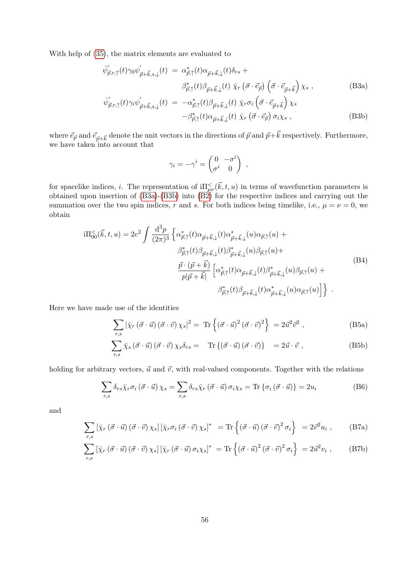With help of [\(35\)](#page-8-1), the matrix elements are evaluated to

<span id="page-55-0"></span>
$$
\bar{\psi}'_{\vec{p},r,\uparrow}(t)\gamma_0\psi'_{\vec{p}+\vec{k},s,\downarrow}(t) = \alpha^*_{\vec{p},\uparrow}(t)\alpha_{\vec{p}+\vec{k},\downarrow}(t)\delta_{rs} +
$$
\n
$$
\beta^*_{\vec{p},\uparrow}(t)\beta_{\vec{p}+\vec{k},\downarrow}(t) \bar{\chi}_r \left(\vec{\sigma} \cdot \vec{e}_{\vec{p}}\right) \left(\vec{\sigma} \cdot \vec{e}_{\vec{p}+\vec{k}}\right) \chi_s ,
$$
\n(B3a)

$$
\bar{\psi}'_{\vec{p},r,\uparrow}(t)\gamma_i\psi'_{\vec{p}+\vec{k},s,\downarrow}(t) = -\alpha_{\vec{p},\uparrow}^*(t)\beta_{\vec{p}+\vec{k},\downarrow}(t) \bar{\chi}_r\sigma_i\left(\vec{\sigma}\cdot\vec{e}_{\vec{p}+\vec{k}}\right)\chi_s
$$
\n
$$
-\beta_{\vec{p},\uparrow}^*(t)\alpha_{\vec{p}+\vec{k},\downarrow}(t) \bar{\chi}_r\left(\vec{\sigma}\cdot\vec{e}_{\vec{p}}\right)\sigma_i\chi_s ,
$$
\n(B3b)

where  $\vec{e}_{\vec{p}}$  and  $\vec{e}_{\vec{p}+\vec{k}}$  denote the unit vectors in the directions of  $\vec{p}$  and  $\vec{p}+\vec{k}$  respectively. Furthermore, we have taken into account that

$$
\gamma_i = -\gamma^i = \begin{pmatrix} 0 & -\sigma^i \\ \sigma^i & 0 \end{pmatrix} ,
$$

for spacelike indices, *i*. The representation of  $\mathrm{i}\Pi^{\le}_{\mu\nu}(\vec{k},t,u)$  in terms of wavefunction parameters is obtained upon insertion of [\(B3a\)](#page-55-0)-[\(B3b\)](#page-55-0) into [\(B2\)](#page-54-3) for the respective indices and carrying out the summation over the two spin indices, r and s. For both indices being timelike, i.e.,  $\mu = \nu = 0$ , we obtain

<span id="page-55-3"></span>
$$
i\Pi_{00}^{<}(\vec{k},t,u) = 2e^2 \int \frac{d^3p}{(2\pi)^3} \left\{ \alpha^*_{\vec{p},\uparrow}(t)\alpha_{\vec{p}+\vec{k},\downarrow}(t)\alpha^*_{\vec{p}+\vec{k},\downarrow}(u)\alpha_{\vec{p},\uparrow}(u) + \frac{\beta^*_{\vec{p},\uparrow}(t)\beta_{\vec{p}+\vec{k},\downarrow}(t)\beta^*_{\vec{p}+\vec{k},\downarrow}(u)\beta_{\vec{p},\uparrow}(u) + \frac{\vec{p}\cdot(\vec{p}+\vec{k})}{p|\vec{p}+\vec{k}|} \left[ \alpha^*_{\vec{p},\uparrow}(t)\alpha_{\vec{p}+\vec{k},\downarrow}(t)\beta^*_{\vec{p}+\vec{k},\downarrow}(u)\beta_{\vec{p},\uparrow}(u) + \frac{\beta^*_{\vec{p},\uparrow}(t)\beta_{\vec{p}+\vec{k},\downarrow}(t)\alpha^*_{\vec{p}+\vec{k},\downarrow}(u)\alpha_{\vec{p},\uparrow}(u) \right] \right\} \ .
$$
\n(B4)

Here we have made use of the identities

$$
\sum_{r,s} |\bar{\chi}_r(\vec{\sigma} \cdot \vec{u}) (\vec{\sigma} \cdot \vec{v}) \chi_s|^2 = \text{Tr}\left\{ (\vec{\sigma} \cdot \vec{u})^2 (\vec{\sigma} \cdot \vec{v})^2 \right\} = 2\vec{u}^2 \vec{v}^2 , \qquad (B5a)
$$

$$
\sum_{r,s} \bar{\chi}_s (\vec{\sigma} \cdot \vec{u}) (\vec{\sigma} \cdot \vec{v}) \chi_s \delta_{rs} = \text{Tr} \{ (\vec{\sigma} \cdot \vec{u}) (\vec{\sigma} \cdot \vec{v}) \} = 2\vec{u} \cdot \vec{v} , \qquad (B5b)
$$

holding for arbitrary vectors,  $\vec{u}$  and  $\vec{v}$ , with real-valued components. Together with the relations

<span id="page-55-1"></span>
$$
\sum_{r,s} \delta_{rs} \bar{\chi}_r \sigma_i \left( \vec{\sigma} \cdot \vec{u} \right) \chi_s = \sum_{r,s} \delta_{rs} \bar{\chi}_r \left( \vec{\sigma} \cdot \vec{u} \right) \sigma_i \chi_s = \text{Tr} \left\{ \sigma_i \left( \vec{\sigma} \cdot \vec{u} \right) \right\} = 2u_i \tag{B6}
$$

<span id="page-55-2"></span>and

$$
\sum_{r,s} \left[ \bar{\chi}_r \left( \vec{\sigma} \cdot \vec{u} \right) \left( \vec{\sigma} \cdot \vec{v} \right) \chi_s \right] \left[ \bar{\chi}_r \sigma_i \left( \vec{\sigma} \cdot \vec{v} \right) \chi_s \right]^* \ = \text{Tr} \left\{ \left( \vec{\sigma} \cdot \vec{u} \right) \left( \vec{\sigma} \cdot \vec{v} \right)^2 \sigma_i \right\} \ = 2 \vec{v}^2 u_i \ , \tag{B7a}
$$

$$
\sum_{r,s} \left[ \bar{\chi}_r \left( \vec{\sigma} \cdot \vec{u} \right) \left( \vec{\sigma} \cdot \vec{v} \right) \chi_s \right] \left[ \bar{\chi}_r \left( \vec{\sigma} \cdot \vec{u} \right) \sigma_i \chi_s \right]^* = \text{Tr} \left\{ \left( \vec{\sigma} \cdot \vec{u} \right)^2 \left( \vec{\sigma} \cdot \vec{v} \right)^2 \sigma_i \right\} = 2 \vec{u}^2 v_i , \qquad (B7b)
$$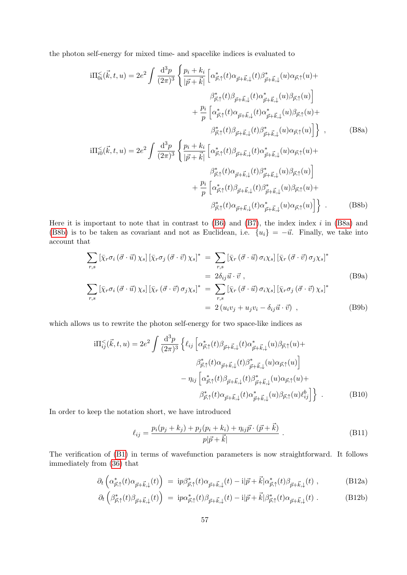the photon self-energy for mixed time- and spacelike indices is evaluated to

<span id="page-56-1"></span>
$$
i\Pi_{0i}^{<}(\vec{k},t,u) = 2e^2 \int \frac{d^3p}{(2\pi)^3} \left\{ \frac{p_i + k_i}{|\vec{p} + \vec{k}|} \left[ \alpha_{\vec{p},\uparrow}^*(t) \alpha_{\vec{p}+\vec{k},\downarrow}(t) \beta_{\vec{p}+\vec{k},\downarrow}^*(u) \alpha_{\vec{p},\uparrow}(u) + \frac{\beta_{\vec{p},\uparrow}^*(t) \beta_{\vec{p}+\vec{k},\downarrow}(t) \alpha_{\vec{p}+\vec{k},\downarrow}^*(u) \beta_{\vec{p},\uparrow}(u)}{\beta_{\vec{p},\uparrow}^*(t) \alpha_{\vec{p}+\vec{k},\downarrow}(t) \alpha_{\vec{p}+\vec{k},\downarrow}^*(u) \beta_{\vec{p},\uparrow}(u)} + \frac{p_i}{p} \left[ \alpha_{\vec{p},\uparrow}^*(t) \alpha_{\vec{p}+\vec{k},\downarrow}(t) \alpha_{\vec{p}+\vec{k},\downarrow}^*(u) \alpha_{\vec{p},\uparrow}(u) + \frac{\beta_{\vec{p},\uparrow}^*(t) \beta_{\vec{p}+\vec{k},\downarrow}(t) \beta_{\vec{p}+\vec{k},\downarrow}(u) \alpha_{\vec{p},\uparrow}(u)}{\beta_{\vec{p},\uparrow}^*(t) \alpha_{\vec{p}+\vec{k},\downarrow}(t) \beta_{\vec{p}+\vec{k},\downarrow}(u) \alpha_{\vec{p},\uparrow}(u)} + \frac{\beta_{\vec{p},\uparrow}^*(t) \alpha_{\vec{p}+\vec{k},\downarrow}(t) \beta_{\vec{p}+\vec{k},\downarrow}(u) \beta_{\vec{p},\uparrow}(u)}{\beta_{\vec{p},\uparrow}^*(t) \beta_{\vec{p}+\vec{k},\downarrow}(t) \beta_{\vec{p}+\vec{k},\downarrow}(u) \beta_{\vec{p},\uparrow}(u)} + \frac{p_i}{p} \left[ \alpha_{\vec{p},\uparrow}^*(t) \beta_{\vec{p}+\vec{k},\downarrow}(t) \beta_{\vec{p}+\vec{k},\downarrow}^*(u) \beta_{\vec{p},\uparrow}(u) + \beta_{\vec{p},\uparrow}^*(t) \alpha_{\vec{p}+\vec{k},\downarrow}(t) \alpha_{\vec{p}+\vec{k},\downarrow}(u) \alpha
$$

Here it is important to note that in contrast to  $(B6)$  and  $(B7)$ , the index index i in  $(B8a)$  and [\(B8b\)](#page-56-2) is to be taken as covariant and not as Euclidean, i.e.  $\{u_i\} = -\vec{u}$ . Finally, we take into account that

<span id="page-56-2"></span>
$$
\sum_{r,s} \left[ \bar{\chi}_r \sigma_i \left( \vec{\sigma} \cdot \vec{u} \right) \chi_s \right] \left[ \bar{\chi}_r \sigma_j \left( \vec{\sigma} \cdot \vec{v} \right) \chi_s \right]^* = \sum_{r,s} \left[ \bar{\chi}_r \left( \vec{\sigma} \cdot \vec{u} \right) \sigma_i \chi_s \right] \left[ \bar{\chi}_r \left( \vec{\sigma} \cdot \vec{v} \right) \sigma_j \chi_s \right]^*
$$
\n
$$
= 2 \delta_{ij} \vec{u} \cdot \vec{v} ,
$$
\n
$$
\sum_{r,s} \left[ \bar{\chi}_r \sigma_i \left( \vec{\sigma} \cdot \vec{u} \right) \chi_s \right] \left[ \bar{\chi}_r \left( \vec{\sigma} \cdot \vec{v} \right) \sigma_j \chi_s \right]^* = \sum_{r,s} \left[ \bar{\chi}_r \left( \vec{\sigma} \cdot \vec{u} \right) \sigma_i \chi_s \right] \left[ \bar{\chi}_r \sigma_j \left( \vec{\sigma} \cdot \vec{v} \right) \chi_s \right]^*
$$
\n
$$
= 2 \left( u_i v_j + u_j v_i - \delta_{ij} \vec{u} \cdot \vec{v} \right) ,
$$
\n(B9b)

which allows us to rewrite the photon self-energy for two space-like indices as

$$
i\Pi_{ij}^{<}(\vec{k},t,u) = 2e^2 \int \frac{d^3p}{(2\pi)^3} \left\{ \ell_{ij} \left[ \alpha_{\vec{p},\uparrow}^*(t) \beta_{\vec{p}+\vec{k},\downarrow}(t) \alpha_{\vec{p}+\vec{k},\downarrow}^*(u) \beta_{\vec{p},\uparrow}(u) + \beta_{\vec{p},\uparrow}^*(t) \alpha_{\vec{p}+\vec{k},\downarrow}(t) \beta_{\vec{p}+\vec{k},\downarrow}^*(u) \alpha_{\vec{p},\uparrow}(u) \right] - \eta_{ij} \left[ \alpha_{\vec{p},\uparrow}^*(t) \beta_{\vec{p}+\vec{k},\downarrow}(t) \beta_{\vec{p}+\vec{k},\downarrow}^*(u) \alpha_{\vec{p},\uparrow}(u) + \beta_{\vec{p},\uparrow}^*(t) \alpha_{\vec{p}+\vec{k},\downarrow}(t) \alpha_{\vec{p}+\vec{k},\downarrow}^*(u) \beta_{\vec{p},\uparrow}(u) \ell_{ij}^{\vec{b}} \right] \right\}.
$$
 (B10)

In order to keep the notation short, we have introduced

<span id="page-56-0"></span>
$$
\ell_{ij} = \frac{p_i(p_j + k_j) + p_j(p_i + k_i) + \eta_{ij}\vec{p} \cdot (\vec{p} + \vec{k})}{p|\vec{p} + \vec{k}|}.
$$
 (B11)

The verification of [\(B1\)](#page-54-4) in terms of wavefunction parameters is now straightforward. It follows immediately from [\(36\)](#page-9-6) that

<span id="page-56-3"></span>
$$
\partial_t \left( \alpha^*_{\vec{p},\uparrow}(t) \alpha_{\vec{p} + \vec{k},\downarrow}(t) \right) = i p \beta^*_{\vec{p},\uparrow}(t) \alpha_{\vec{p} + \vec{k},\downarrow}(t) - i |\vec{p} + \vec{k}| \alpha^*_{\vec{p},\uparrow}(t) \beta_{\vec{p} + \vec{k},\downarrow}(t) , \qquad (B12a)
$$

$$
\partial_t \left( \beta^*_{\vec{p},\uparrow}(t) \beta_{\vec{p} + \vec{k},\downarrow}(t) \right) \ = \ i p \alpha^*_{\vec{p},\uparrow}(t) \beta_{\vec{p} + \vec{k},\downarrow}(t) - i |\vec{p} + \vec{k}| \beta^*_{\vec{p},\uparrow}(t) \alpha_{\vec{p} + \vec{k},\downarrow}(t) \ . \tag{B12b}
$$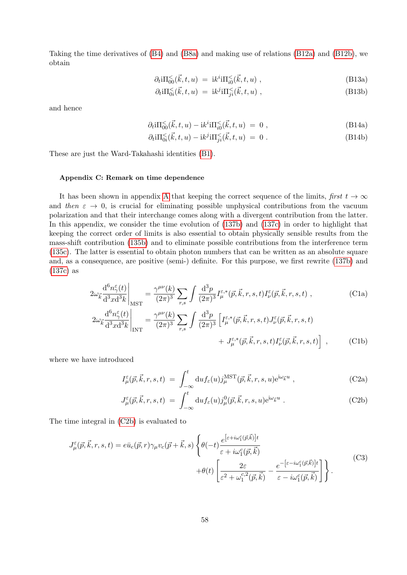Taking the time derivatives of [\(B4\)](#page-55-3) and [\(B8a\)](#page-56-1) and making use of relations [\(B12a\)](#page-56-3) and [\(B12b\)](#page-56-3), we obtain

$$
\partial_t i \Pi_{00}^{\leq}(\vec{k}, t, u) = i k^i i \Pi_{i0}^{\leq}(\vec{k}, t, u) , \qquad (B13a)
$$

$$
\partial_t i \Pi_{0i}^{\leq}(\vec{k}, t, u) = i k^j i \Pi_{ji}^{\leq}(\vec{k}, t, u) , \qquad (B13b)
$$

and hence

$$
\partial_t i \Pi_{00}^{\leq}(\vec{k}, t, u) - i k^i i \Pi_{i0}^{\leq}(\vec{k}, t, u) = 0 , \qquad (B14a)
$$

$$
\partial_t i \Pi_{0i} \langle \vec{k}, t, u \rangle - i k^j i \Pi_{ji} \langle \vec{k}, t, u \rangle = 0.
$$
 (B14b)

These are just the Ward-Takahashi identities [\(B1\)](#page-54-4).

## <span id="page-57-0"></span>Appendix C: Remark on time dependence

It has been shown in appendix [A](#page-50-0) that keeping the correct sequence of the limits, first  $t \to \infty$ and then  $\varepsilon \to 0$ , is crucial for eliminating possible unphysical contributions from the vacuum polarization and that their interchange comes along with a divergent contribution from the latter. In this appendix, we consider the time evolution of [\(137b\)](#page-35-3) and [\(137c\)](#page-35-3) in order to highlight that keeping the correct order of limits is also essential to obtain physically sensible results from the mass-shift contribution [\(135b\)](#page-35-1) and to eliminate possible contributions from the interference term [\(135c\)](#page-35-2). The latter is essential to obtain photon numbers that can be written as an absolute square and, as a consequence, are positive (semi-) definite. For this purpose, we first rewrite [\(137b\)](#page-35-3) and [\(137c\)](#page-35-3) as

$$
2\omega_{\vec{k}}\frac{\mathrm{d}^{6}n_{\gamma}^{\varepsilon}(t)}{\mathrm{d}^{3}x\mathrm{d}^{3}k}\bigg|_{\mathrm{MST}} = \frac{\gamma^{\mu\nu}(k)}{(2\pi)^{3}}\sum_{r,s}\int\frac{\mathrm{d}^{3}p}{(2\pi)^{3}}I_{\mu}^{\varepsilon,*}(\vec{p},\vec{k},r,s,t)I_{\nu}^{\varepsilon}(\vec{p},\vec{k},r,s,t) ,\tag{C1a}
$$

$$
2\omega_{\vec{k}}\frac{\mathrm{d}^{6}n_{\gamma}^{\varepsilon}(t)}{\mathrm{d}^{3}x\mathrm{d}^{3}k}\Big|_{\text{INT}} = \frac{\gamma^{\mu\nu}(k)}{(2\pi)^{3}}\sum_{r,s}\int\frac{\mathrm{d}^{3}p}{(2\pi)^{3}}\left[I_{\mu}^{\varepsilon,*}(\vec{p},\vec{k},r,s,t)J_{\nu}^{\varepsilon}(\vec{p},\vec{k},r,s,t)\right] + J_{\mu}^{\varepsilon,*}(\vec{p},\vec{k},r,s,t)I_{\nu}^{\varepsilon}(\vec{p},\vec{k},r,s,t)\right],\tag{C1b}
$$

where we have introduced

<span id="page-57-4"></span><span id="page-57-3"></span><span id="page-57-1"></span>
$$
I^{\varepsilon}_{\mu}(\vec{p}, \vec{k}, r, s, t) = \int_{-\infty}^{t} du f_{\varepsilon}(u) j^{\text{MST}}_{\mu}(\vec{p}, \vec{k}, r, s, u) e^{i\omega_{\vec{k}} u} , \qquad (C2a)
$$

$$
J^{\varepsilon}_{\mu}(\vec{p}, \vec{k}, r, s, t) = \int_{-\infty}^{t} du f_{\varepsilon}(u) j^{0}_{\mu}(\vec{p}, \vec{k}, r, s, u) e^{i\omega_{\vec{k}}u} . \tag{C2b}
$$

The time integral in [\(C2b\)](#page-57-1) is evaluated to

<span id="page-57-2"></span>
$$
J_{\mu}^{\varepsilon}(\vec{p}, \vec{k}, r, s, t) = e\bar{u}_{c}(\vec{p}, r)\gamma_{\mu}v_{c}(\vec{p} + \vec{k}, s)\left\{\theta(-t)\frac{e^{\left[\varepsilon + i\omega_{1}^{c}(\vec{p}, \vec{k})\right]t}}{\varepsilon + i\omega_{1}^{c}(\vec{p}, \vec{k})} + \theta(t)\left[\frac{2\varepsilon}{\varepsilon^{2} + \omega_{1}^{c,2}(\vec{p}, \vec{k})} - \frac{e^{-\left[\varepsilon - i\omega_{1}^{c}(\vec{p}, \vec{k})\right]t}}{\varepsilon - i\omega_{1}^{c}(\vec{p}, \vec{k})}\right]\right\}.
$$
(C3)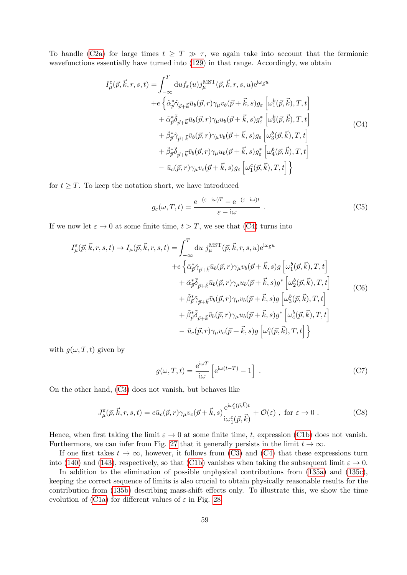To handle [\(C2a\)](#page-57-1) for large times  $t \geq T \gg \tau$ , we again take into account that the fermionic wavefunctions essentially have turned into [\(129\)](#page-32-1) in that range. Accordingly, we obtain

$$
I_{\mu}^{\varepsilon}(\vec{p}, \vec{k}, r, s, t) = \int_{-\infty}^{T} du f_{\varepsilon}(u) j_{\mu}^{\text{MST}}(\vec{p}, \vec{k}, r, s, u) e^{i\omega_{\vec{k}} u}
$$
  
+
$$
+ e \left\{ \tilde{\alpha}_{\vec{p}}^* \tilde{\gamma}_{\vec{p} + \vec{k}} \bar{u}_b(\vec{p}, r) \gamma_{\mu} v_b(\vec{p} + \vec{k}, s) g_{\varepsilon} \left[ \omega_1^b(\vec{p}, \vec{k}), T, t \right] + \tilde{\alpha}_{\vec{p}}^* \tilde{\delta}_{\vec{p} + \vec{k}} \bar{u}_b(\vec{p}, r) \gamma_{\mu} u_b(\vec{p} + \vec{k}, s) g_{\varepsilon}^* \left[ \omega_2^b(\vec{p}, \vec{k}), T, t \right] + \tilde{\beta}_{\vec{p}}^* \tilde{\gamma}_{\vec{p} + \vec{k}} \bar{v}_b(\vec{p}, r) \gamma_{\mu} v_b(\vec{p} + \vec{k}, s) g_{\varepsilon} \left[ \omega_3^b(\vec{p}, \vec{k}), T, t \right] + \tilde{\beta}_{\vec{p}}^* \tilde{\delta}_{\vec{p} + \vec{k}} \bar{v}_b(\vec{p}, r) \gamma_{\mu} u_b(\vec{p} + \vec{k}, s) g_{\varepsilon}^* \left[ \omega_4^b(\vec{p}, \vec{k}), T, t \right] - \bar{u}_c(\vec{p}, r) \gamma_{\mu} v_c(\vec{p} + \vec{k}, s) g_{\varepsilon} \left[ \omega_1^c(\vec{p}, \vec{k}), T, t \right] \right\}
$$
(C4)

<span id="page-58-0"></span>for  $t \geq T$ . To keep the notation short, we have introduced

$$
g_{\varepsilon}(\omega, T, t) = \frac{e^{-(\varepsilon - i\omega)T} - e^{-(\varepsilon - i\omega)t}}{\varepsilon - i\omega}.
$$
 (C5)

If we now let  $\varepsilon \to 0$  at some finite time,  $t > T$ , we see that [\(C4\)](#page-58-0) turns into

<span id="page-58-1"></span>
$$
I_{\mu}^{\varepsilon}(\vec{p}, \vec{k}, r, s, t) \rightarrow I_{\mu}(\vec{p}, \vec{k}, r, s, t) = \int_{-\infty}^{T} du \ j_{\mu}^{\text{MST}}(\vec{p}, \vec{k}, r, s, u) e^{i\omega_{\vec{k}} u}
$$
  
\n
$$
+ e \left\{ \tilde{\alpha}_{\vec{p}} \tilde{\gamma}_{\vec{p} + \vec{k}} \bar{u}_{b}(\vec{p}, r) \gamma_{\mu} v_{b}(\vec{p} + \vec{k}, s) g \left[ \omega_{1}^{b}(\vec{p}, \vec{k}), T, t \right] \right. \n+ \tilde{\alpha}_{\vec{p}} \tilde{\delta}_{\vec{p} + \vec{k}} \bar{u}_{b}(\vec{p}, r) \gamma_{\mu} u_{b}(\vec{p} + \vec{k}, s) g^{*} \left[ \omega_{2}^{b}(\vec{p}, \vec{k}), T, t \right] \n+ \tilde{\beta}_{\vec{p}}^{*} \tilde{\gamma}_{\vec{p} + \vec{k}} \bar{v}_{b}(\vec{p}, r) \gamma_{\mu} v_{b}(\vec{p} + \vec{k}, s) g \left[ \omega_{3}^{b}(\vec{p}, \vec{k}), T, t \right] \n+ \tilde{\beta}_{\vec{p}}^{*} \tilde{\delta}_{\vec{p} + \vec{k}} \bar{v}_{b}(\vec{p}, r) \gamma_{\mu} u_{b}(\vec{p} + \vec{k}, s) g^{*} \left[ \omega_{4}^{b}(\vec{p}, \vec{k}), T, t \right] \n- \bar{u}_{c}(\vec{p}, r) \gamma_{\mu} v_{c}(\vec{p} + \vec{k}, s) g \left[ \omega_{1}^{c}(\vec{p}, \vec{k}), T, t \right]
$$

with  $q(\omega, T, t)$  given by

<span id="page-58-2"></span>
$$
g(\omega, T, t) = \frac{e^{i\omega T}}{i\omega} \left[ e^{i\omega(t-T)} - 1 \right] . \tag{C7}
$$

On the other hand, [\(C3\)](#page-57-2) does not vanish, but behaves like

$$
J_{\mu}^{\varepsilon}(\vec{p}, \vec{k}, r, s, t) = e\bar{u}_{c}(\vec{p}, r)\gamma_{\mu}v_{c}(\vec{p} + \vec{k}, s)\frac{e^{i\omega_{1}^{c}(\vec{p}, \vec{k})t}}{i\omega_{1}^{c}(\vec{p}, \vec{k})} + \mathcal{O}(\varepsilon) , \text{ for } \varepsilon \to 0 .
$$
 (C8)

Hence, when first taking the limit  $\varepsilon \to 0$  at some finite time, t, expression [\(C1b\)](#page-57-3) does not vanish. Furthermore, we can infer from Fig. [27](#page-59-0) that it generally persists in the limit  $t \to \infty$ .

If one first takes  $t \to \infty$ , however, it follows from [\(C3\)](#page-57-2) and [\(C4\)](#page-58-0) that these expressions turn into [\(140\)](#page-36-2) and [\(143\)](#page-36-3), respectively, so that [\(C1b\)](#page-57-3) vanishes when taking the subsequent limit  $\varepsilon \to 0$ .

In addition to the elimination of possible unphysical contributions from [\(135a\)](#page-35-0) and [\(135c\)](#page-35-2), keeping the correct sequence of limits is also crucial to obtain physically reasonable results for the contribution from [\(135b\)](#page-35-1) describing mass-shift effects only. To illustrate this, we show the time evolution of [\(C1a\)](#page-57-4) for different values of  $\varepsilon$  in Fig. [28.](#page-59-1)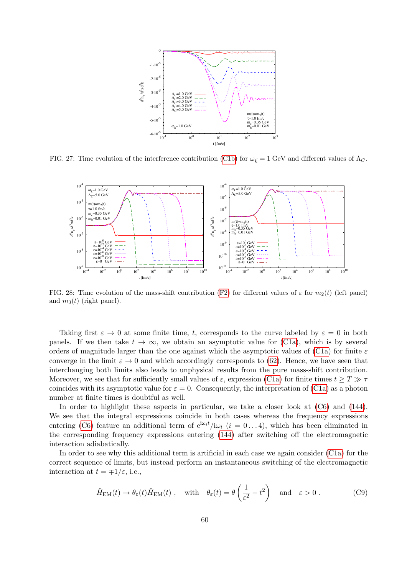

<span id="page-59-0"></span>FIG. 27: Time evolution of the interference contribution [\(C1b\)](#page-57-3) for  $\omega_{\vec{k}} = 1$  GeV and different values of  $\Lambda_C$ .



<span id="page-59-1"></span>FIG. 28: Time evolution of the mass-shift contribution [\(F2\)](#page-66-1) for different values of  $\varepsilon$  for  $m_2(t)$  (left panel) and  $m_3(t)$  (right panel).

Taking first  $\varepsilon \to 0$  at some finite time, t, corresponds to the curve labeled by  $\varepsilon = 0$  in both panels. If we then take  $t \to \infty$ , we obtain an asymptotic value for [\(C1a\)](#page-57-4), which is by several orders of magnitude larger than the one against which the asymptotic values of [\(C1a\)](#page-57-4) for finite  $\varepsilon$ converge in the limit  $\varepsilon \to 0$  and which accordingly corresponds to [\(62\)](#page-12-5). Hence, we have seen that interchanging both limits also leads to unphysical results from the pure mass-shift contribution. Moreover, we see that for sufficiently small values of  $\varepsilon$ , expression [\(C1a\)](#page-57-4) for finite times  $t \geq T \gg \tau$ coincides with its asymptotic value for  $\varepsilon = 0$ . Consequently, the interpretation of [\(C1a\)](#page-57-4) as a photon number at finite times is doubtful as well.

In order to highlight these aspects in particular, we take a closer look at  $(C6)$  and  $(144)$ . We see that the integral expressions coincide in both cases whereas the frequency expressions entering [\(C6\)](#page-58-1) feature an additional term of  $e^{i\omega_i t}/i\omega_i$  ( $i = 0...4$ ), which has been eliminated in the corresponding frequency expressions entering [\(144\)](#page-37-1) after switching off the electromagnetic interaction adiabatically.

In order to see why this additional term is artificial in each case we again consider [\(C1a\)](#page-57-4) for the correct sequence of limits, but instead perform an instantaneous switching of the electromagnetic interaction at  $t = \pm 1/\varepsilon$ , i.e.,

<span id="page-59-2"></span>
$$
\hat{H}_{\text{EM}}(t) \to \theta_{\varepsilon}(t)\hat{H}_{\text{EM}}(t) , \quad \text{with} \quad \theta_{\varepsilon}(t) = \theta\left(\frac{1}{\varepsilon^2} - t^2\right) \quad \text{and} \quad \varepsilon > 0 . \tag{C9}
$$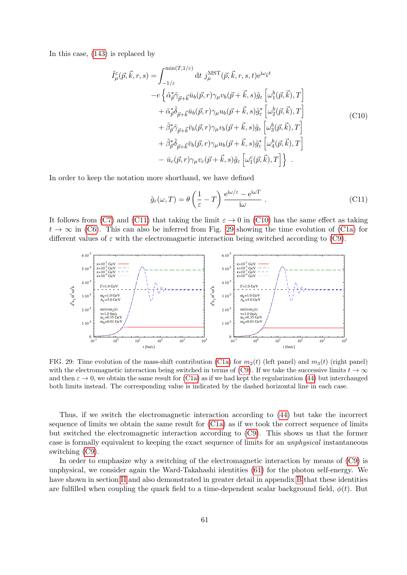<span id="page-60-1"></span>In this case, [\(143\)](#page-36-3) is replaced by

$$
\tilde{I}^{\varepsilon}_{\mu}(\vec{p}, \vec{k}, r, s) = \int_{-1/\varepsilon}^{\min(T, 1/\varepsilon)} dt \ j_{\mu}^{\text{MST}}(\vec{p}, \vec{k}, r, s, t) e^{i\omega_{\vec{k}}t} \n- e \left\{ \tilde{\alpha}^{*}_{\vec{p}} \tilde{\gamma}_{\vec{p} + \vec{k}} \bar{u}_{b}(\vec{p}, r) \gamma_{\mu} v_{b}(\vec{p} + \vec{k}, s) \tilde{g}_{\varepsilon} \left[ \omega_{1}^{b}(\vec{p}, \vec{k}), T \right] \n+ \tilde{\alpha}^{*}_{\vec{p}} \tilde{\delta}_{\vec{p} + \vec{k}} \bar{u}_{b}(\vec{p}, r) \gamma_{\mu} u_{b}(\vec{p} + \vec{k}, s) \tilde{g}_{\varepsilon}^{*} \left[ \omega_{2}^{b}(\vec{p}, \vec{k}), T \right] \n+ \tilde{\beta}^{*}_{\vec{p}} \tilde{\gamma}_{\vec{p} + \vec{k}} \bar{v}_{b}(\vec{p}, r) \gamma_{\mu} v_{b}(\vec{p} + \vec{k}, s) \tilde{g}_{\varepsilon} \left[ \omega_{3}^{b}(\vec{p}, \vec{k}), T \right] \n+ \tilde{\beta}^{*}_{\vec{p}} \tilde{\delta}_{\vec{p} + \vec{k}} \bar{v}_{b}(\vec{p}, r) \gamma_{\mu} u_{b}(\vec{p} + \vec{k}, s) \tilde{g}_{\varepsilon}^{*} \left[ \omega_{4}^{b}(\vec{p}, \vec{k}), T \right] \n- \bar{u}_{c}(\vec{p}, r) \gamma_{\mu} v_{c}(\vec{p} + \vec{k}, s) \tilde{g}_{\varepsilon} \left[ \omega_{1}^{c}(\vec{p}, \vec{k}), T \right] \} .
$$
\n(CI0)

In order to keep the notation more shorthand, we have defined

<span id="page-60-0"></span>
$$
\tilde{g}_{\varepsilon}(\omega, T) = \theta \left( \frac{1}{\varepsilon} - T \right) \frac{e^{i\omega/\varepsilon} - e^{i\omega T}}{i\omega} . \tag{C11}
$$

It follows from [\(C7\)](#page-58-2) and [\(C11\)](#page-60-0) that taking the limit  $\varepsilon \to 0$  in [\(C10\)](#page-60-1) has the same effect as taking  $t \to \infty$  in [\(C6\)](#page-58-1). This can also be inferred from Fig. [29](#page-60-2) showing the time evolution of [\(C1a\)](#page-57-4) for different values of  $\varepsilon$  with the electromagnetic interaction being switched according to [\(C9\)](#page-59-2).



<span id="page-60-2"></span>FIG. 29: Time evolution of the mass-shift contribution [\(C1a\)](#page-57-4) for  $m_2(t)$  (left panel) and  $m_3(t)$  (right panel) with the electromagnetic interaction being switched in terms of [\(C9\)](#page-59-2). If we take the successive limits  $t \to \infty$ and then  $\varepsilon \to 0$ , we obtain the same result for [\(C1a\)](#page-57-4) as if we had kept the regularization [\(44\)](#page-10-4) but interchanged both limits instead. The corresponding value is indicated by the dashed horizontal line in each case.

Thus, if we switch the electromagnetic interaction according to [\(44\)](#page-10-4) but take the incorrect sequence of limits we obtain the same result for [\(C1a\)](#page-57-4) as if we took the correct sequence of limits but switched the electromagnetic interaction according to [\(C9\)](#page-59-2). This shows us that the former case is formally equivalent to keeping the exact sequence of limits for an unphysical instantaneous switching [\(C9\)](#page-59-2).

In order to emphasize why a switching of the electromagnetic interaction by means of [\(C9\)](#page-59-2) is unphysical, we consider again the Ward-Takahashi identities [\(61\)](#page-12-0) for the photon self-energy. We have shown in section [II](#page-4-0) and also demonstrated in greater detail in appendix [B](#page-54-0) that these identities are fulfilled when coupling the quark field to a time-dependent scalar background field,  $\phi(t)$ . But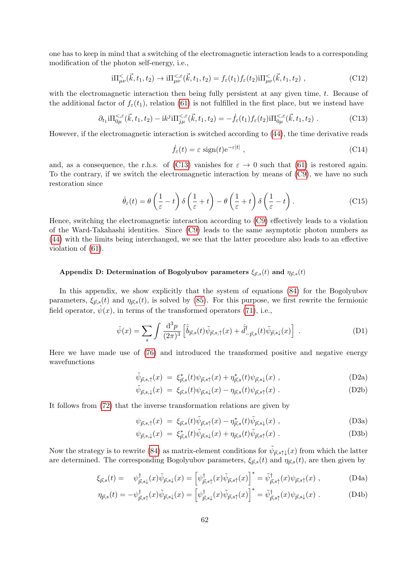one has to keep in mind that a switching of the electromagnetic interaction leads to a corresponding modification of the photon self-energy, i.e.,

$$
i\Pi_{\mu\nu}^{\leq}(\vec{k},t_1,t_2) \to i\Pi_{\mu\nu}^{\leq,\varepsilon}(\vec{k},t_1,t_2) = f_{\varepsilon}(t_1) f_{\varepsilon}(t_2) i\Pi_{\mu\nu}^{\leq}(\vec{k},t_1,t_2) , \qquad (C12)
$$

with the electromagnetic interaction then being fully persistent at any given time, t. Because of the additional factor of  $f_{\varepsilon}(t_1)$ , relation [\(61\)](#page-12-0) is not fulfilled in the first place, but we instead have

<span id="page-61-3"></span>
$$
\partial_{t_1} i \Pi_{0\mu}^{\leq,\varepsilon}(\vec{k},t_1,t_2) - ik^j i \Pi_{j\mu}^{\leq,\varepsilon}(\vec{k},t_1,t_2) = -\dot{f}_{\varepsilon}(t_1) f_{\varepsilon}(t_2) i \Pi_{0\mu}^{\leq,\varepsilon}(\vec{k},t_1,t_2) \ . \tag{C13}
$$

However, if the electromagnetic interaction is switched according to [\(44\)](#page-10-4), the time derivative reads

$$
\dot{f}_{\varepsilon}(t) = \varepsilon \, \operatorname{sign}(t) e^{-\varepsilon|t|} \;, \tag{C14}
$$

and, as a consequence, the r.h.s. of [\(C13\)](#page-61-3) vanishes for  $\varepsilon \to 0$  such that [\(61\)](#page-12-0) is restored again. To the contrary, if we switch the electromagnetic interaction by means of [\(C9\)](#page-59-2), we have no such restoration since

$$
\dot{\theta}_{\varepsilon}(t) = \theta\left(\frac{1}{\varepsilon} - t\right)\delta\left(\frac{1}{\varepsilon} + t\right) - \theta\left(\frac{1}{\varepsilon} + t\right)\delta\left(\frac{1}{\varepsilon} - t\right). \tag{C15}
$$

Hence, switching the electromagnetic interaction according to [\(C9\)](#page-59-2) effectively leads to a violation of the Ward-Takahashi identities. Since [\(C9\)](#page-59-2) leads to the same asymptotic photon numbers as [\(44\)](#page-10-4) with the limits being interchanged, we see that the latter procedure also leads to an effective violation of [\(61\)](#page-12-0).

# <span id="page-61-0"></span>Appendix D: Determination of Bogolyubov parameters  $\xi_{\vec{p},s}(t)$  and  $\eta_{\vec{p},s}(t)$

In this appendix, we show explicitly that the system of equations [\(84\)](#page-15-3) for the Bogolyubov parameters,  $\xi_{\vec{p},s}(t)$  and  $\eta_{\vec{p},s}(t)$ , is solved by [\(85\)](#page-16-3). For this purpose, we first rewrite the fermionic field operator,  $\psi(x)$ , in terms of the transformed operators [\(71\)](#page-14-1), i.e.,

<span id="page-61-1"></span>
$$
\hat{\psi}(x) = \sum_{s} \int \frac{\mathrm{d}^3 p}{(2\pi)^3} \left[ \hat{\tilde{b}}_{\vec{p},s}(t) \tilde{\psi}_{\vec{p},s,\uparrow}(x) + \hat{\tilde{d}}^{\dagger}_{-\vec{p},s}(t) \tilde{\psi}_{\vec{p},s\downarrow}(x) \right] \ . \tag{D1}
$$

Here we have made use of [\(76\)](#page-14-4) and introduced the transformed positive and negative energy wavefunctions

<span id="page-61-5"></span>
$$
\tilde{\psi}_{\vec{p},s,\uparrow}(x) \ = \ \xi_{\vec{p},s}^*(t)\psi_{\vec{p},s\uparrow}(x) + \eta_{\vec{p},s}^*(t)\psi_{\vec{p},s\downarrow}(x) \ , \tag{D2a}
$$

$$
\tilde{\psi}_{\vec{p},s,\downarrow}(x) = \xi_{\vec{p},s}(t)\psi_{\vec{p},s\downarrow}(x) - \eta_{\vec{p},s}(t)\psi_{\vec{p},s\uparrow}(x) . \tag{D2b}
$$

It follows from [\(72\)](#page-14-5) that the inverse transformation relations are given by

<span id="page-61-4"></span>
$$
\psi_{\vec{p},s,\uparrow}(x) = \xi_{\vec{p},s}(t)\tilde{\psi}_{\vec{p},s\uparrow}(x) - \eta_{\vec{p},s}^*(t)\tilde{\psi}_{\vec{p},s\downarrow}(x) , \qquad (D3a)
$$

<span id="page-61-2"></span>
$$
\psi_{\vec{p},s,\downarrow}(x) = \xi_{\vec{p},s}^*(t)\tilde{\psi}_{\vec{p},s\downarrow}(x) + \eta_{\vec{p},s}(t)\tilde{\psi}_{\vec{p},s\uparrow}(x) . \tag{D3b}
$$

Now the strategy is to rewrite [\(84\)](#page-15-3) as matrix-element conditions for  $\tilde{\psi}_{\vec{p},s\uparrow\downarrow}(x)$  from which the latter are determined. The corresponding Bogolyubov parameters,  $\xi_{\vec{p},s}(t)$  and  $\eta_{\vec{p},s}(t)$ , are then given by

$$
\xi_{\vec{p},s}(t) = \psi_{\vec{p},s\downarrow}(x)\tilde{\psi}_{\vec{p},s\downarrow}(x) = \left[\psi_{\vec{p},s\uparrow}^{\dagger}(x)\tilde{\psi}_{\vec{p},s\uparrow}(x)\right]^* = \tilde{\psi}_{\vec{p},s\uparrow}^{\dagger}(x)\psi_{\vec{p},s\uparrow}(x) ,\tag{D4a}
$$

$$
\eta_{\vec{p},s}(t) = -\psi_{\vec{p},s\uparrow}^{\dagger}(x)\tilde{\psi}_{\vec{p},s\downarrow}(x) = \left[\psi_{\vec{p},s\downarrow}^{\dagger}(x)\tilde{\psi}_{\vec{p},s\uparrow}(x)\right]^* = \tilde{\psi}_{\vec{p},s\uparrow}^{\dagger}(x)\psi_{\vec{p},s\downarrow}(x) . \tag{D4b}
$$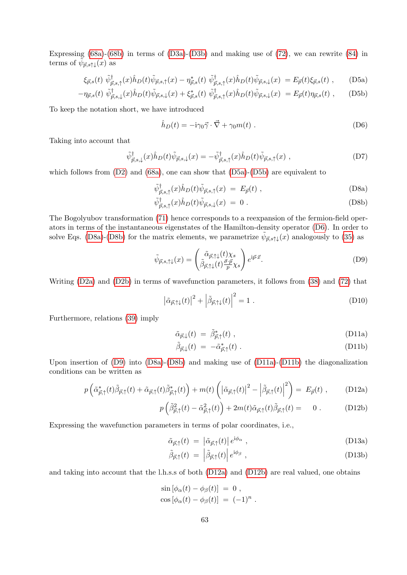Expressing [\(68a\)](#page-13-3)-[\(68b\)](#page-13-5) in terms of [\(D3a\)](#page-61-4)-[\(D3b\)](#page-61-4) and making use of [\(72\)](#page-14-5), we can rewrite [\(84\)](#page-15-3) in terms of  $\tilde{\psi}_{\vec{p},s\uparrow\downarrow}(x)$  as

<span id="page-62-0"></span>
$$
\xi_{\vec{p},s}(t) \ \tilde{\psi}_{\vec{p},s,\uparrow}^{\dagger}(x) \hat{h}_D(t) \tilde{\psi}_{\vec{p},s,\uparrow}(x) - \eta_{\vec{p},s}^*(t) \ \tilde{\psi}_{\vec{p},s,\uparrow}^{\dagger}(x) \hat{h}_D(t) \tilde{\psi}_{\vec{p},s,\downarrow}(x) = E_{\vec{p}}(t) \xi_{\vec{p},s}(t) \ , \tag{D5a}
$$

$$
-\eta_{\vec{p},s}(t)\,\tilde{\psi}_{\vec{p},s,\downarrow}^{\dagger}(x)\hat{h}_D(t)\tilde{\psi}_{\vec{p},s,\downarrow}(x)+\xi_{\vec{p},s}^*(t)\,\tilde{\psi}_{\vec{p},s,\uparrow}^{\dagger}(x)\hat{h}_D(t)\tilde{\psi}_{\vec{p},s,\downarrow}(x) = E_{\vec{p}}(t)\eta_{\vec{p},s}(t) ,\qquad \text{(D5b)}
$$

To keep the notation short, we have introduced

<span id="page-62-1"></span>
$$
\hat{h}_D(t) = -\mathrm{i}\gamma_0 \vec{\gamma} \cdot \vec{\nabla} + \gamma_0 m(t) \tag{D6}
$$

Taking into account that

$$
\tilde{\psi}_{\vec{p},s,\downarrow}^{\dagger}(x)\hat{h}_D(t)\tilde{\psi}_{\vec{p},s,\downarrow}(x) = -\tilde{\psi}_{\vec{p},s,\uparrow}^{\dagger}(x)\hat{h}_D(t)\tilde{\psi}_{\vec{p},s,\uparrow}(x) ,\qquad (D7)
$$

which follows from  $(D2)$  and  $(68a)$ , one can show that  $(D5a)-(D5b)$  $(D5a)-(D5b)$  $(D5a)-(D5b)$  are equivalent to

<span id="page-62-2"></span>
$$
\tilde{\psi}_{\vec{p},s,\uparrow}^{\dagger}(x)\hat{h}_D(t)\tilde{\psi}_{\vec{p},s,\uparrow}(x) = E_{\vec{p}}(t) , \qquad (D8a)
$$

$$
\tilde{\psi}_{\vec{p},s,\uparrow}^{\dagger}(x)\hat{h}_D(t)\tilde{\psi}_{\vec{p},s,\downarrow}(x) = 0.
$$
\n(D8b)

The Bogolyubov transformation [\(71\)](#page-14-1) hence corresponds to a reexpansion of the fermion-field operators in terms of the instantaneous eigenstates of the Hamilton-density operator [\(D6\)](#page-62-1). In order to solve Eqs. [\(D8a\)](#page-62-2)-[\(D8b\)](#page-62-2) for the matrix elements, we parametrize  $\tilde{\psi}_{\vec{p},s\uparrow\downarrow}(x)$  analogously to [\(35\)](#page-8-1) as

<span id="page-62-3"></span>
$$
\tilde{\psi}_{\vec{p},s,\uparrow\downarrow}(x) = \begin{pmatrix} \tilde{\alpha}_{\vec{p},\uparrow\downarrow}(t)\chi_s \\ \tilde{\beta}_{\vec{p},\uparrow\downarrow}(t)\frac{\vec{\sigma}\cdot\vec{p}}{p}\chi_s \end{pmatrix} e^{i\vec{p}\cdot\vec{x}}.
$$
\n(D9)

Writing [\(D2a\)](#page-61-5) and [\(D2b\)](#page-61-5) in terms of wavefunction parameters, it follows from [\(38\)](#page-9-0) and [\(72\)](#page-14-5) that

<span id="page-62-6"></span>
$$
\left| \tilde{\alpha}_{\vec{p},\uparrow\downarrow}(t) \right|^2 + \left| \tilde{\beta}_{\vec{p},\uparrow\downarrow}(t) \right|^2 = 1 . \tag{D10}
$$

Furthermore, relations [\(39\)](#page-9-1) imply

<span id="page-62-4"></span>
$$
\tilde{\alpha}_{\vec{p},\downarrow}(t) = \tilde{\beta}_{\vec{p},\uparrow}^*(t) , \qquad (D11a)
$$

$$
\tilde{\beta}_{\vec{p},\downarrow}(t) = -\tilde{\alpha}_{\vec{p},\uparrow}^*(t) \ . \tag{D11b}
$$

Upon insertion of [\(D9\)](#page-62-3) into [\(D8a\)](#page-62-2)-[\(D8b\)](#page-62-2) and making use of [\(D11a\)](#page-62-4)-[\(D11b\)](#page-62-4) the diagonalization conditions can be written as

<span id="page-62-5"></span>
$$
p\left(\tilde{\alpha}_{\vec{p},\uparrow}^*(t)\tilde{\beta}_{\vec{p},\uparrow}(t) + \tilde{\alpha}_{\vec{p},\uparrow}(t)\tilde{\beta}_{\vec{p},\uparrow}^*(t)\right) + m(t)\left(\left|\tilde{\alpha}_{\vec{p},\uparrow}(t)\right|^2 - \left|\tilde{\beta}_{\vec{p},\uparrow}(t)\right|^2\right) = E_{\vec{p}}(t) ,\qquad \text{(D12a)}
$$

$$
p\left(\tilde{\beta}_{\vec{p},\uparrow}^2(t) - \tilde{\alpha}_{\vec{p},\uparrow}^2(t)\right) + 2m(t)\tilde{\alpha}_{\vec{p},\uparrow}(t)\tilde{\beta}_{\vec{p},\uparrow}(t) = 0.
$$
 (D12b)

Expressing the wavefunction parameters in terms of polar coordinates, i.e.,

$$
\tilde{\alpha}_{\vec{p},\uparrow}(t) = \left| \tilde{\alpha}_{\vec{p},\uparrow}(t) \right| e^{i\phi_{\alpha}}, \qquad (D13a)
$$

$$
\tilde{\beta}_{\vec{p},\uparrow}(t) = \left| \tilde{\beta}_{\vec{p},\uparrow}(t) \right| e^{i\phi_{\beta}}, \qquad (D13b)
$$

and taking into account that the l.h.s.s of both [\(D12a\)](#page-62-5) and [\(D12b\)](#page-62-5) are real valued, one obtains

$$
\sin\left[\phi_{\alpha}(t) - \phi_{\beta}(t)\right] = 0,
$$
  

$$
\cos\left[\phi_{\alpha}(t) - \phi_{\beta}(t)\right] = (-1)^{n}.
$$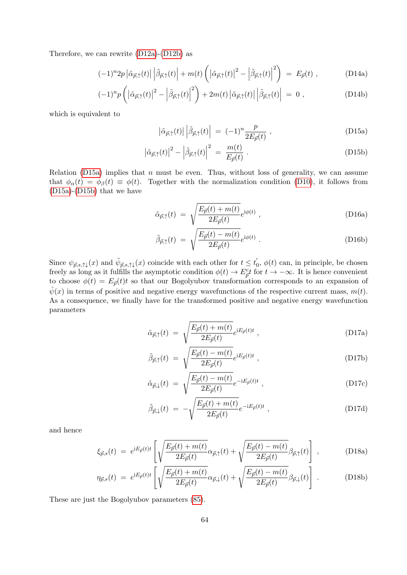Therefore, we can rewrite [\(D12a\)](#page-62-5)-[\(D12b\)](#page-62-5) as

$$
(-1)^{n}2p\left|\tilde{\alpha}_{\vec{p},\uparrow}(t)\right|\left|\tilde{\beta}_{\vec{p},\uparrow}(t)\right| + m(t)\left(\left|\tilde{\alpha}_{\vec{p},\uparrow}(t)\right|^{2} - \left|\tilde{\beta}_{\vec{p},\uparrow}(t)\right|^{2}\right) = E_{\vec{p}}(t) ,\qquad (D14a)
$$

$$
(-1)^{n}p\left(\left|\tilde{\alpha}_{\vec{p},\uparrow}(t)\right|^{2}-\left|\tilde{\beta}_{\vec{p},\uparrow}(t)\right|^{2}\right)+2m(t)\left|\tilde{\alpha}_{\vec{p},\uparrow}(t)\right|\left|\tilde{\beta}_{\vec{p},\uparrow}(t)\right|=0\;, \tag{D14b}
$$

which is equivalent to

<span id="page-63-0"></span>
$$
\left| \tilde{\alpha}_{\vec{p},\uparrow}(t) \right| \left| \tilde{\beta}_{\vec{p},\uparrow}(t) \right| = (-1)^n \frac{p}{2E_{\vec{p}}(t)}, \qquad (D15a)
$$

$$
\left|\tilde{\alpha}_{\vec{p},\uparrow}(t)\right|^2 - \left|\tilde{\beta}_{\vec{p},\uparrow}(t)\right|^2 = \frac{m(t)}{E_{\vec{p}}(t)}\,. \tag{D15b}
$$

Relation [\(D15a\)](#page-63-0) implies that  $n$  must be even. Thus, without loss of generality, we can assume that  $\phi_{\alpha}(t) = \phi_{\beta}(t) \equiv \phi(t)$ . Together with the normalization condition [\(D10\)](#page-62-6), it follows from [\(D15a\)](#page-63-0)-[\(D15b\)](#page-63-0) that we have

$$
\tilde{\alpha}_{\vec{p},\uparrow}(t) = \sqrt{\frac{E_{\vec{p}}(t) + m(t)}{2E_{\vec{p}}(t)}} e^{i\phi(t)}, \qquad (D16a)
$$

$$
\tilde{\beta}_{\vec{p},\uparrow}(t) = \sqrt{\frac{E_{\vec{p}}(t) - m(t)}{2E_{\vec{p}}(t)}} e^{i\phi(t)} . \tag{D16b}
$$

Since  $\psi_{\vec{p},s,\uparrow\downarrow}(x)$  and  $\tilde{\psi}_{\vec{p},s,\uparrow\downarrow}(x)$  coincide with each other for  $t \leq t'_{0}$  $\phi_0, \phi(t)$  can, in principle, be chosen freely as long as it fulfills the asymptotic condition  $\phi(t) \to E_{\tilde{p}}^c t$  for  $t \to -\infty$ . It is hence convenient to choose  $\phi(t) = E_{\vec{p}}(t)t$  so that our Bogolyubov transformation corresponds to an expansion of  $\hat{\psi}(x)$  in terms of positive and negative energy wavefunctions of the respective current mass,  $m(t)$ . As a consequence, we finally have for the transformed positive and negative energy wavefunction parameters

$$
\tilde{\alpha}_{\vec{p},\uparrow}(t) = \sqrt{\frac{E_{\vec{p}}(t) + m(t)}{2E_{\vec{p}}(t)}} e^{iE_{\vec{p}}(t)t} , \qquad (D17a)
$$

$$
\tilde{\beta}_{\vec{p},\uparrow}(t) = \sqrt{\frac{E_{\vec{p}}(t) - m(t)}{2E_{\vec{p}}(t)}} e^{iE_{\vec{p}}(t)t} , \qquad (D17b)
$$

$$
\tilde{\alpha}_{\vec{p},\downarrow}(t) = \sqrt{\frac{E_{\vec{p}}(t) - m(t)}{2E_{\vec{p}}(t)}} e^{-iE_{\vec{p}}(t)t}, \qquad (D17c)
$$

$$
\tilde{\beta}_{\vec{p},\downarrow}(t) = -\sqrt{\frac{E_{\vec{p}}(t) + m(t)}{2E_{\vec{p}}(t)}}e^{-iE_{\vec{p}}(t)t}, \qquad (D17d)
$$

and hence

$$
\xi_{\vec{p},s}(t) = e^{iE_{\vec{p}}(t)t} \left[ \sqrt{\frac{E_{\vec{p}}(t) + m(t)}{2E_{\vec{p}}(t)}} \alpha_{\vec{p},\uparrow}(t) + \sqrt{\frac{E_{\vec{p}}(t) - m(t)}{2E_{\vec{p}}(t)}} \beta_{\vec{p},\uparrow}(t) \right], \tag{D18a}
$$

$$
\eta_{\vec{p},s}(t) \ = \ e^{iE_{\vec{p}}(t)t} \left[ \sqrt{\frac{E_{\vec{p}}(t) + m(t)}{2E_{\vec{p}}(t)}} \alpha_{\vec{p},\downarrow}(t) + \sqrt{\frac{E_{\vec{p}}(t) - m(t)}{2E_{\vec{p}}(t)}} \beta_{\vec{p},\downarrow}(t) \right] \ . \tag{D18b}
$$

These are just the Bogolyubov parameters [\(85\)](#page-16-3).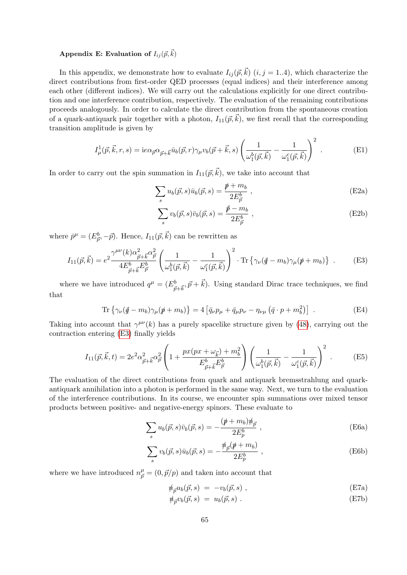# Appendix E: Evaluation of  $I_{ij}(\vec{p},\vec{k})$

In this appendix, we demonstrate how to evaluate  $I_{ij}(\vec{p}, \vec{k})$   $(i, j = 1..4)$ , which characterize the direct contributions from first-order QED processes (equal indices) and their interference among each other (different indices). We will carry out the calculations explicitly for one direct contribution and one interference contribution, respectively. The evaluation of the remaining contributions proceeds analogously. In order to calculate the direct contribution from the spontaneous creation of a quark-antiquark pair together with a photon,  $I_{11}(\vec{p},\vec{k})$ , we first recall that the corresponding transition amplitude is given by

$$
I^1_{\mu}(\vec{p}, \vec{k}, r, s) = i e \alpha_{\vec{p}} \alpha_{\vec{p} + \vec{k}} \bar{u}_b(\vec{p}, r) \gamma_{\mu} v_b(\vec{p} + \vec{k}, s) \left( \frac{1}{\omega_1^b(\vec{p}, \vec{k})} - \frac{1}{\omega_1^c(\vec{p}, \vec{k})} \right)^2.
$$
 (E1)

In order to carry out the spin summation in  $I_{11}(\vec{p}, \vec{k})$ , we take into account that

$$
\sum_{s} u_b(\vec{p}, s) \bar{u}_b(\vec{p}, s) = \frac{\rlap{\,/}{p} + m_b}{2E^b_{\vec{p}}},
$$
\n(E2a)

$$
\sum_{s} v_b(\vec{p}, s)\bar{v}_b(\vec{p}, s) = \frac{\vec{p} - m_b}{2E_{\vec{p}}^b} , \qquad (E2b)
$$

where  $\bar{p}^{\mu} = (E_{\vec{p}}^{b}, -\vec{p}).$  Hence,  $I_{11}(\vec{p}, \vec{k})$  can be rewritten as

<span id="page-64-0"></span>
$$
I_{11}(\vec{p}, \vec{k}) = e^{2} \frac{\gamma^{\mu \nu}(k) \alpha_{\vec{p} + \vec{k}}^{2} \alpha_{\vec{p}}^{2}}{4E_{\vec{p} + \vec{k}}^{b} E_{\vec{p}}^{b}} \left( \frac{1}{\omega_{1}^{b}(\vec{p}, \vec{k})} - \frac{1}{\omega_{1}^{c}(\vec{p}, \vec{k})} \right)^{2} \cdot \text{Tr} \left\{ \gamma_{\nu}(\vec{q} - m_{b}) \gamma_{\mu}(\vec{p} + m_{b}) \right\} \ . \tag{E3}
$$

where we have introduced  $q^{\mu} = (E^b_{\vec{p}+\vec{k}}, \vec{p}+\vec{k})$ . Using standard Dirac trace techniques, we find that

$$
\text{Tr}\left\{\gamma_{\nu}(\vec{q}-m_b)\gamma_{\mu}(\vec{p}+m_b)\right\} = 4\left[\bar{q}_{\nu}p_{\mu} + \bar{q}_{\mu}p_{\nu} - \eta_{\nu\mu}(\bar{q}\cdot p + m_b^2)\right] \ . \tag{E4}
$$

Taking into account that  $\gamma^{\mu\nu}(k)$  has a purely spacelike structure given by [\(48\)](#page-10-3), carrying out the contraction entering [\(E3\)](#page-64-0) finally yields

$$
I_{11}(\vec{p}, \vec{k}, t) = 2e^2 \alpha_{\vec{p} + \vec{k}}^2 \alpha_{\vec{p}}^2 \left( 1 + \frac{px(px + \omega_{\vec{k}}) + m_b^2}{E_{\vec{p} + \vec{k}}^b E_{\vec{p}}^b} \right) \left( \frac{1}{\omega_1^b(\vec{p}, \vec{k})} - \frac{1}{\omega_1^c(\vec{p}, \vec{k})} \right)^2.
$$
 (E5)

The evaluation of the direct contributions from quark and antiquark bremsstrahlung and quarkantiquark annihilation into a photon is performed in the same way. Next, we turn to the evaluation of the interference contributions. In its course, we encounter spin summations over mixed tensor products between positive- and negative-energy spinors. These evaluate to

$$
\sum_{s} u_b(\vec{p}, s)\bar{v}_b(\vec{p}, s) = -\frac{(\not p + m_b)\psi_{\vec{p}}}{2E_p^b} ,
$$
 (E6a)

$$
\sum_{s} v_b(\vec{p}, s)\bar{u}_b(\vec{p}, s) = -\frac{\hbar_{\vec{p}}(\n \psi + m_b)}{2E_p^b} ,
$$
\n(E6b)

where we have introduced  $n_{\vec{p}}^{\mu} = (0, \vec{p}/p)$  and taken into account that

$$
\psi_{\vec{p}} u_b(\vec{p}, s) = -v_b(\vec{p}, s) , \qquad (E7a)
$$

$$
\mathcal{W}_{\vec{p}}v_b(\vec{p},s) = u_b(\vec{p},s) . \tag{E7b}
$$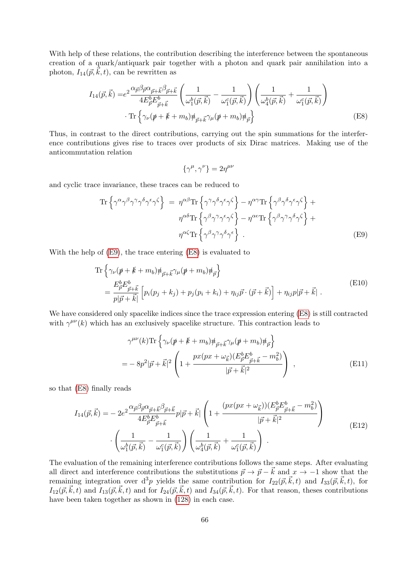With help of these relations, the contribution describing the interference between the spontaneous creation of a quark/antiquark pair together with a photon and quark pair annihilation into a photon,  $I_{14}(\vec{p}, \vec{k}, t)$ , can be rewritten as

$$
I_{14}(\vec{p}, \vec{k}) = e^2 \frac{\alpha_{\vec{p}} \beta_{\vec{p}} \alpha_{\vec{p} + \vec{k}} \beta_{\vec{p} + \vec{k}}}{4E_{\vec{p}}^b E_{\vec{p} + \vec{k}}^b} \left( \frac{1}{\omega_1^b(\vec{p}, \vec{k})} - \frac{1}{\omega_1^c(\vec{p}, \vec{k})} \right) \left( \frac{1}{\omega_4^b(\vec{p}, \vec{k})} + \frac{1}{\omega_1^c(\vec{p}, \vec{k})} \right)
$$
  
• Tr  $\left\{ \gamma_\nu (\not\!p + \not\!k + m_b) \not\!{\eta}_{\vec{p} + \vec{k}} \gamma_\mu (\not\!p + m_b) \not\!{\eta}_{\vec{p}} \right\}$  (E8)

Thus, in contrast to the direct contributions, carrying out the spin summations for the interference contributions gives rise to traces over products of six Dirac matrices. Making use of the anticommutation relation

<span id="page-65-1"></span>
$$
\{\gamma^\mu,\gamma^\nu\}=2\eta^{\mu\nu}
$$

and cyclic trace invariance, these traces can be reduced to

<span id="page-65-0"></span>
$$
\operatorname{Tr}\left\{\gamma^{\alpha}\gamma^{\beta}\gamma^{\gamma}\gamma^{\delta}\gamma^{\epsilon}\gamma^{\zeta}\right\} = \eta^{\alpha\beta}\operatorname{Tr}\left\{\gamma^{\gamma}\gamma^{\delta}\gamma^{\epsilon}\gamma^{\zeta}\right\} - \eta^{\alpha\gamma}\operatorname{Tr}\left\{\gamma^{\beta}\gamma^{\delta}\gamma^{\epsilon}\gamma^{\zeta}\right\} + \eta^{\alpha\delta}\operatorname{Tr}\left\{\gamma^{\beta}\gamma^{\gamma}\gamma^{\epsilon}\gamma^{\zeta}\right\} - \eta^{\alpha\epsilon}\operatorname{Tr}\left\{\gamma^{\beta}\gamma^{\gamma}\gamma^{\delta}\gamma^{\zeta}\right\} + \eta^{\alpha\zeta}\operatorname{Tr}\left\{\gamma^{\beta}\gamma^{\gamma}\gamma^{\delta}\gamma^{\epsilon}\right\}.
$$
\n(E9)

With the help of [\(E9\)](#page-65-0), the trace entering [\(E8\)](#page-65-1) is evaluated to

$$
\operatorname{Tr}\left\{\gamma_{\nu}(\rlap{\,/}p + \rlap{\,/}k + m_b)\rlap{\,/}n_{\vec{p}+\vec{k}}\gamma_{\mu}(\rlap{\,/}p + m_b)\rlap{\,/}n_{\vec{p}}\right\}\n= \frac{E_{\vec{p}}^b E_{\vec{p}+\vec{k}}^b}{p|\vec{p}+\vec{k}|}\left[p_i(p_j+k_j) + p_j(p_i+k_i) + \eta_{ij}\vec{p}\cdot(\vec{p}+\vec{k})\right] + \eta_{ij}p|\vec{p}+\vec{k}|.
$$
\n(E10)

We have considered only spacelike indices since the trace expression entering [\(E8\)](#page-65-1) is still contracted with  $\gamma^{\mu\nu}(k)$  which has an exclusively spacelike structure. This contraction leads to

$$
\gamma^{\mu\nu}(k) \text{Tr} \left\{ \gamma_{\nu}(\rlap{\,/}p + \rlap{\,/}k + m_b) \rlap{\,/}p_{\vec{p} + \vec{k}} \gamma_{\mu}(\rlap{\,/}p + m_b) \rlap{\,/}p_{\vec{p}} \right\} \n= -8p^2 |\vec{p} + \vec{k}|^2 \left( 1 + \frac{px(px + \omega_{\vec{k}})(E^b_{\vec{p}} E^b_{\vec{p} + \vec{k}} - m_b^2)}{|\vec{p} + \vec{k}|^2} \right) ,
$$
\n(E11)

so that [\(E8\)](#page-65-1) finally reads

$$
I_{14}(\vec{p}, \vec{k}) = -2e^{2} \frac{\alpha_{\vec{p}} \beta_{\vec{p}} \alpha_{\vec{p} + \vec{k}} \beta_{\vec{p} + \vec{k}}}{4E_{\vec{p}}^{b} E_{\vec{p} + \vec{k}}^{b}} p|\vec{p} + \vec{k}| \left(1 + \frac{(px(px + \omega_{\vec{k}}))(E_{\vec{p}}^{b} E_{\vec{p} + \vec{k}}^{b} - m_{b}^{2})}{|\vec{p} + \vec{k}|^{2}}\right) \cdot \left(\frac{1}{\omega_{1}^{b}(\vec{p}, \vec{k})} - \frac{1}{\omega_{1}^{c}(\vec{p}, \vec{k})}\right) \left(\frac{1}{\omega_{4}^{b}(\vec{p}, \vec{k})} + \frac{1}{\omega_{1}^{c}(\vec{p}, \vec{k})}\right) .
$$
\n(E12)

The evaluation of the remaining interference contributions follows the same steps. After evaluating all direct and interference contributions the substitutions  $\vec{p} \to \vec{p} - \vec{k}$  and  $x \to -1$  show that the remaining integration over  $d^3p$  yields the same contribution for  $I_{22}(\vec{p}, \vec{k}, t)$  and  $I_{33}(\vec{p}, \vec{k}, t)$ , for  $I_{12}(\vec{p}, \vec{k}, t)$  and  $I_{13}(\vec{p}, \vec{k}, t)$  and for  $I_{24}(\vec{p}, \vec{k}, t)$  and  $I_{34}(\vec{p}, \vec{k}, t)$ . For that reason, theses contributions have been taken together as shown in [\(128\)](#page-31-1) in each case.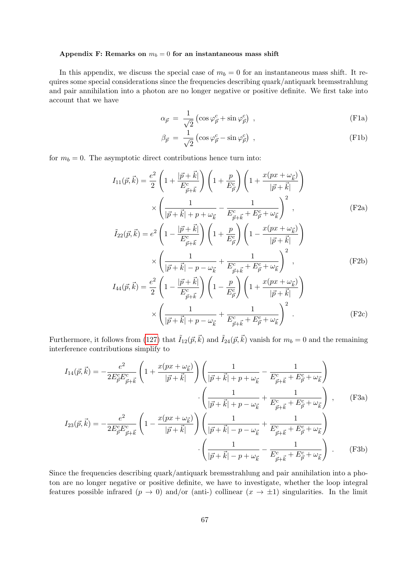#### <span id="page-66-0"></span>Appendix F: Remarks on  $m_b = 0$  for an instantaneous mass shift

In this appendix, we discuss the special case of  $m_b = 0$  for an instantaneous mass shift. It requires some special considerations since the frequencies describing quark/antiquark bremsstrahlung and pair annihilation into a photon are no longer negative or positive definite. We first take into account that we have

$$
\alpha_{\vec{p}} = \frac{1}{\sqrt{2}} \left( \cos \varphi_{\vec{p}}^c + \sin \varphi_{\vec{p}}^c \right) , \qquad (F1a)
$$

<span id="page-66-1"></span>
$$
\beta_{\vec{p}} = \frac{1}{\sqrt{2}} \left( \cos \varphi_{\vec{p}}^c - \sin \varphi_{\vec{p}}^c \right) , \qquad (F1b)
$$

for  $m_b = 0$ . The asymptotic direct contributions hence turn into:

$$
I_{11}(\vec{p}, \vec{k}) = \frac{e^2}{2} \left( 1 + \frac{|\vec{p} + \vec{k}|}{E_{\vec{p} + \vec{k}}^c} \right) \left( 1 + \frac{p}{E_{\vec{p}}^c} \right) \left( 1 + \frac{x(px + \omega_{\vec{k}})}{|\vec{p} + \vec{k}|} \right)
$$

$$
\times \left( \frac{1}{|\vec{p} + \vec{k}| + p + \omega_{\vec{k}}} - \frac{1}{E_{\vec{p} + \vec{k}}^c + E_{\vec{p}}^c + \omega_{\vec{k}}^c} \right)^2 ,
$$
(F2a)

$$
\tilde{I}_{22}(\vec{p}, \vec{k}) = e^2 \left( 1 - \frac{|\vec{p} + \vec{k}|}{E_{\vec{p} + \vec{k}}^c} \right) \left( 1 + \frac{p}{E_{\vec{p}}^c} \right) \left( 1 - \frac{x(px + \omega_{\vec{k}})}{|\vec{p} + \vec{k}|} \right)
$$
\n
$$
\times \left( \frac{1}{|\vec{p} + \vec{k}| - p - \omega_{\vec{k}}} + \frac{1}{E_{\vec{p} + \vec{k}}^c + E_{\vec{p}}^c + \omega_{\vec{k}}} \right)^2 ,
$$
\n(F2b)

$$
I_{44}(\vec{p}, \vec{k}) = \frac{e^2}{2} \left( 1 - \frac{|\vec{p} + \vec{k}|}{E_{\vec{p} + \vec{k}}^c} \right) \left( 1 - \frac{p}{E_{\vec{p}}^c} \right) \left( 1 + \frac{x(px + \omega_{\vec{k}})}{|\vec{p} + \vec{k}|} \right)
$$

$$
\times \left( \frac{1}{|\vec{p} + \vec{k}| + p - \omega_{\vec{k}}} + \frac{1}{E_{\vec{p} + \vec{k}}^c + E_{\vec{p}}^c + \omega_{\vec{k}}} \right)^2.
$$
(F2c)

Furthermore, it follows from [\(127\)](#page-31-2) that  $\tilde{I}_{12}(\vec{p},\vec{k})$  and  $\tilde{I}_{24}(\vec{p},\vec{k})$  vanish for  $m_b = 0$  and the remaining interference contributions simplify to

$$
I_{14}(\vec{p}, \vec{k}) = -\frac{e^2}{2E_{\vec{p}}^c E_{\vec{p}+\vec{k}}^c} \left(1 + \frac{x(px + \omega_{\vec{k}})}{|\vec{p}+\vec{k}|}\right) \left(\frac{1}{|\vec{p}+\vec{k}|+p+\omega_{\vec{k}}} - \frac{1}{E_{\vec{p}+\vec{k}}^c + E_{\vec{p}}^c + \omega_{\vec{k}}}\right)
$$

$$
\cdot \left(\frac{1}{|\vec{p}+\vec{k}|+p-\omega_{\vec{k}}} + \frac{1}{E_{\vec{p}+\vec{k}}^c + E_{\vec{p}}^c + \omega_{\vec{k}}}\right) ,
$$
(F3a)

$$
I_{23}(\vec{p}, \vec{k}) = -\frac{e^2}{2E_{\vec{p}}^c E_{\vec{p}+\vec{k}}^c} \left(1 - \frac{x(px + \omega_{\vec{k}})}{|\vec{p}+\vec{k}|}\right) \left(\frac{1}{|\vec{p}+\vec{k}| - p - \omega_{\vec{k}}} + \frac{1}{E_{\vec{p}+\vec{k}}^c + E_{\vec{p}}^c + \omega_{\vec{k}}}\right) \cdot \left(\frac{1}{|\vec{p}+\vec{k}| - p + \omega_{\vec{k}}^c - \frac{1}{E_{\vec{p}+\vec{k}}^c + E_{\vec{p}}^c + \omega_{\vec{k}}^c}\right) \tag{F3b}
$$

Since the frequencies describing quark/antiquark bremsstrahlung and pair annihilation into a photon are no longer negative or positive definite, we have to investigate, whether the loop integral features possible infrared  $(p \to 0)$  and/or (anti-) collinear  $(x \to \pm 1)$  singularities. In the limit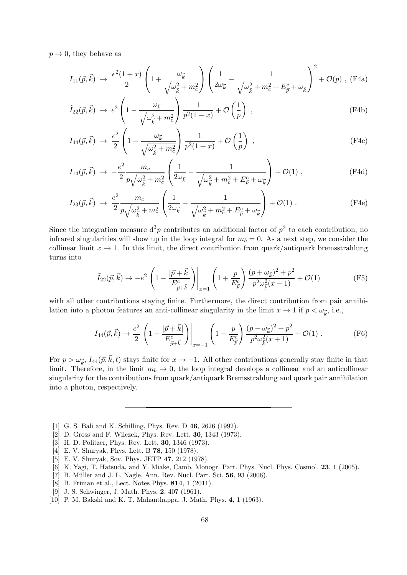$p \rightarrow 0$ , they behave as

$$
I_{11}(\vec{p}, \vec{k}) \rightarrow \frac{e^2(1+x)}{2} \left(1 + \frac{\omega_{\vec{k}}}{\sqrt{\omega_{\vec{k}}^2 + m_c^2}}\right) \left(\frac{1}{2\omega_{\vec{k}}} - \frac{1}{\sqrt{\omega_{\vec{k}}^2 + m_c^2 + E_{\vec{p}}^c + \omega_{\vec{k}}}}\right)^2 + \mathcal{O}(p) , \text{ (F4a)}
$$

$$
\tilde{I}_{22}(\vec{p}, \vec{k}) \rightarrow e^2 \left( 1 - \frac{\omega_{\vec{k}}}{\sqrt{\omega_{\vec{k}}^2 + m_c^2}} \right) \frac{1}{p^2 (1 - x)} + \mathcal{O}\left(\frac{1}{p}\right) ,\tag{F4b}
$$

$$
I_{44}(\vec{p}, \vec{k}) \rightarrow \frac{e^2}{2} \left( 1 - \frac{\omega_{\vec{k}}}{\sqrt{\omega_{\vec{k}}^2 + m_c^2}} \right) \frac{1}{p^2 (1+x)} + \mathcal{O}\left(\frac{1}{p}\right) , \qquad (F4c)
$$

$$
I_{14}(\vec{p}, \vec{k}) \rightarrow -\frac{e^2}{2} \frac{m_c}{p \sqrt{\omega_{\vec{k}}^2 + m_c^2}} \left( \frac{1}{2\omega_{\vec{k}}} - \frac{1}{\sqrt{\omega_{\vec{k}}^2 + m_c^2 + E_{\vec{p}}^c + \omega_{\vec{k}}} \right) + \mathcal{O}(1) ,
$$
 (F4d)

$$
I_{23}(\vec{p}, \vec{k}) \rightarrow \frac{e^2}{2} \frac{m_c}{p \sqrt{\omega_{\vec{k}}^2 + m_c^2}} \left( \frac{1}{2\omega_{\vec{k}}} - \frac{1}{\sqrt{\omega_{\vec{k}}^2 + m_c^2} + E_{\vec{p}}^c + \omega_{\vec{k}}} \right) + \mathcal{O}(1) .
$$
 (F4e)

Since the integration measure  $d^3p$  contributes an additional factor of  $p^2$  to each contribution, no infrared singularities will show up in the loop integral for  $m_b = 0$ . As a next step, we consider the collinear limit  $x \to 1$ . In this limit, the direct contribution from quark/antiquark bremsstrahlung turns into

$$
\tilde{I}_{22}(\vec{p}, \vec{k}) \to -e^2 \left( 1 - \frac{|\vec{p} + \vec{k}|}{E_{\vec{p} + \vec{k}}^c} \right) \Big|_{x=1} \left( 1 + \frac{p}{E_{\vec{p}}^c} \right) \frac{(p + \omega_{\vec{k}})^2 + p^2}{p^2 \omega_{\vec{k}}^2 (x - 1)} + \mathcal{O}(1) \tag{F5}
$$

with all other contributions staying finite. Furthermore, the direct contribution from pair annihilation into a photon features an anti-collinear singularity in the limit  $x \to 1$  if  $p < \omega_{\vec{k}}$ , i.e.,

$$
I_{44}(\vec{p}, \vec{k}) \to \frac{e^2}{2} \left( 1 - \frac{|\vec{p} + \vec{k}|}{E_{\vec{p} + \vec{k}}} \right) \bigg|_{x = -1} \left( 1 - \frac{p}{E_{\vec{p}}^c} \right) \frac{(p - \omega_{\vec{k}})^2 + p^2}{p^2 \omega_{\vec{k}}^2 (x + 1)} + \mathcal{O}(1) \ . \tag{F6}
$$

For  $p > \omega_{\vec{k}}, I_{44}(\vec{p}, \vec{k}, t)$  stays finite for  $x \to -1$ . All other contributions generally stay finite in that limit. Therefore, in the limit  $m_b \to 0$ , the loop integral develops a collinear and an anticollinear singularity for the contributions from quark/antiquark Bremsstrahlung and quark pair annihilation into a photon, respectively.

- <span id="page-67-0"></span>[1] G. S. Bali and K. Schilling, Phys. Rev. D 46, 2626 (1992).
- <span id="page-67-1"></span>[2] D. Gross and F. Wilczek, Phys. Rev. Lett. 30, 1343 (1973).
- <span id="page-67-2"></span>[3] H. D. Politzer, Phys. Rev. Lett. 30, 1346 (1973).
- <span id="page-67-3"></span>[4] E. V. Shuryak, Phys. Lett. B 78, 150 (1978).
- [5] E. V. Shuryak, Sov. Phys. JETP 47, 212 (1978).
- <span id="page-67-5"></span>[6] K. Yagi, T. Hatsuda, and Y. Miake, Camb. Monogr. Part. Phys. Nucl. Phys. Cosmol. 23, 1 (2005).
- [7] B. Müller and J. L. Nagle, Ann. Rev. Nucl. Part. Sci. 56, 93 (2006).
- <span id="page-67-4"></span>[8] B. Friman et al., Lect. Notes Phys. 814, 1 (2011).
- <span id="page-67-6"></span>[9] J. S. Schwinger, J. Math. Phys. 2, 407 (1961).
- [10] P. M. Bakshi and K. T. Mahanthappa, J. Math. Phys. 4, 1 (1963).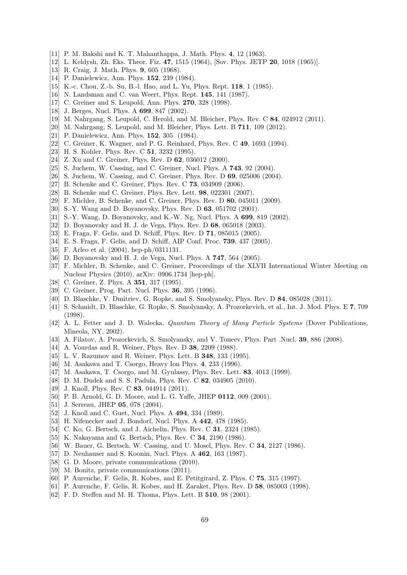- [11] P. M. Bakshi and K. T. Mahanthappa, J. Math. Phys. 4, 12 (1963).
- [12] L. Keldysh, Zh. Eks. Theor. Fiz. 47, 1515 (1964), [Sov. Phys. JETP 20, 1018 (1965)].
- [13] R. Craig, J. Math. Phys. 9, 605 (1968).
- [14] P. Danielewicz, Ann. Phys. **152**, 239 (1984).
- [15] K.-c. Chou, Z.-b. Su, B.-l. Hao, and L. Yu, Phys. Rept. **118**, 1 (1985).
- [16] N. Landsman and C. van Weert, Phys. Rept. 145, 141 (1987).
- [17] C. Greiner and S. Leupold, Ann. Phys. **270**, 328 (1998).
- [18] J. Berges, Nucl. Phys. A **699**, 847 (2002).
- [19] M. Nahrgang, S. Leupold, C. Herold, and M. Bleicher, Phys. Rev. C 84, 024912 (2011).
- <span id="page-68-0"></span>[20] M. Nahrgang, S. Leupold, and M. Bleicher, Phys. Lett. B 711, 109 (2012).
- <span id="page-68-1"></span>[21] P. Danielewicz, Ann. Phys. **152**, 305 (1984).
- [22] C. Greiner, K. Wagner, and P. G. Reinhard, Phys. Rev. C 49, 1693 (1994).
- [23] H. S. Kohler, Phys. Rev. C 51, 3232 (1995).
- [24] Z. Xu and C. Greiner, Phys. Rev. D 62, 036012 (2000).
- [25] S. Juchem, W. Cassing, and C. Greiner, Nucl. Phys. A **743**, 92 (2004).
- [26] S. Juchem, W. Cassing, and C. Greiner, Phys. Rev. D 69, 025006 (2004).
- [27] B. Schenke and C. Greiner, Phys. Rev. C **73**, 034909 (2006).
- [28] B. Schenke and C. Greiner, Phys. Rev. Lett. 98, 022301 (2007).
- <span id="page-68-2"></span>[29] F. Michler, B. Schenke, and C. Greiner, Phys. Rev. D 80, 045011 (2009).
- <span id="page-68-3"></span>[30] S.-Y. Wang and D. Boyanovsky, Phys. Rev. D 63, 051702 (2001).
- <span id="page-68-4"></span>[31] S.-Y. Wang, D. Boyanovsky, and K.-W. Ng, Nucl. Phys. A 699, 819 (2002).
- <span id="page-68-5"></span>[32] D. Boyanovsky and H. J. de Vega, Phys. Rev. D 68, 065018 (2003).
- <span id="page-68-6"></span>[33] E. Fraga, F. Gelis, and D. Schiff, Phys. Rev. D 71, 085015 (2005).
- <span id="page-68-7"></span>[34] E. S. Fraga, F. Gelis, and D. Schiff, AIP Conf. Proc. 739, 437 (2005).
- <span id="page-68-8"></span>[35] F. Arleo et al. (2004), hep-ph/0311131.
- <span id="page-68-9"></span>[36] D. Boyanovsky and H. J. de Vega, Nucl. Phys. A **747**, 564 (2005).
- <span id="page-68-10"></span>[37] F. Michler, B. Schenke, and C. Greiner, Proceedings of the XLVII International Winter Meeting on Nuclear Physics (2010), arXiv: 0906.1734 [hep-ph].
- <span id="page-68-11"></span>[38] C. Greiner, Z. Phys. A **351**, 317 (1995).
- <span id="page-68-12"></span>[39] C. Greiner, Prog. Part. Nucl. Phys. **36**, 395 (1996).
- <span id="page-68-13"></span>[40] D. Blaschke, V. Dmitriev, G. Ropke, and S. Smolyansky, Phys. Rev. D 84, 085028 (2011).
- <span id="page-68-14"></span>[41] S. Schmidt, D. Blaschke, G. Ropke, S. Smolyansky, A. Prozorkevich, et al., Int. J. Mod. Phys. E 7, 709 (1998).
- <span id="page-68-15"></span>[42] A. L. Fetter and J. D. Walecka, Quantum Theory of Many Particle Systems (Dover Publications, Mineola, NY, 2002).
- <span id="page-68-16"></span>[43] A. Filatov, A. Prozorkevich, S. Smolyansky, and V. Toneev, Phys. Part .Nucl. 39, 886 (2008).
- <span id="page-68-17"></span>[44] A. Vourdas and R. Weiner, Phys. Rev. D 38, 2209 (1988).
- [45] L. V. Razumov and R. Weiner, Phys. Lett. B 348, 133 (1995).
- [46] M. Asakawa and T. Csorgo, Heavy Ion Phys. 4, 233 (1996).
- [47] M. Asakawa, T. Csorgo, and M. Gyulassy, Phys. Rev. Lett. **83**, 4013 (1999).
- [48] D. M. Dudek and S. S. Padula, Phys. Rev. C 82, 034905 (2010).
- <span id="page-68-18"></span>[49] J. Knoll, Phys. Rev. C 83, 044914 (2011).
- <span id="page-68-19"></span>[50] P. B. Arnold, G. D. Moore, and L. G. Yaffe, JHEP 0112, 009 (2001).
- <span id="page-68-20"></span>[51] J. Serreau, JHEP **05**, 078 (2004).
- <span id="page-68-21"></span>[52] J. Knoll and C. Guet, Nucl. Phys. A 494, 334 (1989).
- <span id="page-68-22"></span>[53] H. Nifenecker and J. Bondorf, Nucl. Phys. A 442, 478 (1985).
- [54] C. Ko, G. Bertsch, and J. Aichelin, Phys. Rev. C **31**, 2324 (1985).
- [55] K. Nakayama and G. Bertsch, Phys. Rev. C 34, 2190 (1986).
- [56] W. Bauer, G. Bertsch, W. Cassing, and U. Mosel, Phys. Rev. C 34, 2127 (1986).
- <span id="page-68-23"></span>[57] D. Neuhauser and S. Koonin, Nucl. Phys. A 462, 163 (1987).
- <span id="page-68-24"></span>[58] G. D. Moore, private communications  $(2010)$ .
- <span id="page-68-25"></span>[59] M. Bonitz, private communications (2011).
- <span id="page-68-26"></span>[60] P. Aurenche, F. Gelis, R. Kobes, and E. Petitgirard, Z. Phys. C 75, 315 (1997).
- [61] P. Aurenche, F. Gelis, R. Kobes, and H. Zaraket, Phys. Rev. D 58, 085003 (1998).
- [62] F. D. Steffen and M. H. Thoma, Phys. Lett. B 510, 98 (2001).